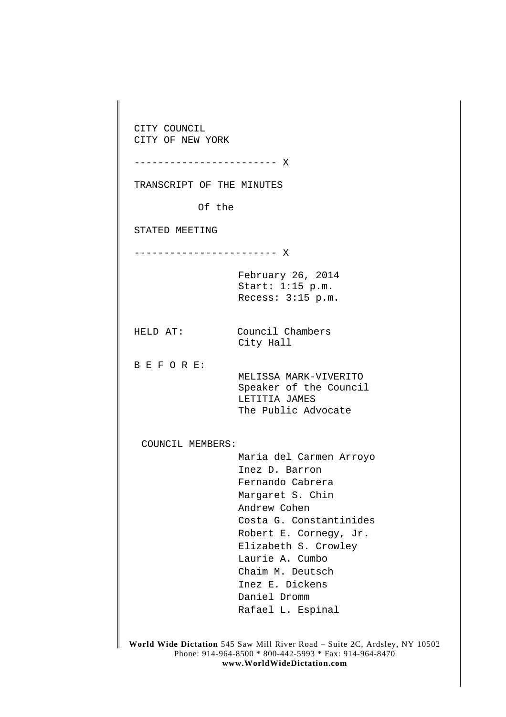CITY COUNCIL CITY OF NEW YORK ------------------------ X TRANSCRIPT OF THE MINUTES Of the STATED MEETING ------------------------ X February 26, 2014 Start: 1:15 p.m. Recess: 3:15 p.m. HELD AT: Council Chambers City Hall B E F O R E: MELISSA MARK-VIVERITO Speaker of the Council LETITIA JAMES The Public Advocate COUNCIL MEMBERS: Maria del Carmen Arroyo Inez D. Barron Fernando Cabrera Margaret S. Chin Andrew Cohen Costa G. Constantinides Robert E. Cornegy, Jr. Elizabeth S. Crowley Laurie A. Cumbo Chaim M. Deutsch Inez E. Dickens Daniel Dromm Rafael L. Espinal

**World Wide Dictation** 545 Saw Mill River Road – Suite 2C, Ardsley, NY 10502 Phone: 914-964-8500 \* 800-442-5993 \* Fax: 914-964-8470 **www.WorldWideDictation.com**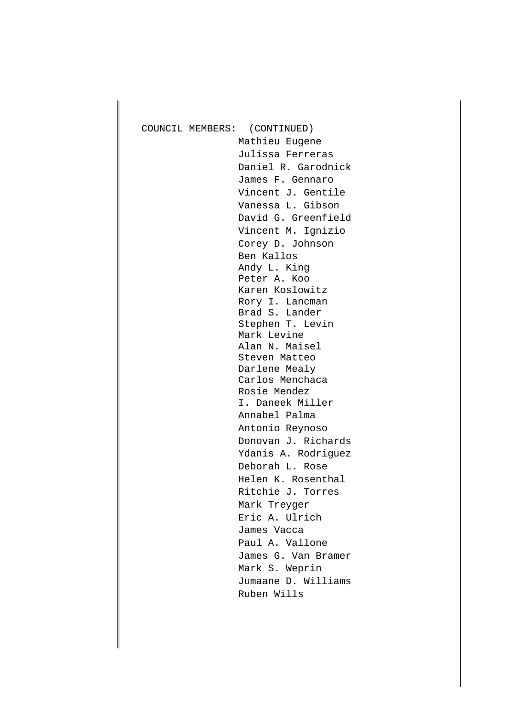| COUNCIL MEMBERS: | (CONTINUED)                        |
|------------------|------------------------------------|
|                  | Mathieu Eugene                     |
|                  | Julissa Ferreras                   |
|                  | Daniel R. Garodnick                |
|                  | James F. Gennaro                   |
|                  | Vincent J. Gentile                 |
|                  | Vanessa L. Gibson                  |
|                  | David G. Greenfield                |
|                  | Vincent M. Ignizio                 |
|                  | Corey D. Johnson                   |
|                  | Ben Kallos                         |
|                  | Andy L. King                       |
|                  | Peter A. Koo                       |
|                  | Karen Koslowitz                    |
|                  | Rory I. Lancman                    |
|                  | Brad S. Lander<br>Stephen T. Levin |
|                  | Mark Levine                        |
|                  | Alan N. Maisel                     |
|                  | Steven Matteo                      |
|                  | Darlene Mealy                      |
|                  | Carlos Menchaca                    |
|                  | Rosie Mendez                       |
|                  | I. Daneek Miller                   |
|                  | Annabel Palma                      |
|                  | Antonio Reynoso                    |
|                  | Donovan J. Richards                |
|                  | Ydanis A. Rodriguez                |
|                  | Deborah L. Rose                    |
|                  | Helen K. Rosenthal                 |
|                  | Ritchie J. Torres                  |
|                  | Mark Treyger                       |
|                  | Eric A. Ulrich                     |
|                  | James Vacca                        |
|                  | Paul A. Vallone                    |
|                  | James G. Van Bramer                |
|                  | Mark S. Weprin                     |
|                  | Jumaane D. Williams                |
|                  | Ruben Wills                        |
|                  |                                    |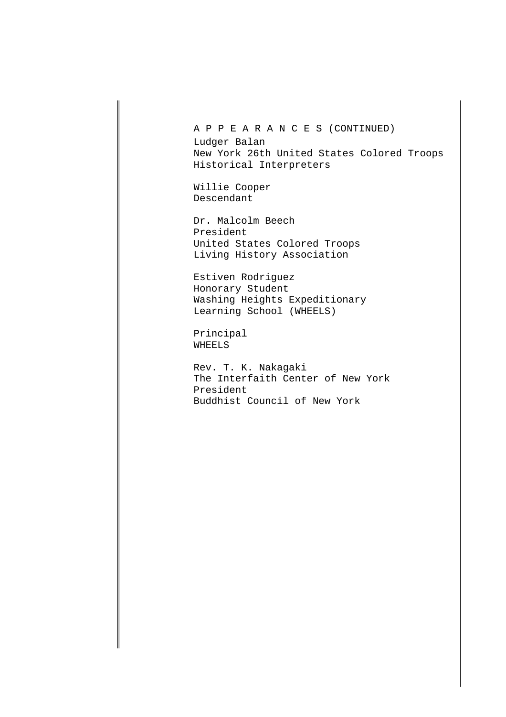A P P E A R A N C E S (CONTINUED)

Ludger Balan New York 26th United States Colored Troops Historical Interpreters

Willie Cooper Descendant

Dr. Malcolm Beech President United States Colored Troops Living History Association

Estiven Rodriguez Honorary Student Washing Heights Expeditionary Learning School (WHEELS)

Principal WHEELS

Rev. T. K. Nakagaki The Interfaith Center of New York President Buddhist Council of New York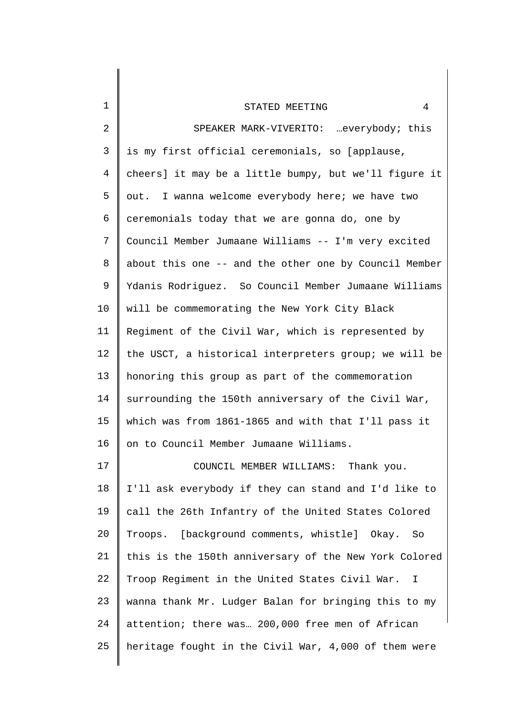| $\mathbf{1}$ | 4<br>STATED MEETING                                            |
|--------------|----------------------------------------------------------------|
| 2            | SPEAKER MARK-VIVERITO: everybody; this                         |
| 3            | is my first official ceremonials, so [applause,                |
| 4            | cheers] it may be a little bumpy, but we'll figure it          |
| 5            | I wanna welcome everybody here; we have two<br>out.            |
| 6            | ceremonials today that we are gonna do, one by                 |
| 7            | Council Member Jumaane Williams -- I'm very excited            |
| 8            | about this one -- and the other one by Council Member          |
| 9            | Ydanis Rodriguez. So Council Member Jumaane Williams           |
| $10 \,$      | will be commemorating the New York City Black                  |
| 11           | Regiment of the Civil War, which is represented by             |
| 12           | the USCT, a historical interpreters group; we will be          |
| 13           | honoring this group as part of the commemoration               |
| 14           | surrounding the 150th anniversary of the Civil War,            |
| 15           | which was from 1861-1865 and with that I'll pass it            |
| 16           | on to Council Member Jumaane Williams.                         |
| 17           | COUNCIL MEMBER WILLIAMS: Thank you.                            |
| 18           | I'll ask everybody if they can stand and I'd like to           |
| 19           | call the 26th Infantry of the United States Colored            |
| 20           | Troops. [background comments, whistle] Okay. So                |
| 21           | this is the 150th anniversary of the New York Colored          |
| 22           | Troop Regiment in the United States Civil War.<br>$\mathbf{I}$ |
| 23           | wanna thank Mr. Ludger Balan for bringing this to my           |
| 24           | attention; there was 200,000 free men of African               |
| 25           | heritage fought in the Civil War, 4,000 of them were           |
|              |                                                                |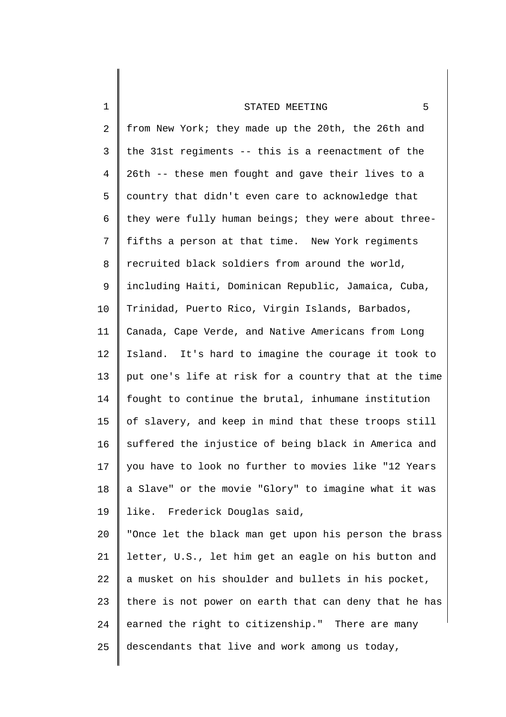| $\mathbf 1$    | 5<br>STATED MEETING                                   |
|----------------|-------------------------------------------------------|
| $\overline{a}$ | from New York; they made up the 20th, the 26th and    |
| 3              | the 31st regiments -- this is a reenactment of the    |
| 4              | 26th -- these men fought and gave their lives to a    |
| 5              | country that didn't even care to acknowledge that     |
| 6              | they were fully human beings; they were about three-  |
| 7              | fifths a person at that time. New York regiments      |
| 8              | recruited black soldiers from around the world,       |
| 9              | including Haiti, Dominican Republic, Jamaica, Cuba,   |
| 10             | Trinidad, Puerto Rico, Virgin Islands, Barbados,      |
| 11             | Canada, Cape Verde, and Native Americans from Long    |
| 12             | Island. It's hard to imagine the courage it took to   |
| 13             | put one's life at risk for a country that at the time |
| 14             | fought to continue the brutal, inhumane institution   |
| 15             | of slavery, and keep in mind that these troops still  |
| 16             | suffered the injustice of being black in America and  |
| $17 \,$        | you have to look no further to movies like "12 Years  |
| 18             | a Slave" or the movie "Glory" to imagine what it was  |
| 19             | like. Frederick Douglas said,                         |
| 20             | "Once let the black man get upon his person the brass |
| 21             | letter, U.S., let him get an eagle on his button and  |
| 22             | a musket on his shoulder and bullets in his pocket,   |
| 23             | there is not power on earth that can deny that he has |
| 24             | earned the right to citizenship." There are many      |
| 25             | descendants that live and work among us today,        |
|                |                                                       |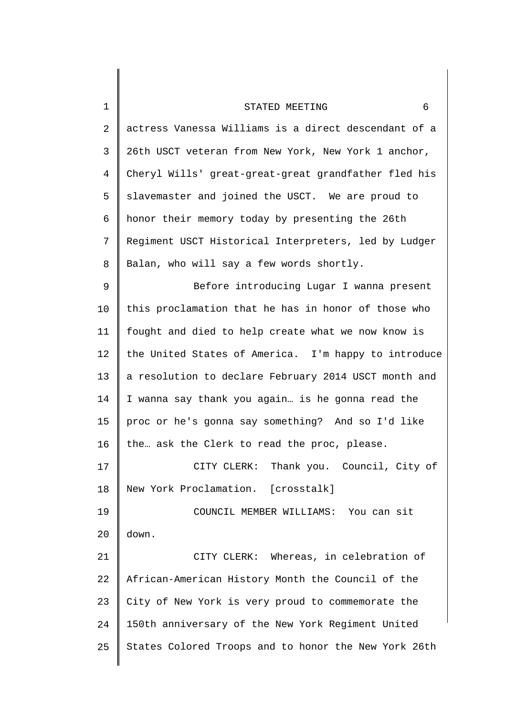| $\mathbf 1$    | 6<br>STATED MEETING                                  |
|----------------|------------------------------------------------------|
| $\overline{c}$ | actress Vanessa Williams is a direct descendant of a |
| 3              | 26th USCT veteran from New York, New York 1 anchor,  |
| 4              | Cheryl Wills' great-great-great grandfather fled his |
| 5              | slavemaster and joined the USCT. We are proud to     |
| 6              | honor their memory today by presenting the 26th      |
| 7              | Regiment USCT Historical Interpreters, led by Ludger |
| 8              | Balan, who will say a few words shortly.             |
| 9              | Before introducing Lugar I wanna present             |
| 10             | this proclamation that he has in honor of those who  |
| 11             | fought and died to help create what we now know is   |
| 12             | the United States of America. I'm happy to introduce |
| 13             | a resolution to declare February 2014 USCT month and |
| 14             | I wanna say thank you again is he gonna read the     |
| 15             | proc or he's gonna say something? And so I'd like    |
| 16             | the ask the Clerk to read the proc, please.          |
| 17             | Thank you. Council, City of<br>CITY CLERK:           |
| 18             | New York Proclamation. [crosstalk]                   |
| 19             | COUNCIL MEMBER WILLIAMS: You can sit                 |
| 20             | down.                                                |
| 21             | CITY CLERK: Whereas, in celebration of               |
| 22             | African-American History Month the Council of the    |
| 23             | City of New York is very proud to commemorate the    |
| 24             | 150th anniversary of the New York Regiment United    |
| 25             | States Colored Troops and to honor the New York 26th |
|                |                                                      |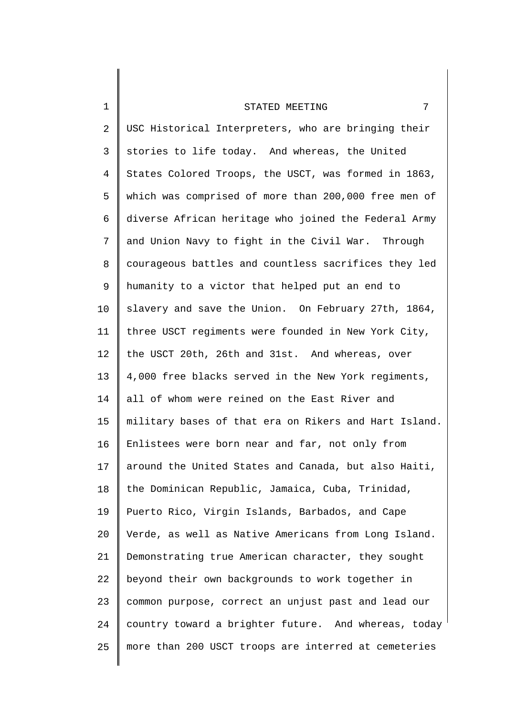| $\mathbf 1$    | 7<br>STATED MEETING                                   |
|----------------|-------------------------------------------------------|
| $\overline{2}$ | USC Historical Interpreters, who are bringing their   |
| 3              | stories to life today. And whereas, the United        |
| $\overline{4}$ | States Colored Troops, the USCT, was formed in 1863,  |
| 5              | which was comprised of more than 200,000 free men of  |
| 6              | diverse African heritage who joined the Federal Army  |
| 7              | and Union Navy to fight in the Civil War. Through     |
| 8              | courageous battles and countless sacrifices they led  |
| 9              | humanity to a victor that helped put an end to        |
| 10             | slavery and save the Union. On February 27th, 1864,   |
| 11             | three USCT regiments were founded in New York City,   |
| 12             | the USCT 20th, 26th and 31st. And whereas, over       |
| 13             | 4,000 free blacks served in the New York regiments,   |
| 14             | all of whom were reined on the East River and         |
| 15             | military bases of that era on Rikers and Hart Island. |
| 16             | Enlistees were born near and far, not only from       |
| 17             | around the United States and Canada, but also Haiti,  |
| 18             | the Dominican Republic, Jamaica, Cuba, Trinidad,      |
| 19             | Puerto Rico, Virgin Islands, Barbados, and Cape       |
| 20             | Verde, as well as Native Americans from Long Island.  |
| 21             | Demonstrating true American character, they sought    |
| 22             | beyond their own backgrounds to work together in      |
| 23             | common purpose, correct an unjust past and lead our   |
| 24             | country toward a brighter future. And whereas, today  |
| 25             | more than 200 USCT troops are interred at cemeteries  |
|                |                                                       |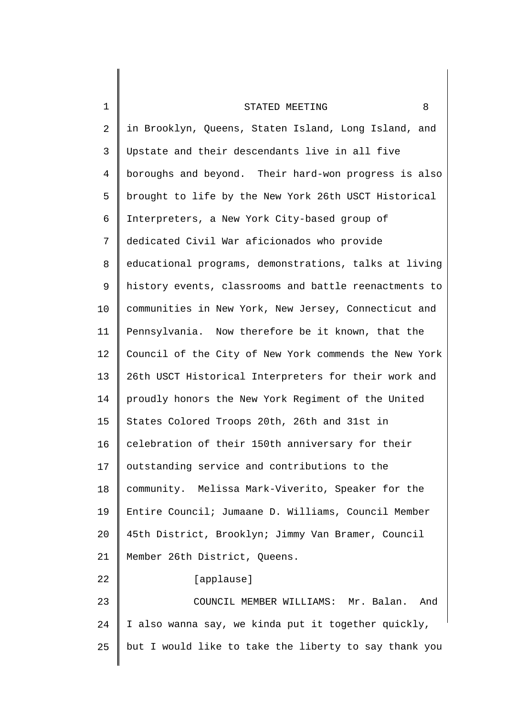1 2 3 4 5 6 7 8 9 10 11 12 13 14 15 16 17 18 19 20 21 22 23 24 25 STATED MEETING 8 in Brooklyn, Queens, Staten Island, Long Island, and Upstate and their descendants live in all five boroughs and beyond. Their hard-won progress is also brought to life by the New York 26th USCT Historical Interpreters, a New York City-based group of dedicated Civil War aficionados who provide educational programs, demonstrations, talks at living history events, classrooms and battle reenactments to communities in New York, New Jersey, Connecticut and Pennsylvania. Now therefore be it known, that the Council of the City of New York commends the New York 26th USCT Historical Interpreters for their work and proudly honors the New York Regiment of the United States Colored Troops 20th, 26th and 31st in celebration of their 150th anniversary for their outstanding service and contributions to the community. Melissa Mark-Viverito, Speaker for the Entire Council; Jumaane D. Williams, Council Member 45th District, Brooklyn; Jimmy Van Bramer, Council Member 26th District, Queens. [applause] COUNCIL MEMBER WILLIAMS: Mr. Balan. And I also wanna say, we kinda put it together quickly, but I would like to take the liberty to say thank you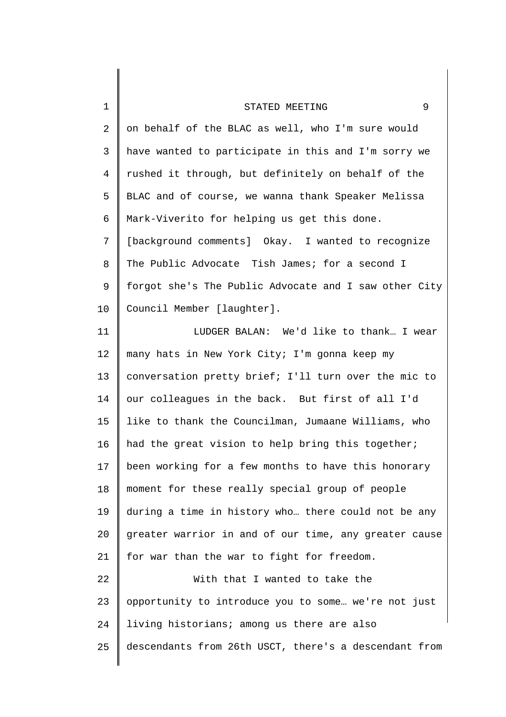| $\mathbf 1$ | 9<br>STATED MEETING                                   |
|-------------|-------------------------------------------------------|
| 2           | on behalf of the BLAC as well, who I'm sure would     |
| 3           | have wanted to participate in this and I'm sorry we   |
| 4           | rushed it through, but definitely on behalf of the    |
| 5           | BLAC and of course, we wanna thank Speaker Melissa    |
| 6           | Mark-Viverito for helping us get this done.           |
| 7           | [background comments] Okay. I wanted to recognize     |
| 8           | The Public Advocate Tish James; for a second I        |
| 9           | forgot she's The Public Advocate and I saw other City |
| 10          | Council Member [laughter].                            |

11 12 13 14 15 16 17 18 19 20 21 22 LUDGER BALAN: We'd like to thank… I wear many hats in New York City; I'm gonna keep my conversation pretty brief; I'll turn over the mic to our colleagues in the back. But first of all I'd like to thank the Councilman, Jumaane Williams, who had the great vision to help bring this together; been working for a few months to have this honorary moment for these really special group of people during a time in history who… there could not be any greater warrior in and of our time, any greater cause for war than the war to fight for freedom. With that I wanted to take the

23 24 25 opportunity to introduce you to some… we're not just living historians; among us there are also descendants from 26th USCT, there's a descendant from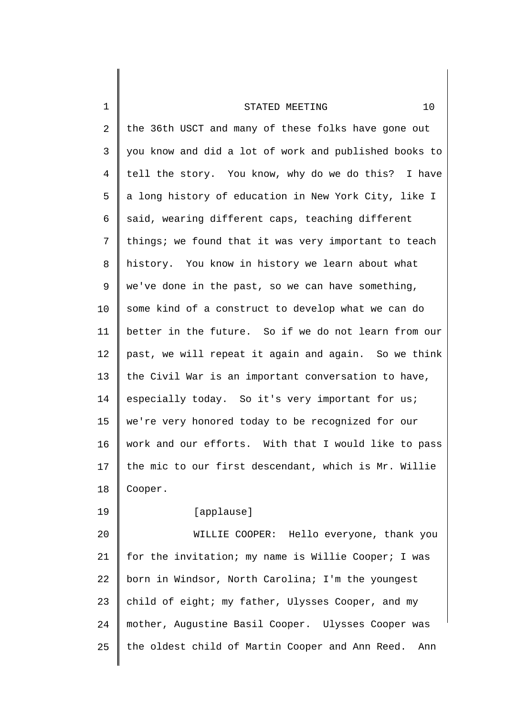| $\mathbf 1$    | 10<br>STATED MEETING                                  |
|----------------|-------------------------------------------------------|
| $\overline{2}$ | the 36th USCT and many of these folks have gone out   |
| 3              | you know and did a lot of work and published books to |
| $\overline{4}$ | tell the story. You know, why do we do this? I have   |
| 5              | a long history of education in New York City, like I  |
| 6              | said, wearing different caps, teaching different      |
| 7              | things; we found that it was very important to teach  |
| 8              | history. You know in history we learn about what      |
| 9              | we've done in the past, so we can have something,     |
| 10             | some kind of a construct to develop what we can do    |
| 11             | better in the future. So if we do not learn from our  |
| 12             | past, we will repeat it again and again. So we think  |
| 13             | the Civil War is an important conversation to have,   |
| 14             | especially today. So it's very important for us;      |
| 15             | we're very honored today to be recognized for our     |
| 16             | work and our efforts. With that I would like to pass  |
| 17             | the mic to our first descendant, which is Mr. Willie  |
| 18             | Cooper.                                               |
| 19             | [applause]                                            |
| 20             | WILLIE COOPER: Hello everyone, thank you              |
| 21             | for the invitation; my name is Willie Cooper; I was   |
| 22             | born in Windsor, North Carolina; I'm the youngest     |
| 23             | child of eight; my father, Ulysses Cooper, and my     |
| 24             | mother, Augustine Basil Cooper. Ulysses Cooper was    |

 $\begin{array}{c} \hline \end{array}$ 

25 the oldest child of Martin Cooper and Ann Reed. Ann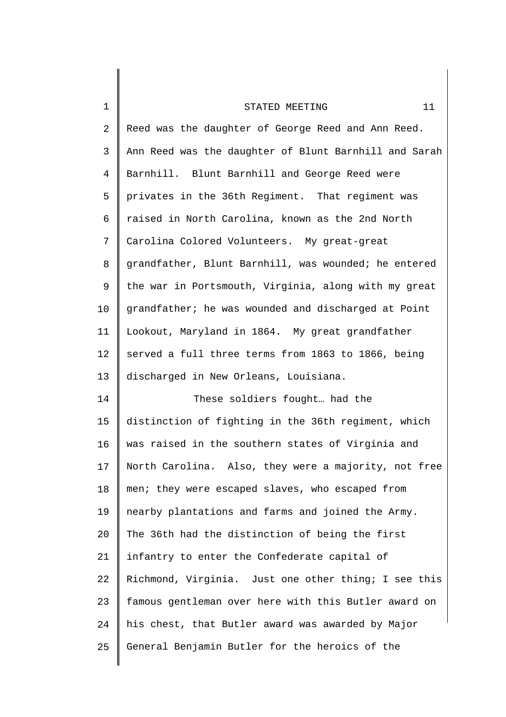| $\mathbf{1}$ | 11<br>STATED MEETING                                  |
|--------------|-------------------------------------------------------|
| 2            | Reed was the daughter of George Reed and Ann Reed.    |
| 3            | Ann Reed was the daughter of Blunt Barnhill and Sarah |
| 4            | Barnhill. Blunt Barnhill and George Reed were         |
| 5            | privates in the 36th Regiment. That regiment was      |
| 6            | raised in North Carolina, known as the 2nd North      |
| 7            | Carolina Colored Volunteers. My great-great           |
| 8            | grandfather, Blunt Barnhill, was wounded; he entered  |
| 9            | the war in Portsmouth, Virginia, along with my great  |
| 10           | grandfather; he was wounded and discharged at Point   |
| 11           | Lookout, Maryland in 1864. My great grandfather       |
| 12           | served a full three terms from 1863 to 1866, being    |
| 13           | discharged in New Orleans, Louisiana.                 |
| 14           | These soldiers fought had the                         |
| 15           | distinction of fighting in the 36th regiment, which   |
| 16           | was raised in the southern states of Virginia and     |
| 17           | North Carolina. Also, they were a majority, not free  |
| 18           | men; they were escaped slaves, who escaped from       |
| 19           | nearby plantations and farms and joined the Army.     |
| 20           | The 36th had the distinction of being the first       |
| 21           | infantry to enter the Confederate capital of          |
| 22           | Richmond, Virginia. Just one other thing; I see this  |
| 23           | famous gentleman over here with this Butler award on  |
| 24           | his chest, that Butler award was awarded by Major     |
| 25           | General Benjamin Butler for the heroics of the        |
|              |                                                       |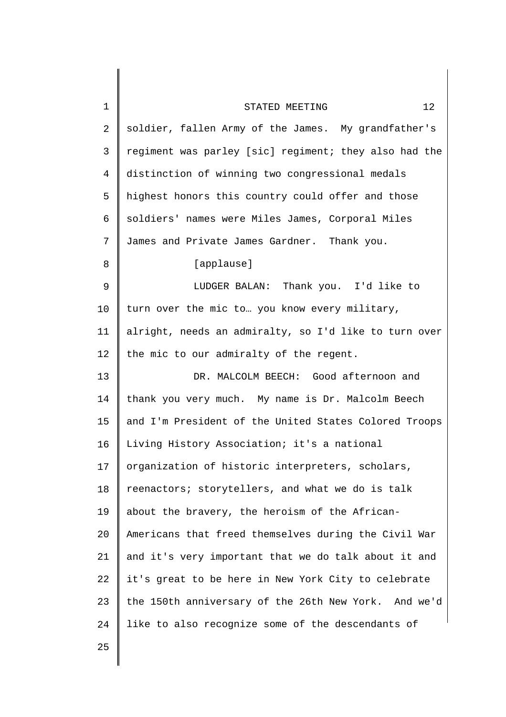| 1              | 12<br>STATED MEETING                                  |
|----------------|-------------------------------------------------------|
| $\overline{2}$ | soldier, fallen Army of the James. My grandfather's   |
| 3              | regiment was parley [sic] regiment; they also had the |
| 4              | distinction of winning two congressional medals       |
| 5              | highest honors this country could offer and those     |
| 6              | soldiers' names were Miles James, Corporal Miles      |
| 7              | James and Private James Gardner. Thank you.           |
| 8              | [applause]                                            |
| 9              | LUDGER BALAN: Thank you. I'd like to                  |
| 10             | turn over the mic to you know every military,         |
| 11             | alright, needs an admiralty, so I'd like to turn over |
| 12             | the mic to our admiralty of the regent.               |
| 13             | DR. MALCOLM BEECH: Good afternoon and                 |
| 14             | thank you very much. My name is Dr. Malcolm Beech     |
| 15             | and I'm President of the United States Colored Troops |
| 16             | Living History Association; it's a national           |
| 17             | organization of historic interpreters, scholars,      |
| 18             | reenactors; storytellers, and what we do is talk      |
| 19             | about the bravery, the heroism of the African-        |
| 20             | Americans that freed themselves during the Civil War  |
| 21             | and it's very important that we do talk about it and  |
| 22             | it's great to be here in New York City to celebrate   |
| 23             | the 150th anniversary of the 26th New York. And we'd  |
| 24             | like to also recognize some of the descendants of     |
| 25             |                                                       |
|                |                                                       |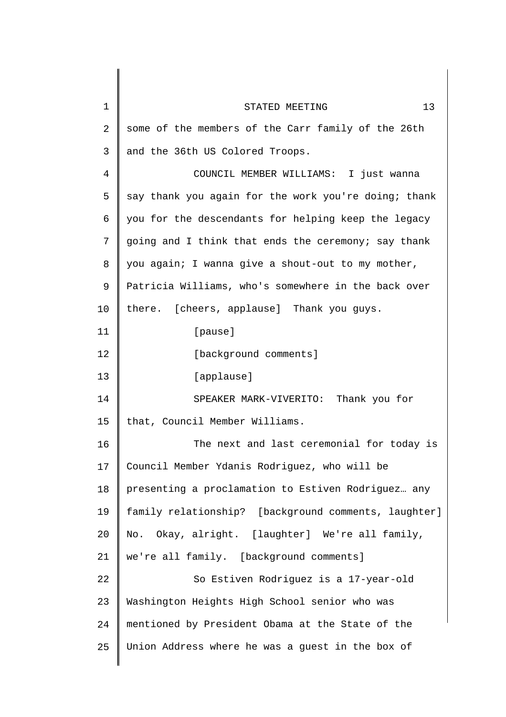| 1              | 13<br>STATED MEETING                                 |
|----------------|------------------------------------------------------|
| $\overline{c}$ | some of the members of the Carr family of the 26th   |
| 3              | and the 36th US Colored Troops.                      |
| 4              | COUNCIL MEMBER WILLIAMS: I just wanna                |
| 5              | say thank you again for the work you're doing; thank |
| 6              | you for the descendants for helping keep the legacy  |
| 7              | going and I think that ends the ceremony; say thank  |
| 8              | you again; I wanna give a shout-out to my mother,    |
| 9              | Patricia Williams, who's somewhere in the back over  |
| 10             | there. [cheers, applause] Thank you guys.            |
| 11             | [pause]                                              |
| 12             | [background comments]                                |
| 13             | [applause]                                           |
| 14             | SPEAKER MARK-VIVERITO: Thank you for                 |
| 15             | that, Council Member Williams.                       |
| 16             | The next and last ceremonial for today is            |
| 17             | Council Member Ydanis Rodriguez, who will be         |
| 18             | presenting a proclamation to Estiven Rodriguez any   |
| 19             | family relationship? [background comments, laughter] |
| 20             | No. Okay, alright. [laughter] We're all family,      |
| 21             | we're all family. [background comments]              |
| 22             | So Estiven Rodriguez is a 17-year-old                |
| 23             | Washington Heights High School senior who was        |
| 24             | mentioned by President Obama at the State of the     |
| 25             | Union Address where he was a guest in the box of     |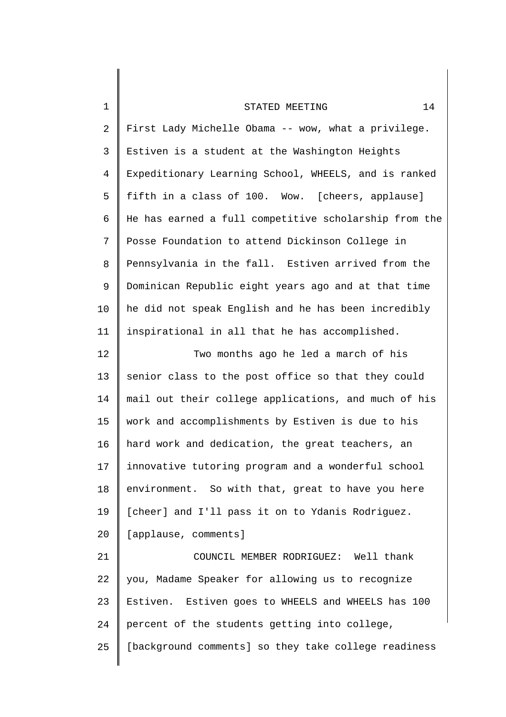| $\mathbf 1$    | 14<br>STATED MEETING                                  |
|----------------|-------------------------------------------------------|
| $\overline{2}$ | First Lady Michelle Obama -- wow, what a privilege.   |
| $\mathsf{3}$   | Estiven is a student at the Washington Heights        |
| $\overline{4}$ | Expeditionary Learning School, WHEELS, and is ranked  |
| 5              | fifth in a class of 100. Wow. [cheers, applause]      |
| 6              | He has earned a full competitive scholarship from the |
| 7              | Posse Foundation to attend Dickinson College in       |
| 8              | Pennsylvania in the fall. Estiven arrived from the    |
| 9              | Dominican Republic eight years ago and at that time   |
| 10             | he did not speak English and he has been incredibly   |
| 11             | inspirational in all that he has accomplished.        |
| 12             | Two months ago he led a march of his                  |
| 13             | senior class to the post office so that they could    |
| 14             | mail out their college applications, and much of his  |
| 15             | work and accomplishments by Estiven is due to his     |
| 16             | hard work and dedication, the great teachers, an      |
| 17             | innovative tutoring program and a wonderful school    |
| 18             | environment. So with that, great to have you here     |
| 19             | [cheer] and I'll pass it on to Ydanis Rodriguez.      |
| 20             | [applause, comments]                                  |
| 21             | COUNCIL MEMBER RODRIGUEZ: Well thank                  |
| 22             | you, Madame Speaker for allowing us to recognize      |
| 23             | Estiven. Estiven goes to WHEELS and WHEELS has 100    |
| 24             | percent of the students getting into college,         |
| 25             | [background comments] so they take college readiness  |

 $\mathbb{I}$  $\parallel$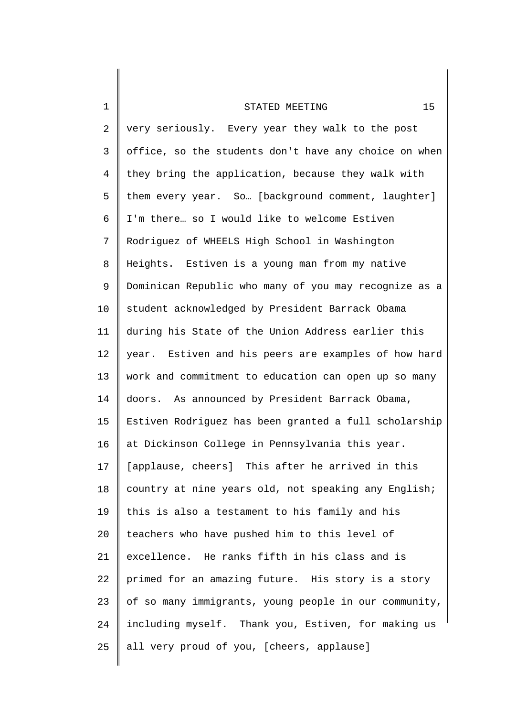| $\mathbf 1$ | 15<br>STATED MEETING                                  |
|-------------|-------------------------------------------------------|
| 2           | very seriously. Every year they walk to the post      |
| 3           | office, so the students don't have any choice on when |
| 4           | they bring the application, because they walk with    |
| 5           | them every year. So [background comment, laughter]    |
| 6           | I'm there so I would like to welcome Estiven          |
| 7           | Rodriguez of WHEELS High School in Washington         |
| 8           | Heights. Estiven is a young man from my native        |
| 9           | Dominican Republic who many of you may recognize as a |
| 10          | student acknowledged by President Barrack Obama       |
| 11          | during his State of the Union Address earlier this    |
| 12          | year. Estiven and his peers are examples of how hard  |
| 13          | work and commitment to education can open up so many  |
| 14          | doors. As announced by President Barrack Obama,       |
| 15          | Estiven Rodriguez has been granted a full scholarship |
| 16          | at Dickinson College in Pennsylvania this year.       |
| 17          | [applause, cheers] This after he arrived in this      |
| 18          | country at nine years old, not speaking any English;  |
| 19          | this is also a testament to his family and his        |
| 20          | teachers who have pushed him to this level of         |
| 21          | excellence. He ranks fifth in his class and is        |
| 22          | primed for an amazing future. His story is a story    |
| 23          | of so many immigrants, young people in our community, |
| 24          | including myself. Thank you, Estiven, for making us   |
| 25          | all very proud of you, [cheers, applause]             |
|             |                                                       |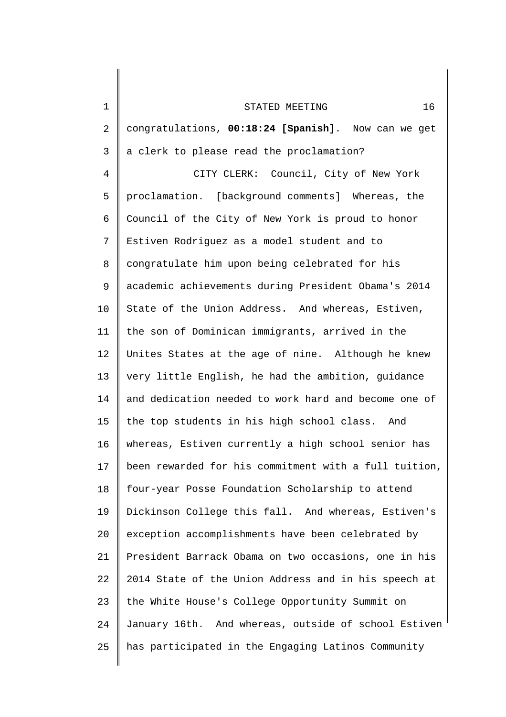| 1              | 16<br>STATED MEETING                                  |
|----------------|-------------------------------------------------------|
| $\overline{2}$ | congratulations, 00:18:24 [Spanish]. Now can we get   |
| 3              | a clerk to please read the proclamation?              |
| 4              | CITY CLERK: Council, City of New York                 |
| 5              | proclamation. [background comments] Whereas, the      |
| 6              | Council of the City of New York is proud to honor     |
| 7              | Estiven Rodriguez as a model student and to           |
| 8              | congratulate him upon being celebrated for his        |
| 9              | academic achievements during President Obama's 2014   |
| 10             | State of the Union Address. And whereas, Estiven,     |
| 11             | the son of Dominican immigrants, arrived in the       |
| 12             | Unites States at the age of nine. Although he knew    |
| 13             | very little English, he had the ambition, guidance    |
| 14             | and dedication needed to work hard and become one of  |
| 15             | the top students in his high school class. And        |
| 16             | whereas, Estiven currently a high school senior has   |
| 17             | been rewarded for his commitment with a full tuition, |
| 18             | four-year Posse Foundation Scholarship to attend      |
| 19             | Dickinson College this fall. And whereas, Estiven's   |
| 20             | exception accomplishments have been celebrated by     |
| 21             | President Barrack Obama on two occasions, one in his  |
| 22             | 2014 State of the Union Address and in his speech at  |
| 23             | the White House's College Opportunity Summit on       |
| 24             | January 16th. And whereas, outside of school Estiven  |
| 25             | has participated in the Engaging Latinos Community    |
|                |                                                       |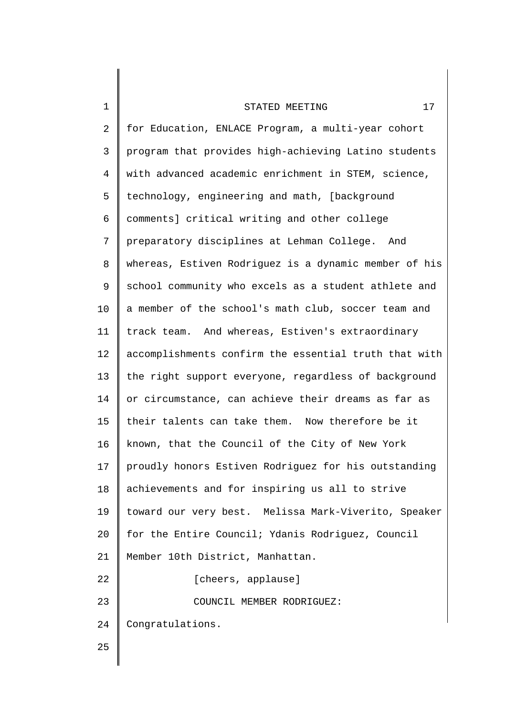| $\mathbf 1$    | 17<br>STATED MEETING                                  |
|----------------|-------------------------------------------------------|
| $\overline{2}$ | for Education, ENLACE Program, a multi-year cohort    |
| 3              | program that provides high-achieving Latino students  |
| 4              | with advanced academic enrichment in STEM, science,   |
| 5              | technology, engineering and math, [background         |
| 6              | comments] critical writing and other college          |
| 7              | preparatory disciplines at Lehman College. And        |
| 8              | whereas, Estiven Rodriguez is a dynamic member of his |
| 9              | school community who excels as a student athlete and  |
| 10             | a member of the school's math club, soccer team and   |
| 11             | track team. And whereas, Estiven's extraordinary      |
| 12             | accomplishments confirm the essential truth that with |
| 13             | the right support everyone, regardless of background  |
| 14             | or circumstance, can achieve their dreams as far as   |
| 15             | their talents can take them. Now therefore be it      |
| 16             | known, that the Council of the City of New York       |
| 17             | proudly honors Estiven Rodriguez for his outstanding  |
| 18             | achievements and for inspiring us all to strive       |
| 19             | toward our very best. Melissa Mark-Viverito, Speaker  |
| 20             | for the Entire Council; Ydanis Rodriguez, Council     |
| 21             | Member 10th District, Manhattan.                      |
| 22             | [cheers, applause]                                    |
| 23             | COUNCIL MEMBER RODRIGUEZ:                             |
| 24             | Congratulations.                                      |
| 25             |                                                       |
|                |                                                       |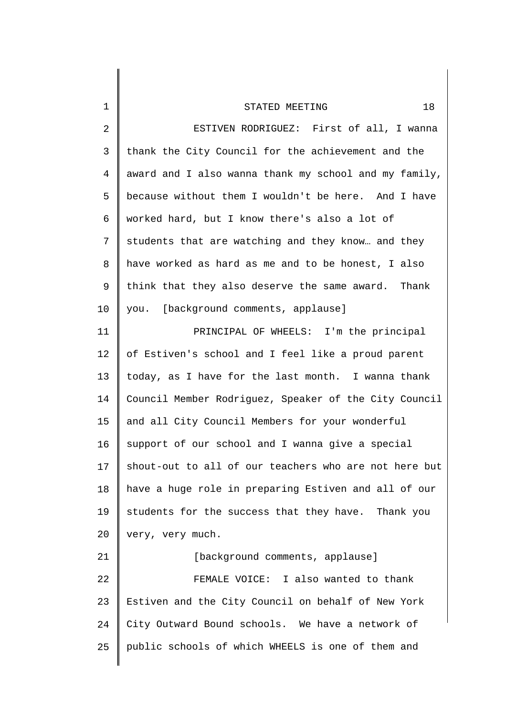| $\mathbf 1$ | 18<br>STATED MEETING                                  |
|-------------|-------------------------------------------------------|
| 2           | ESTIVEN RODRIGUEZ: First of all, I wanna              |
| 3           | thank the City Council for the achievement and the    |
| 4           | award and I also wanna thank my school and my family, |
| 5           | because without them I wouldn't be here. And I have   |
| 6           | worked hard, but I know there's also a lot of         |
| 7           | students that are watching and they know and they     |
| 8           | have worked as hard as me and to be honest, I also    |
| 9           | think that they also deserve the same award. Thank    |
| 10          | you. [background comments, applause]                  |
| 11          | PRINCIPAL OF WHEELS: I'm the principal                |
| 12          | of Estiven's school and I feel like a proud parent    |
| 13          | today, as I have for the last month. I wanna thank    |
| 14          | Council Member Rodriguez, Speaker of the City Council |
| 15          | and all City Council Members for your wonderful       |
| 16          | support of our school and I wanna give a special      |
| 17          | shout-out to all of our teachers who are not here but |
| 18          | have a huge role in preparing Estiven and all of our  |
| 19          | students for the success that they have. Thank you    |
| 20          | very, very much.                                      |
| 21          | [background comments, applause]                       |
| 22          | FEMALE VOICE: I also wanted to thank                  |
| 23          | Estiven and the City Council on behalf of New York    |
| 24          | City Outward Bound schools. We have a network of      |
| 25          | public schools of which WHEELS is one of them and     |
|             |                                                       |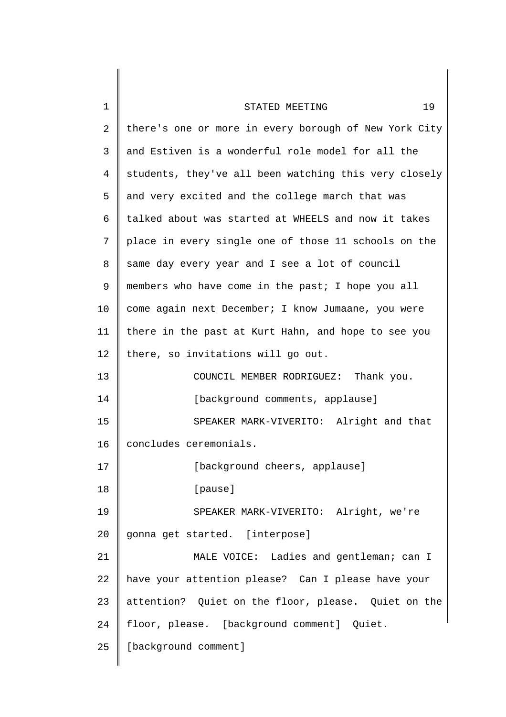| $\mathbf 1$    | 19<br>STATED MEETING                                  |
|----------------|-------------------------------------------------------|
| $\overline{2}$ | there's one or more in every borough of New York City |
| 3              | and Estiven is a wonderful role model for all the     |
| 4              | students, they've all been watching this very closely |
| 5              | and very excited and the college march that was       |
| 6              | talked about was started at WHEELS and now it takes   |
| 7              | place in every single one of those 11 schools on the  |
| 8              | same day every year and I see a lot of council        |
| 9              | members who have come in the past; I hope you all     |
| 10             | come again next December; I know Jumaane, you were    |
| 11             | there in the past at Kurt Hahn, and hope to see you   |
| 12             | there, so invitations will go out.                    |
| 13             | COUNCIL MEMBER RODRIGUEZ: Thank you.                  |
| 14             | [background comments, applause]                       |
| 15             | SPEAKER MARK-VIVERITO: Alright and that               |
| 16             | concludes ceremonials.                                |
| 17             | [background cheers, applause]                         |
| 18             | [pause]                                               |
| 19             | SPEAKER MARK-VIVERITO: Alright, we're                 |
| 20             | gonna get started. [interpose]                        |
| 21             | MALE VOICE: Ladies and gentleman; can I               |
| 22             | have your attention please? Can I please have your    |
| 23             | attention? Quiet on the floor, please. Quiet on the   |
| 24             | floor, please. [background comment] Quiet.            |
| 25             | [background comment]                                  |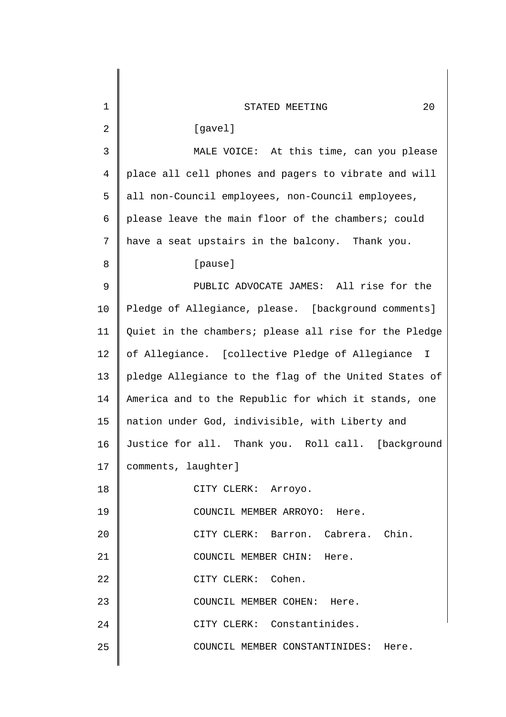| $\mathbf 1$    | 20<br>STATED MEETING                                  |
|----------------|-------------------------------------------------------|
| $\overline{2}$ | [gavel]                                               |
| 3              | MALE VOICE: At this time, can you please              |
| 4              | place all cell phones and pagers to vibrate and will  |
| 5              | all non-Council employees, non-Council employees,     |
| 6              | please leave the main floor of the chambers; could    |
| 7              | have a seat upstairs in the balcony. Thank you.       |
| 8              | [pause]                                               |
| 9              | PUBLIC ADVOCATE JAMES: All rise for the               |
| 10             | Pledge of Allegiance, please. [background comments]   |
| 11             | Quiet in the chambers; please all rise for the Pledge |
| 12             | of Allegiance. [collective Pledge of Allegiance I     |
| 13             | pledge Allegiance to the flag of the United States of |
| 14             | America and to the Republic for which it stands, one  |
| 15             | nation under God, indivisible, with Liberty and       |
| 16             | Justice for all. Thank you. Roll call. [background    |
| 17             | comments, laughter]                                   |
| 18             | CITY CLERK: Arroyo.                                   |
| 19             | COUNCIL MEMBER ARROYO: Here.                          |
| 20             | CITY CLERK: Barron. Cabrera. Chin.                    |
| 21             | COUNCIL MEMBER CHIN: Here.                            |
| 22             | CITY CLERK: Cohen.                                    |
| 23             | COUNCIL MEMBER COHEN: Here.                           |
| 24             | CITY CLERK: Constantinides.                           |
| 25             | COUNCIL MEMBER CONSTANTINIDES: Here.                  |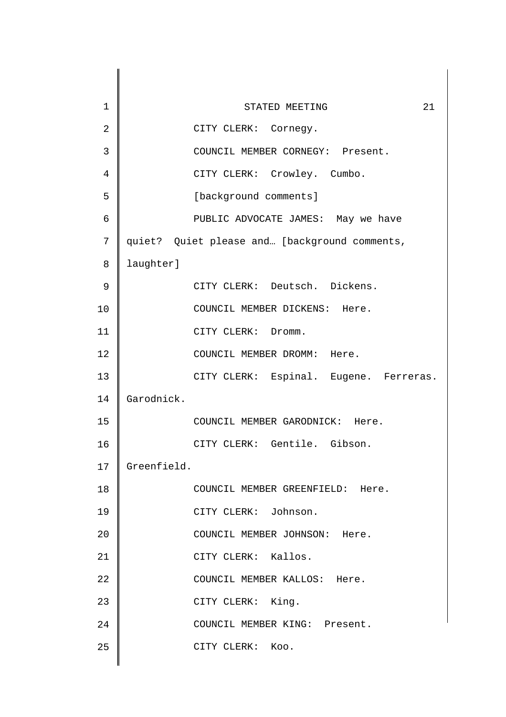| $\mathbf 1$    | 21<br>STATED MEETING                          |
|----------------|-----------------------------------------------|
| $\overline{2}$ | CITY CLERK: Cornegy.                          |
| 3              | COUNCIL MEMBER CORNEGY: Present.              |
| $\overline{4}$ | CITY CLERK: Crowley. Cumbo.                   |
| 5              | [background comments]                         |
| $\epsilon$     | PUBLIC ADVOCATE JAMES: May we have            |
| $\overline{7}$ | quiet? Quiet please and [background comments, |
| 8              | laughter]                                     |
| $\mathsf 9$    | CITY CLERK: Deutsch. Dickens.                 |
| 10             | COUNCIL MEMBER DICKENS: Here.                 |
| 11             | CITY CLERK: Dromm.                            |
| 12             | COUNCIL MEMBER DROMM: Here.                   |
| 13             | CITY CLERK: Espinal. Eugene. Ferreras.        |
| 14             | Garodnick.                                    |
| 15             | COUNCIL MEMBER GARODNICK: Here.               |
| 16             | CITY CLERK: Gentile. Gibson.                  |
| 17             | Greenfield.                                   |
| 18             | COUNCIL MEMBER GREENFIELD: Here.              |
| 19             | CITY CLERK: Johnson.                          |
| 20             | COUNCIL MEMBER JOHNSON: Here.                 |
| 21             | CITY CLERK: Kallos.                           |
| 22             | COUNCIL MEMBER KALLOS: Here.                  |
| 23             | CITY CLERK: King.                             |
| 24             | COUNCIL MEMBER KING: Present.                 |
| 25             | CITY CLERK: Koo.                              |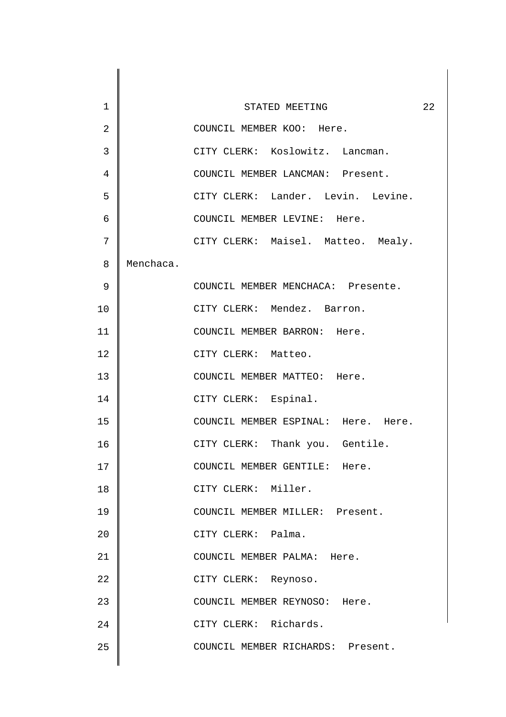|           | STATED MEETING                      | 22 |
|-----------|-------------------------------------|----|
|           | COUNCIL MEMBER KOO: Here.           |    |
|           | CITY CLERK: Koslowitz. Lancman.     |    |
|           | COUNCIL MEMBER LANCMAN: Present.    |    |
|           | CITY CLERK: Lander. Levin. Levine.  |    |
|           | COUNCIL MEMBER LEVINE: Here.        |    |
|           | CITY CLERK: Maisel. Matteo. Mealy.  |    |
| Menchaca. |                                     |    |
|           | COUNCIL MEMBER MENCHACA: Presente.  |    |
|           | CITY CLERK: Mendez. Barron.         |    |
|           | COUNCIL MEMBER BARRON: Here.        |    |
|           | CITY CLERK: Matteo.                 |    |
|           | COUNCIL MEMBER MATTEO: Here.        |    |
|           | CITY CLERK: Espinal.                |    |
|           | COUNCIL MEMBER ESPINAL: Here. Here. |    |
|           | CITY CLERK: Thank you. Gentile.     |    |
|           | COUNCIL MEMBER GENTILE: Here.       |    |
|           | CITY CLERK: Miller.                 |    |
|           | COUNCIL MEMBER MILLER: Present.     |    |
|           | CITY CLERK: Palma.                  |    |
|           | COUNCIL MEMBER PALMA: Here.         |    |
|           | CITY CLERK: Reynoso.                |    |
|           | COUNCIL MEMBER REYNOSO: Here.       |    |
|           | CITY CLERK: Richards.               |    |
|           |                                     |    |
|           |                                     |    |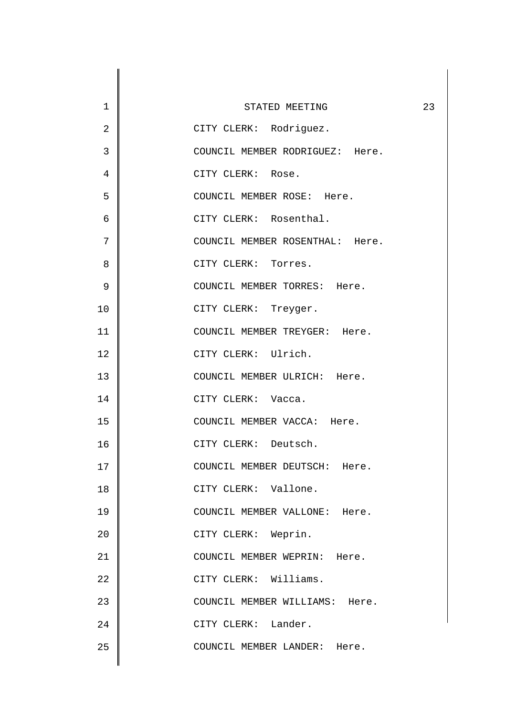| 1              | 23<br>STATED MEETING            |
|----------------|---------------------------------|
| $\overline{2}$ | CITY CLERK: Rodriguez.          |
| 3              | COUNCIL MEMBER RODRIGUEZ: Here. |
| 4              | CITY CLERK: Rose.               |
| 5              | COUNCIL MEMBER ROSE: Here.      |
| 6              | CITY CLERK: Rosenthal.          |
| 7              | COUNCIL MEMBER ROSENTHAL: Here. |
| 8              | CITY CLERK: Torres.             |
| 9              | COUNCIL MEMBER TORRES: Here.    |
| 10             | CITY CLERK: Treyger.            |
| 11             | COUNCIL MEMBER TREYGER: Here.   |
| 12             | CITY CLERK: Ulrich.             |
| 13             | COUNCIL MEMBER ULRICH: Here.    |
| 14             | CITY CLERK: Vacca.              |
| 15             | COUNCIL MEMBER VACCA: Here.     |
| 16             | CITY CLERK: Deutsch.            |
| 17             | COUNCIL MEMBER DEUTSCH: Here.   |
| 18             | CITY CLERK: Vallone.            |
| 19             | COUNCIL MEMBER VALLONE: Here.   |
| 20             | CITY CLERK: Weprin.             |
| 21             | COUNCIL MEMBER WEPRIN: Here.    |
| 22             | CITY CLERK: Williams.           |
| 23             | COUNCIL MEMBER WILLIAMS: Here.  |
| 24             | CITY CLERK: Lander.             |
| 25             | COUNCIL MEMBER LANDER: Here.    |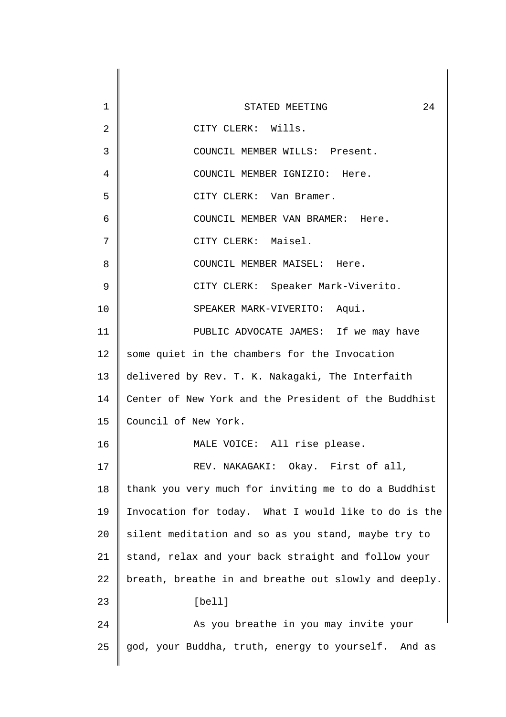| 1  | STATED MEETING<br>24                                  |
|----|-------------------------------------------------------|
| 2  | CITY CLERK: Wills.                                    |
| 3  | COUNCIL MEMBER WILLS: Present.                        |
| 4  | COUNCIL MEMBER IGNIZIO: Here.                         |
| 5  | CITY CLERK: Van Bramer.                               |
| 6  | COUNCIL MEMBER VAN BRAMER: Here.                      |
| 7  | CITY CLERK: Maisel.                                   |
| 8  | COUNCIL MEMBER MAISEL: Here.                          |
| 9  | CITY CLERK: Speaker Mark-Viverito.                    |
| 10 | SPEAKER MARK-VIVERITO: Aqui.                          |
| 11 | PUBLIC ADVOCATE JAMES: If we may have                 |
| 12 | some quiet in the chambers for the Invocation         |
| 13 | delivered by Rev. T. K. Nakagaki, The Interfaith      |
| 14 | Center of New York and the President of the Buddhist  |
| 15 | Council of New York.                                  |
| 16 | MALE VOICE: All rise please.                          |
| 17 | REV. NAKAGAKI: Okay. First of all,                    |
| 18 | thank you very much for inviting me to do a Buddhist  |
| 19 | Invocation for today. What I would like to do is the  |
| 20 | silent meditation and so as you stand, maybe try to   |
| 21 | stand, relax and your back straight and follow your   |
| 22 | breath, breathe in and breathe out slowly and deeply. |
| 23 | [bell]                                                |
| 24 | As you breathe in you may invite your                 |
| 25 | god, your Buddha, truth, energy to yourself. And as   |
|    |                                                       |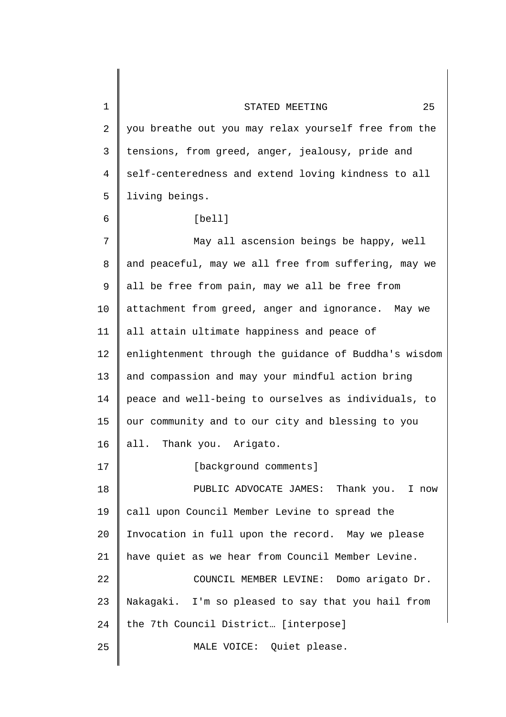| 1  | 25<br>STATED MEETING                                  |
|----|-------------------------------------------------------|
| 2  | you breathe out you may relax yourself free from the  |
| 3  | tensions, from greed, anger, jealousy, pride and      |
| 4  | self-centeredness and extend loving kindness to all   |
| 5  | living beings.                                        |
| 6  | [bell]                                                |
| 7  | May all ascension beings be happy, well               |
| 8  | and peaceful, may we all free from suffering, may we  |
| 9  | all be free from pain, may we all be free from        |
| 10 | attachment from greed, anger and ignorance. May we    |
| 11 | all attain ultimate happiness and peace of            |
| 12 | enlightenment through the guidance of Buddha's wisdom |
| 13 | and compassion and may your mindful action bring      |
| 14 | peace and well-being to ourselves as individuals, to  |
| 15 | our community and to our city and blessing to you     |
| 16 | Thank you.<br>Arigato.<br>all.                        |
| 17 | [background comments]                                 |
| 18 | PUBLIC ADVOCATE JAMES: Thank you. I now               |
| 19 | call upon Council Member Levine to spread the         |
| 20 | Invocation in full upon the record. May we please     |
| 21 | have quiet as we hear from Council Member Levine.     |
| 22 | COUNCIL MEMBER LEVINE: Domo arigato Dr.               |
| 23 | Nakagaki. I'm so pleased to say that you hail from    |
| 24 | the 7th Council District [interpose]                  |
| 25 | MALE VOICE: Quiet please.                             |
|    |                                                       |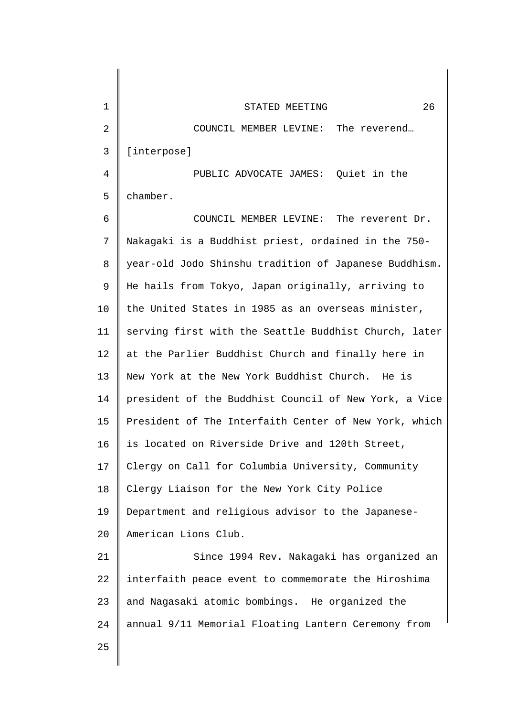| $\mathbf 1$ | 26<br>STATED MEETING                                  |
|-------------|-------------------------------------------------------|
| 2           | COUNCIL MEMBER LEVINE: The reverend                   |
| 3           | [interpose]                                           |
| 4           | PUBLIC ADVOCATE JAMES: Quiet in the                   |
| 5           | chamber.                                              |
| 6           | COUNCIL MEMBER LEVINE: The reverent Dr.               |
| 7           | Nakagaki is a Buddhist priest, ordained in the 750-   |
| 8           | year-old Jodo Shinshu tradition of Japanese Buddhism. |
| 9           | He hails from Tokyo, Japan originally, arriving to    |
| 10          | the United States in 1985 as an overseas minister,    |
| 11          | serving first with the Seattle Buddhist Church, later |
| 12          | at the Parlier Buddhist Church and finally here in    |
| 13          | New York at the New York Buddhist Church. He is       |
| 14          | president of the Buddhist Council of New York, a Vice |
| 15          | President of The Interfaith Center of New York, which |
| 16          | is located on Riverside Drive and 120th Street,       |
| 17          | Clergy on Call for Columbia University, Community     |
| 18          | Clergy Liaison for the New York City Police           |
| 19          | Department and religious advisor to the Japanese-     |
| 20          | American Lions Club.                                  |
| 21          | Since 1994 Rev. Nakagaki has organized an             |
| 22          | interfaith peace event to commemorate the Hiroshima   |
| 23          | and Nagasaki atomic bombings. He organized the        |
| 24          | annual 9/11 Memorial Floating Lantern Ceremony from   |
| 25          |                                                       |
|             |                                                       |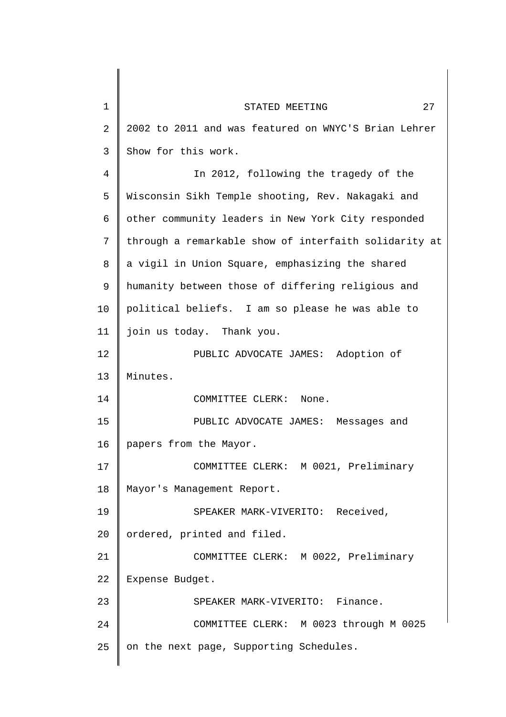| $\mathbf 1$    | 27<br>STATED MEETING                                  |
|----------------|-------------------------------------------------------|
| 2              | 2002 to 2011 and was featured on WNYC'S Brian Lehrer  |
| 3              | Show for this work.                                   |
| $\overline{4}$ | In 2012, following the tragedy of the                 |
| 5              | Wisconsin Sikh Temple shooting, Rev. Nakagaki and     |
| 6              | other community leaders in New York City responded    |
| 7              | through a remarkable show of interfaith solidarity at |
| 8              | a vigil in Union Square, emphasizing the shared       |
| 9              | humanity between those of differing religious and     |
| 10             | political beliefs. I am so please he was able to      |
| 11             | join us today. Thank you.                             |
| 12             | PUBLIC ADVOCATE JAMES: Adoption of                    |
| 13             | Minutes.                                              |
| 14             | COMMITTEE CLERK:<br>None.                             |
| 15             | PUBLIC ADVOCATE JAMES:<br>Messages and                |
| 16             | papers from the Mayor.                                |
| 17             | COMMITTEE CLERK: M 0021, Preliminary                  |
| 18             | Mayor's Management Report.                            |
| 19             | SPEAKER MARK-VIVERITO: Received,                      |
| 20             | ordered, printed and filed.                           |
| 21             | COMMITTEE CLERK: M 0022, Preliminary                  |
| 22             | Expense Budget.                                       |
| 23             | SPEAKER MARK-VIVERITO: Finance.                       |
| 24             | COMMITTEE CLERK: M 0023 through M 0025                |
| 25             | on the next page, Supporting Schedules.               |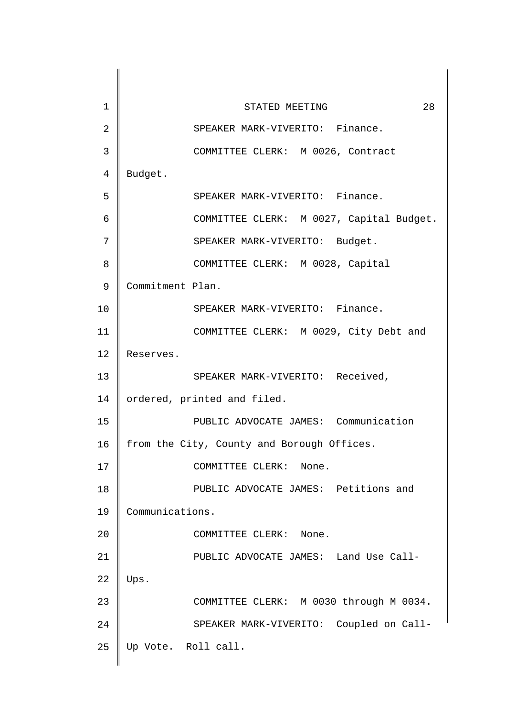| 1              | 28<br>STATED MEETING                       |
|----------------|--------------------------------------------|
| $\overline{2}$ | SPEAKER MARK-VIVERITO: Finance.            |
| 3              | COMMITTEE CLERK: M 0026, Contract          |
| $\overline{4}$ | Budget.                                    |
| 5              | SPEAKER MARK-VIVERITO: Finance.            |
| 6              | COMMITTEE CLERK: M 0027, Capital Budget.   |
| 7              | SPEAKER MARK-VIVERITO: Budget.             |
| 8              | COMMITTEE CLERK: M 0028, Capital           |
| 9              | Commitment Plan.                           |
| 10             | SPEAKER MARK-VIVERITO: Finance.            |
| 11             | COMMITTEE CLERK: M 0029, City Debt and     |
| 12             | Reserves.                                  |
| 13             | SPEAKER MARK-VIVERITO: Received,           |
| 14             | ordered, printed and filed.                |
| 15             | PUBLIC ADVOCATE JAMES: Communication       |
| 16             | from the City, County and Borough Offices. |
| 17             | COMMITTEE CLERK: None.                     |
| 18             | PUBLIC ADVOCATE JAMES: Petitions and       |
| 19             | Communications.                            |
| 20             | COMMITTEE CLERK: None.                     |
| 21             | PUBLIC ADVOCATE JAMES: Land Use Call-      |
| 22             | Ups.                                       |
| 23             | COMMITTEE CLERK: M 0030 through M 0034.    |
| 24             | SPEAKER MARK-VIVERITO: Coupled on Call-    |
| 25             | Up Vote. Roll call.                        |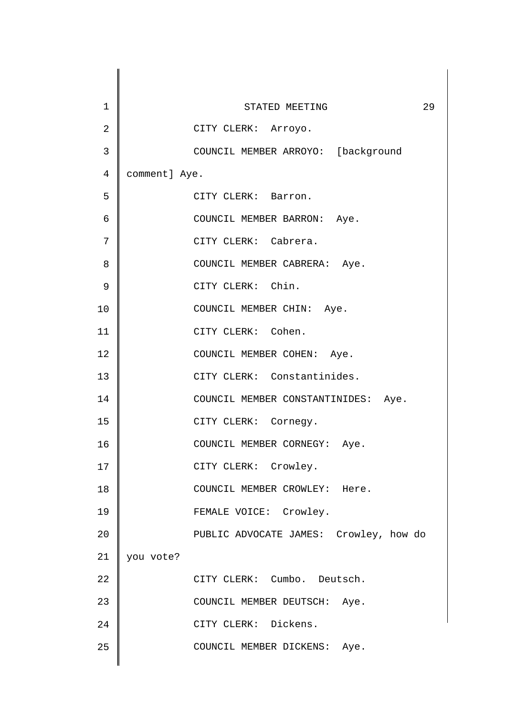| $\mathbf 1$    |               | STATED MEETING                         | 29 |
|----------------|---------------|----------------------------------------|----|
| $\overline{2}$ |               | CITY CLERK: Arroyo.                    |    |
| 3              |               | COUNCIL MEMBER ARROYO: [background     |    |
| 4              | comment] Aye. |                                        |    |
| 5              |               | CITY CLERK: Barron.                    |    |
| 6              |               | COUNCIL MEMBER BARRON: Aye.            |    |
| 7              |               | CITY CLERK: Cabrera.                   |    |
| 8              |               | COUNCIL MEMBER CABRERA: Aye.           |    |
| 9              |               | CITY CLERK: Chin.                      |    |
| 10             |               | COUNCIL MEMBER CHIN: Aye.              |    |
| 11             |               | CITY CLERK: Cohen.                     |    |
| 12             |               | COUNCIL MEMBER COHEN: Aye.             |    |
| 13             |               | CITY CLERK: Constantinides.            |    |
| 14             |               | COUNCIL MEMBER CONSTANTINIDES: Aye.    |    |
| 15             |               | CITY CLERK: Cornegy.                   |    |
| 16             |               | COUNCIL MEMBER CORNEGY: Aye.           |    |
| 17             |               | CITY CLERK: Crowley.                   |    |
| 18             |               | COUNCIL MEMBER CROWLEY: Here.          |    |
| 19             |               | FEMALE VOICE: Crowley.                 |    |
| 20             |               | PUBLIC ADVOCATE JAMES: Crowley, how do |    |
| 21             | you vote?     |                                        |    |
| 22             |               | CITY CLERK: Cumbo. Deutsch.            |    |
| 23             |               | COUNCIL MEMBER DEUTSCH: Aye.           |    |
| 24             |               | CITY CLERK: Dickens.                   |    |
| 25             |               | COUNCIL MEMBER DICKENS: Aye.           |    |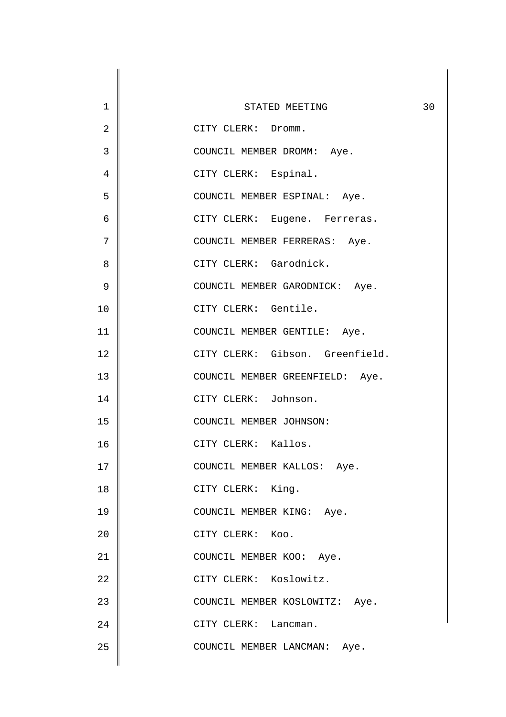| $\mathbf 1$    | 30<br>STATED MEETING            |
|----------------|---------------------------------|
| $\overline{2}$ | CITY CLERK: Dromm.              |
| 3              | COUNCIL MEMBER DROMM: Aye.      |
| $\overline{4}$ | CITY CLERK: Espinal.            |
| 5              | COUNCIL MEMBER ESPINAL: Aye.    |
| 6              | CITY CLERK: Eugene. Ferreras.   |
| 7              | COUNCIL MEMBER FERRERAS: Aye.   |
| 8              | CITY CLERK: Garodnick.          |
| 9              | COUNCIL MEMBER GARODNICK: Aye.  |
| 10             | CITY CLERK: Gentile.            |
| 11             | COUNCIL MEMBER GENTILE: Aye.    |
| 12             | CITY CLERK: Gibson. Greenfield. |
| 13             | COUNCIL MEMBER GREENFIELD: Aye. |
| 14             | CITY CLERK: Johnson.            |
| 15             | COUNCIL MEMBER JOHNSON:         |
| 16             | CITY CLERK: Kallos.             |
| 17             | COUNCIL MEMBER KALLOS: Aye.     |
| 18             | CITY CLERK: King.               |
| 19             | COUNCIL MEMBER KING: Aye.       |
| 20             | CITY CLERK: Koo.                |
| 21             | COUNCIL MEMBER KOO: Aye.        |
| 22             | CITY CLERK: Koslowitz.          |
| 23             | COUNCIL MEMBER KOSLOWITZ: Aye.  |
| 24             | CITY CLERK: Lancman.            |
| 25             | COUNCIL MEMBER LANCMAN: Aye.    |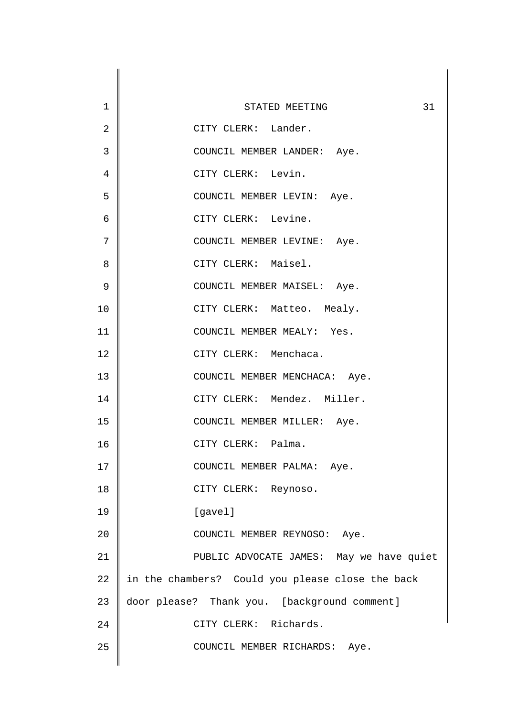| $\mathbf 1$    | 31<br>STATED MEETING                             |
|----------------|--------------------------------------------------|
| $\overline{2}$ | CITY CLERK: Lander.                              |
| 3              | COUNCIL MEMBER LANDER: Aye.                      |
| $\overline{4}$ | CITY CLERK: Levin.                               |
| 5              | COUNCIL MEMBER LEVIN: Aye.                       |
| $\epsilon$     | CITY CLERK: Levine.                              |
| 7              | COUNCIL MEMBER LEVINE: Aye.                      |
| 8              | CITY CLERK: Maisel.                              |
| 9              | COUNCIL MEMBER MAISEL: Aye.                      |
| 10             | CITY CLERK: Matteo. Mealy.                       |
| 11             | COUNCIL MEMBER MEALY: Yes.                       |
| 12             | CITY CLERK: Menchaca.                            |
| 13             | COUNCIL MEMBER MENCHACA: Aye.                    |
| 14             | CITY CLERK: Mendez. Miller.                      |
| 15             | COUNCIL MEMBER MILLER: Aye.                      |
| 16             | CITY CLERK: Palma.                               |
| 17             | COUNCIL MEMBER PALMA: Aye.                       |
| 18             | CITY CLERK: Reynoso.                             |
| 19             | [gavel]                                          |
| 20             | COUNCIL MEMBER REYNOSO: Aye.                     |
| 21             | PUBLIC ADVOCATE JAMES: May we have quiet         |
| 22             | in the chambers? Could you please close the back |
| 23             | door please? Thank you. [background comment]     |
| 24             | CITY CLERK: Richards.                            |
| 25             | COUNCIL MEMBER RICHARDS: Aye.                    |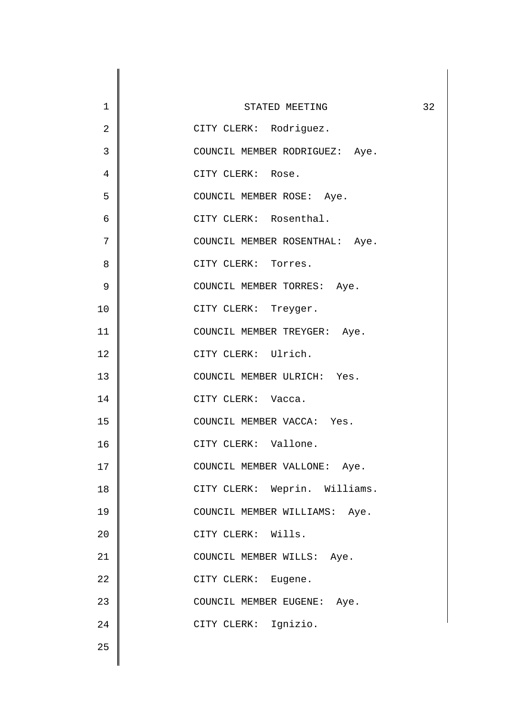| 1              | 32<br>STATED MEETING           |
|----------------|--------------------------------|
| $\overline{c}$ | CITY CLERK: Rodriguez.         |
| 3              | COUNCIL MEMBER RODRIGUEZ: Aye. |
| 4              | CITY CLERK: Rose.              |
| 5              | COUNCIL MEMBER ROSE: Aye.      |
| $\epsilon$     | CITY CLERK: Rosenthal.         |
| 7              | COUNCIL MEMBER ROSENTHAL: Aye. |
| 8              | CITY CLERK: Torres.            |
| 9              | COUNCIL MEMBER TORRES: Aye.    |
| 10             | CITY CLERK: Treyger.           |
| 11             | COUNCIL MEMBER TREYGER: Aye.   |
| 12             | CITY CLERK: Ulrich.            |
| 13             | COUNCIL MEMBER ULRICH: Yes.    |
| 14             | CITY CLERK: Vacca.             |
| 15             | COUNCIL MEMBER VACCA: Yes.     |
| 16             | CITY CLERK: Vallone.           |
| 17             | COUNCIL MEMBER VALLONE: Aye.   |
| 18             | CITY CLERK: Weprin. Williams.  |
| 19             | COUNCIL MEMBER WILLIAMS: Aye.  |
| 20             | CITY CLERK: Wills.             |
| 21             | COUNCIL MEMBER WILLS: Aye.     |
| 22             | CITY CLERK: Eugene.            |
| 23             | COUNCIL MEMBER EUGENE: Aye.    |
| 24             | CITY CLERK: Ignizio.           |
| 25             |                                |
|                |                                |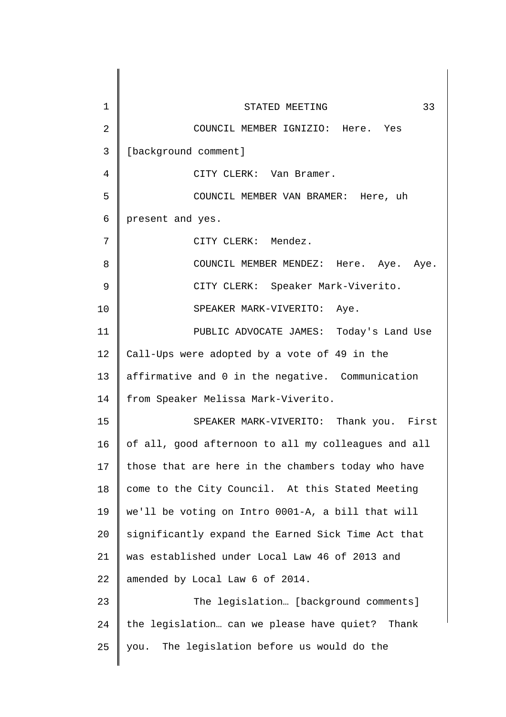| 1              | 33<br>STATED MEETING                                |
|----------------|-----------------------------------------------------|
| $\overline{2}$ | COUNCIL MEMBER IGNIZIO: Here. Yes                   |
| $\mathsf{3}$   | [background comment]                                |
| 4              | CITY CLERK: Van Bramer.                             |
| 5              | COUNCIL MEMBER VAN BRAMER: Here, uh                 |
| 6              | present and yes.                                    |
| 7              | CITY CLERK: Mendez.                                 |
| 8              | COUNCIL MEMBER MENDEZ: Here. Aye. Aye.              |
| 9              | CITY CLERK: Speaker Mark-Viverito.                  |
| 10             | SPEAKER MARK-VIVERITO: Aye.                         |
| 11             | PUBLIC ADVOCATE JAMES: Today's Land Use             |
| 12             | Call-Ups were adopted by a vote of 49 in the        |
| 13             | affirmative and 0 in the negative. Communication    |
| 14             | from Speaker Melissa Mark-Viverito.                 |
| 15             | SPEAKER MARK-VIVERITO: Thank you. First             |
| 16             | of all, good afternoon to all my colleagues and all |
| 17             | those that are here in the chambers today who have  |
| 18             | come to the City Council. At this Stated Meeting    |
| 19             | we'll be voting on Intro 0001-A, a bill that will   |
| 20             | significantly expand the Earned Sick Time Act that  |
| 21             | was established under Local Law 46 of 2013 and      |
| 22             | amended by Local Law 6 of 2014.                     |
| 23             | The legislation [background comments]               |
| 24             | the legislation can we please have quiet? Thank     |
| 25             | you. The legislation before us would do the         |
|                |                                                     |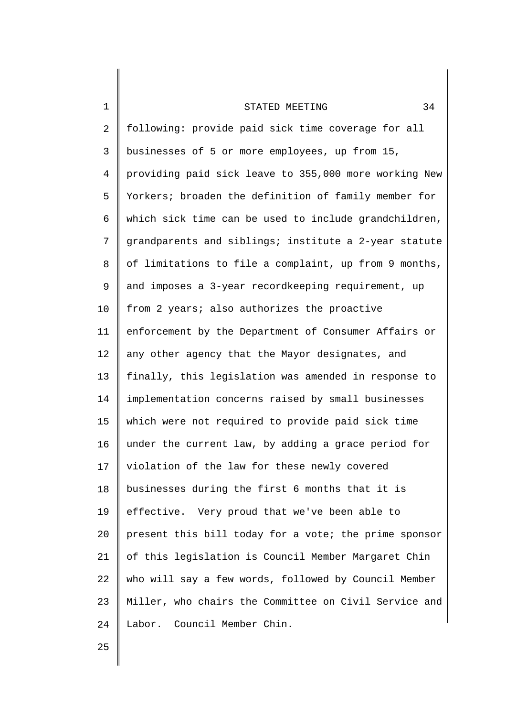| $1\,$          | 34<br>STATED MEETING                                  |
|----------------|-------------------------------------------------------|
| $\overline{2}$ | following: provide paid sick time coverage for all    |
| 3              | businesses of 5 or more employees, up from 15,        |
| $\overline{4}$ | providing paid sick leave to 355,000 more working New |
| 5              | Yorkers; broaden the definition of family member for  |
| 6              | which sick time can be used to include grandchildren, |
| 7              | grandparents and siblings; institute a 2-year statute |
| 8              | of limitations to file a complaint, up from 9 months, |
| $\mathsf 9$    | and imposes a 3-year recordkeeping requirement, up    |
| 10             | from 2 years; also authorizes the proactive           |
| 11             | enforcement by the Department of Consumer Affairs or  |
| 12             | any other agency that the Mayor designates, and       |
| 13             | finally, this legislation was amended in response to  |
| 14             | implementation concerns raised by small businesses    |
| 15             | which were not required to provide paid sick time     |
| 16             | under the current law, by adding a grace period for   |
| 17             | violation of the law for these newly covered          |
| 18             | businesses during the first 6 months that it is       |
| 19             | effective. Very proud that we've been able to         |
| 20             | present this bill today for a vote; the prime sponsor |
| 21             | of this legislation is Council Member Margaret Chin   |
| 22             | who will say a few words, followed by Council Member  |
| 23             | Miller, who chairs the Committee on Civil Service and |
| 24             | Labor. Council Member Chin.                           |
| 25             |                                                       |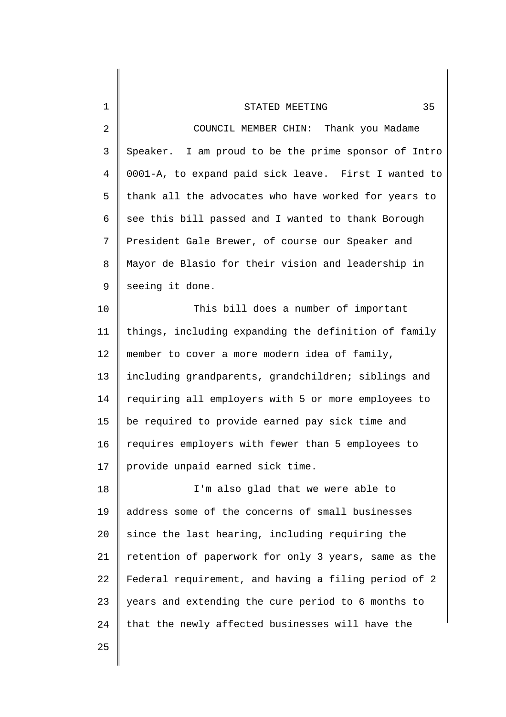| $\mathbf 1$ | 35<br>STATED MEETING                                 |
|-------------|------------------------------------------------------|
| 2           | COUNCIL MEMBER CHIN: Thank you Madame                |
| 3           | Speaker. I am proud to be the prime sponsor of Intro |
| 4           | 0001-A, to expand paid sick leave. First I wanted to |
| 5           | thank all the advocates who have worked for years to |
| 6           | see this bill passed and I wanted to thank Borough   |
| 7           | President Gale Brewer, of course our Speaker and     |
| 8           | Mayor de Blasio for their vision and leadership in   |
| 9           | seeing it done.                                      |
| 10          | This bill does a number of important                 |
| 11          | things, including expanding the definition of family |
| 12          | member to cover a more modern idea of family,        |
| 13          | including grandparents, grandchildren; siblings and  |
| 14          | requiring all employers with 5 or more employees to  |
| 15          | be required to provide earned pay sick time and      |
| 16          | requires employers with fewer than 5 employees to    |
| 17          | provide unpaid earned sick time.                     |
| 18          | I'm also glad that we were able to                   |
| 19          | address some of the concerns of small businesses     |
| 20          | since the last hearing, including requiring the      |
| 21          | retention of paperwork for only 3 years, same as the |
| 22          | Federal requirement, and having a filing period of 2 |
| 23          | years and extending the cure period to 6 months to   |
| 24          | that the newly affected businesses will have the     |
| 25          |                                                      |
|             |                                                      |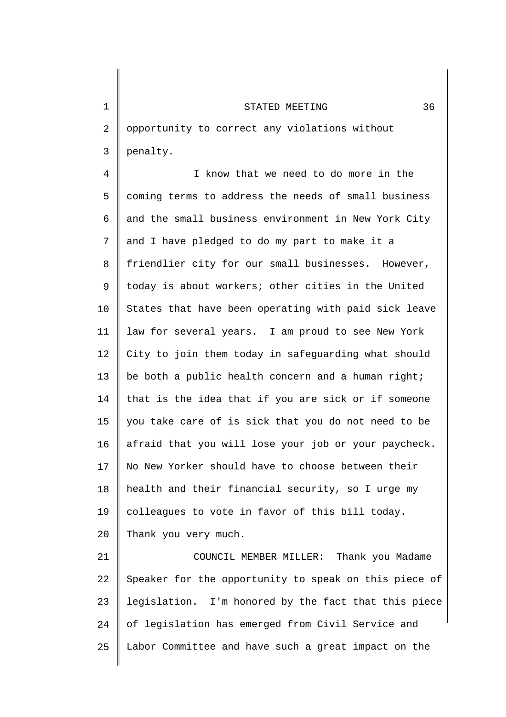2 3 opportunity to correct any violations without penalty.

1

4 5 6 7 8 9 10 11 12 13 14 15 16 17 18 19 20 I know that we need to do more in the coming terms to address the needs of small business and the small business environment in New York City and I have pledged to do my part to make it a friendlier city for our small businesses. However, today is about workers; other cities in the United States that have been operating with paid sick leave law for several years. I am proud to see New York City to join them today in safeguarding what should be both a public health concern and a human right; that is the idea that if you are sick or if someone you take care of is sick that you do not need to be afraid that you will lose your job or your paycheck. No New Yorker should have to choose between their health and their financial security, so I urge my colleagues to vote in favor of this bill today. Thank you very much.

21 22 23 24 25 COUNCIL MEMBER MILLER: Thank you Madame Speaker for the opportunity to speak on this piece of legislation. I'm honored by the fact that this piece of legislation has emerged from Civil Service and Labor Committee and have such a great impact on the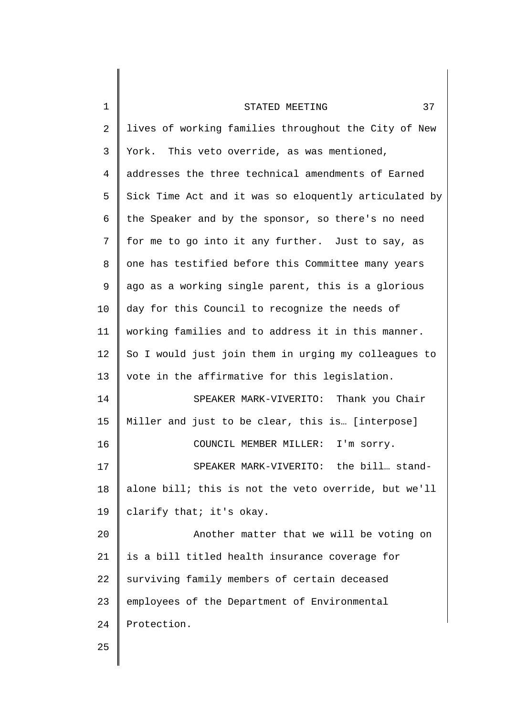| $\mathbf 1$ | 37<br>STATED MEETING                                  |
|-------------|-------------------------------------------------------|
| 2           | lives of working families throughout the City of New  |
| 3           | York. This veto override, as was mentioned,           |
| 4           | addresses the three technical amendments of Earned    |
| 5           | Sick Time Act and it was so eloquently articulated by |
| 6           | the Speaker and by the sponsor, so there's no need    |
| 7           | for me to go into it any further. Just to say, as     |
| 8           | one has testified before this Committee many years    |
| 9           | ago as a working single parent, this is a glorious    |
| 10          | day for this Council to recognize the needs of        |
| 11          | working families and to address it in this manner.    |
| 12          | So I would just join them in urging my colleagues to  |
| 13          | vote in the affirmative for this legislation.         |
| 14          | SPEAKER MARK-VIVERITO: Thank you Chair                |
| 15          | Miller and just to be clear, this is [interpose]      |
| 16          | COUNCIL MEMBER MILLER:<br>I'm sorry.                  |
| 17          | SPEAKER MARK-VIVERITO: the bill stand-                |
| 18          | alone bill; this is not the veto override, but we'll  |
| 19          | clarify that; it's okay.                              |
| 20          | Another matter that we will be voting on              |
| 21          | is a bill titled health insurance coverage for        |
| 22          | surviving family members of certain deceased          |
| 23          | employees of the Department of Environmental          |
| 24          | Protection.                                           |
| 25          |                                                       |
|             |                                                       |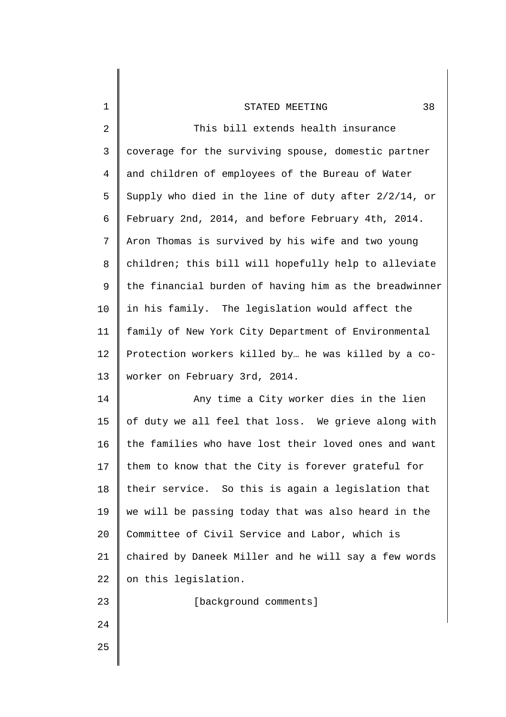| 1            | 38<br>STATED MEETING                                  |
|--------------|-------------------------------------------------------|
| $\sqrt{2}$   | This bill extends health insurance                    |
| $\mathsf{3}$ | coverage for the surviving spouse, domestic partner   |
| 4            | and children of employees of the Bureau of Water      |
| 5            | Supply who died in the line of duty after 2/2/14, or  |
| 6            | February 2nd, 2014, and before February 4th, 2014.    |
| 7            | Aron Thomas is survived by his wife and two young     |
| 8            | children; this bill will hopefully help to alleviate  |
| 9            | the financial burden of having him as the breadwinner |
| 10           | in his family. The legislation would affect the       |
| 11           | family of New York City Department of Environmental   |
| 12           | Protection workers killed by he was killed by a co-   |
| 13           | worker on February 3rd, 2014.                         |
| 14           | Any time a City worker dies in the lien               |
| 15           | of duty we all feel that loss. We grieve along with   |
| 16           | the families who have lost their loved ones and want  |
| 17           | them to know that the City is forever grateful for    |
| 18           | their service. So this is again a legislation that    |
| 19           | we will be passing today that was also heard in the   |
| 20           | Committee of Civil Service and Labor, which is        |
| 21           | chaired by Daneek Miller and he will say a few words  |
| 22           | on this legislation.                                  |
| 23           | [background comments]                                 |
| 24           |                                                       |
| 25           |                                                       |
|              |                                                       |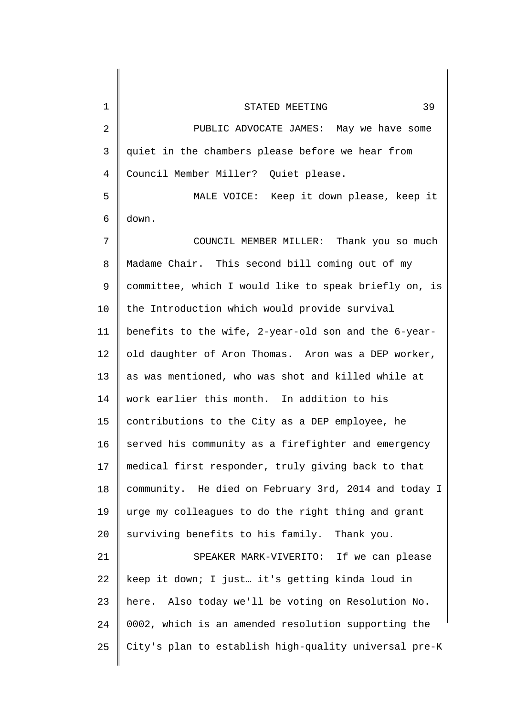| $\mathbf 1$ | 39<br>STATED MEETING                                  |
|-------------|-------------------------------------------------------|
| 2           | PUBLIC ADVOCATE JAMES: May we have some               |
| 3           | quiet in the chambers please before we hear from      |
| 4           | Council Member Miller? Quiet please.                  |
| 5           | MALE VOICE: Keep it down please, keep it              |
| 6           | down.                                                 |
| 7           | COUNCIL MEMBER MILLER: Thank you so much              |
| 8           | Madame Chair. This second bill coming out of my       |
| 9           | committee, which I would like to speak briefly on, is |
| 10          | the Introduction which would provide survival         |
| 11          | benefits to the wife, 2-year-old son and the 6-year-  |
| 12          | old daughter of Aron Thomas. Aron was a DEP worker,   |
| 13          | as was mentioned, who was shot and killed while at    |
| 14          | work earlier this month. In addition to his           |
| 15          | contributions to the City as a DEP employee, he       |
| 16          | served his community as a firefighter and emergency   |
| 17          | medical first responder, truly giving back to that    |
| 18          | community. He died on February 3rd, 2014 and today I  |
| 19          | urge my colleagues to do the right thing and grant    |
| 20          | surviving benefits to his family. Thank you.          |
| 21          | SPEAKER MARK-VIVERITO: If we can please               |
| 22          | keep it down; I just it's getting kinda loud in       |
| 23          | here. Also today we'll be voting on Resolution No.    |
| 24          | 0002, which is an amended resolution supporting the   |
| 25          | City's plan to establish high-quality universal pre-K |
|             |                                                       |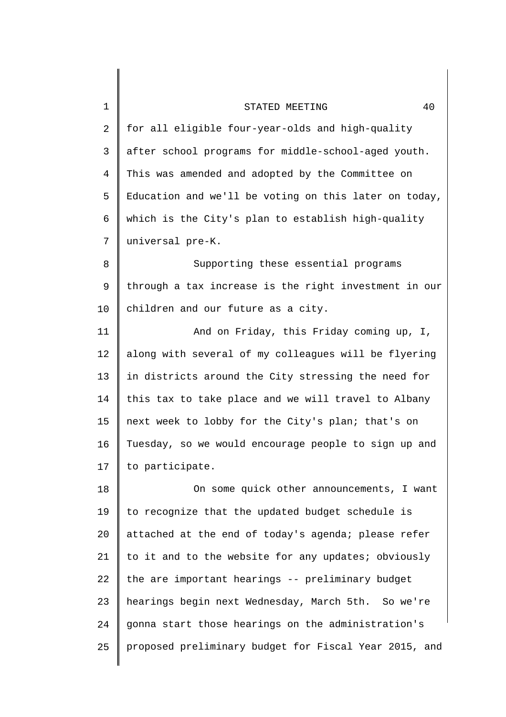| $\mathbf 1$    | 40<br>STATED MEETING                                  |
|----------------|-------------------------------------------------------|
| $\overline{2}$ | for all eligible four-year-olds and high-quality      |
| 3              | after school programs for middle-school-aged youth.   |
| $\overline{4}$ | This was amended and adopted by the Committee on      |
| 5              | Education and we'll be voting on this later on today, |
| 6              | which is the City's plan to establish high-quality    |
| 7              | universal pre-K.                                      |
| 8              | Supporting these essential programs                   |
| 9              | through a tax increase is the right investment in our |
| 10             | children and our future as a city.                    |
| 11             | And on Friday, this Friday coming up, I,              |
| 12             | along with several of my colleagues will be flyering  |
| 13             | in districts around the City stressing the need for   |
| 14             | this tax to take place and we will travel to Albany   |
| 15             | next week to lobby for the City's plan; that's on     |
| 16             | Tuesday, so we would encourage people to sign up and  |
| 17             | to participate.                                       |
| 18             | On some quick other announcements, I want             |
| 19             | to recognize that the updated budget schedule is      |
| 20             | attached at the end of today's agenda; please refer   |
| 21             | to it and to the website for any updates; obviously   |
| 22             | the are important hearings -- preliminary budget      |
| 23             | hearings begin next Wednesday, March 5th. So we're    |
| 24             | gonna start those hearings on the administration's    |
| 25             | proposed preliminary budget for Fiscal Year 2015, and |
|                |                                                       |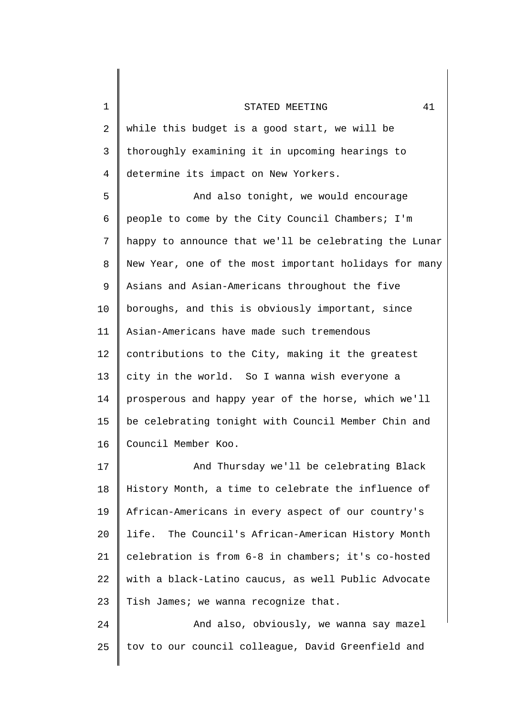| $\mathbf 1$ | 41<br>STATED MEETING                                  |
|-------------|-------------------------------------------------------|
| 2           | while this budget is a good start, we will be         |
| 3           | thoroughly examining it in upcoming hearings to       |
| 4           | determine its impact on New Yorkers.                  |
| 5           | And also tonight, we would encourage                  |
| 6           | people to come by the City Council Chambers; I'm      |
| 7           | happy to announce that we'll be celebrating the Lunar |
| 8           | New Year, one of the most important holidays for many |
| 9           | Asians and Asian-Americans throughout the five        |
| 10          | boroughs, and this is obviously important, since      |
| 11          | Asian-Americans have made such tremendous             |
| 12          | contributions to the City, making it the greatest     |
| 13          | city in the world. So I wanna wish everyone a         |
| 14          | prosperous and happy year of the horse, which we'll   |
| 15          | be celebrating tonight with Council Member Chin and   |
| 16          | Council Member Koo.                                   |
| 17          | And Thursday we'll be celebrating Black               |
| 18          | History Month, a time to celebrate the influence of   |
| 19          | African-Americans in every aspect of our country's    |
| 20          | The Council's African-American History Month<br>life. |
| 21          | celebration is from 6-8 in chambers; it's co-hosted   |
| 22          | with a black-Latino caucus, as well Public Advocate   |
| 23          | Tish James; we wanna recognize that.                  |
| 24          | And also, obviously, we wanna say mazel               |
| 25          | tov to our council colleague, David Greenfield and    |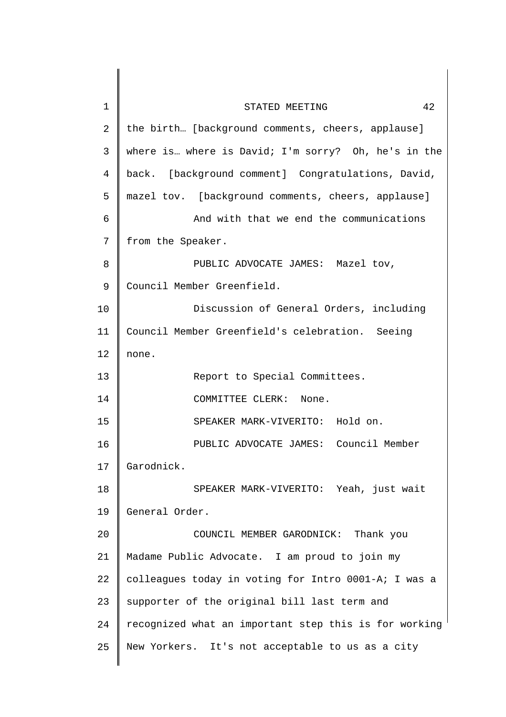| $\mathbf 1$<br>$\overline{2}$<br>3<br>$\overline{4}$<br>5 | 42<br>STATED MEETING<br>the birth [background comments, cheers, applause]<br>where is where is David; I'm sorry? Oh, he's in the<br>back. [background comment] Congratulations, David,<br>mazel tov. [background comments, cheers, applause]<br>And with that we end the communications<br>from the Speaker.<br>PUBLIC ADVOCATE JAMES: Mazel tov, |
|-----------------------------------------------------------|---------------------------------------------------------------------------------------------------------------------------------------------------------------------------------------------------------------------------------------------------------------------------------------------------------------------------------------------------|
|                                                           |                                                                                                                                                                                                                                                                                                                                                   |
|                                                           |                                                                                                                                                                                                                                                                                                                                                   |
|                                                           |                                                                                                                                                                                                                                                                                                                                                   |
|                                                           |                                                                                                                                                                                                                                                                                                                                                   |
|                                                           |                                                                                                                                                                                                                                                                                                                                                   |
| 6                                                         |                                                                                                                                                                                                                                                                                                                                                   |
| 7                                                         |                                                                                                                                                                                                                                                                                                                                                   |
| 8                                                         |                                                                                                                                                                                                                                                                                                                                                   |
| 9                                                         | Council Member Greenfield.                                                                                                                                                                                                                                                                                                                        |
| 10                                                        | Discussion of General Orders, including                                                                                                                                                                                                                                                                                                           |
| 11                                                        | Council Member Greenfield's celebration. Seeing                                                                                                                                                                                                                                                                                                   |
| 12                                                        | none.                                                                                                                                                                                                                                                                                                                                             |
| 13                                                        | Report to Special Committees.                                                                                                                                                                                                                                                                                                                     |
| 14                                                        | COMMITTEE CLERK:<br>None.                                                                                                                                                                                                                                                                                                                         |
| 15                                                        | SPEAKER MARK-VIVERITO: Hold on.                                                                                                                                                                                                                                                                                                                   |
| 16                                                        | PUBLIC ADVOCATE JAMES:<br>Council Member                                                                                                                                                                                                                                                                                                          |
| 17                                                        | Garodnick.                                                                                                                                                                                                                                                                                                                                        |
| 18                                                        | SPEAKER MARK-VIVERITO: Yeah, just wait                                                                                                                                                                                                                                                                                                            |
| 19                                                        | General Order.                                                                                                                                                                                                                                                                                                                                    |
| 20                                                        | Thank you<br>COUNCIL MEMBER GARODNICK:                                                                                                                                                                                                                                                                                                            |
| 21                                                        | Madame Public Advocate. I am proud to join my                                                                                                                                                                                                                                                                                                     |
| 22                                                        | colleagues today in voting for Intro 0001-A; I was a                                                                                                                                                                                                                                                                                              |
| 23                                                        | supporter of the original bill last term and                                                                                                                                                                                                                                                                                                      |
| 24                                                        | recognized what an important step this is for working                                                                                                                                                                                                                                                                                             |
| 25                                                        | New Yorkers. It's not acceptable to us as a city                                                                                                                                                                                                                                                                                                  |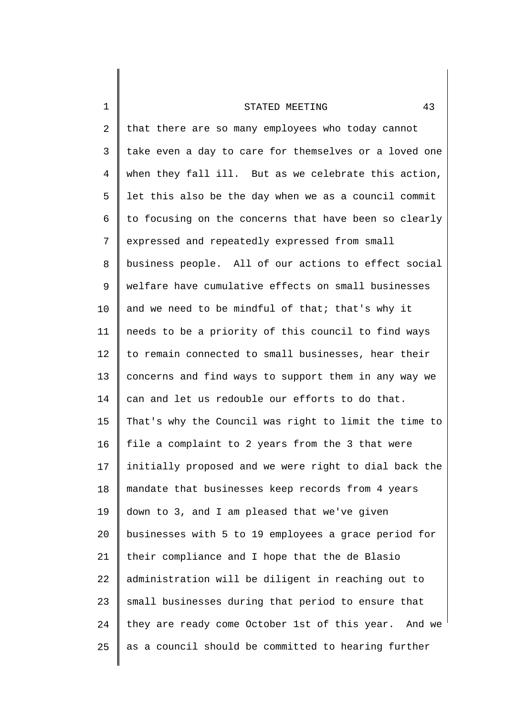| $\mathbf{1}$ | 43<br>STATED MEETING                                  |
|--------------|-------------------------------------------------------|
| 2            | that there are so many employees who today cannot     |
| 3            | take even a day to care for themselves or a loved one |
| 4            | when they fall ill. But as we celebrate this action,  |
| 5            | let this also be the day when we as a council commit  |
| 6            | to focusing on the concerns that have been so clearly |
| 7            | expressed and repeatedly expressed from small         |
| 8            | business people. All of our actions to effect social  |
| 9            | welfare have cumulative effects on small businesses   |
| 10           | and we need to be mindful of that; that's why it      |
| 11           | needs to be a priority of this council to find ways   |
| 12           | to remain connected to small businesses, hear their   |
| 13           | concerns and find ways to support them in any way we  |
| 14           | can and let us redouble our efforts to do that.       |
| 15           | That's why the Council was right to limit the time to |
| 16           | file a complaint to 2 years from the 3 that were      |
| 17           | initially proposed and we were right to dial back the |
| 18           | mandate that businesses keep records from 4 years     |
| 19           | down to 3, and I am pleased that we've given          |
| 20           | businesses with 5 to 19 employees a grace period for  |
| 21           | their compliance and I hope that the de Blasio        |
| 22           | administration will be diligent in reaching out to    |
| 23           | small businesses during that period to ensure that    |
| 24           | they are ready come October 1st of this year. And we  |
| 25           | as a council should be committed to hearing further   |
|              |                                                       |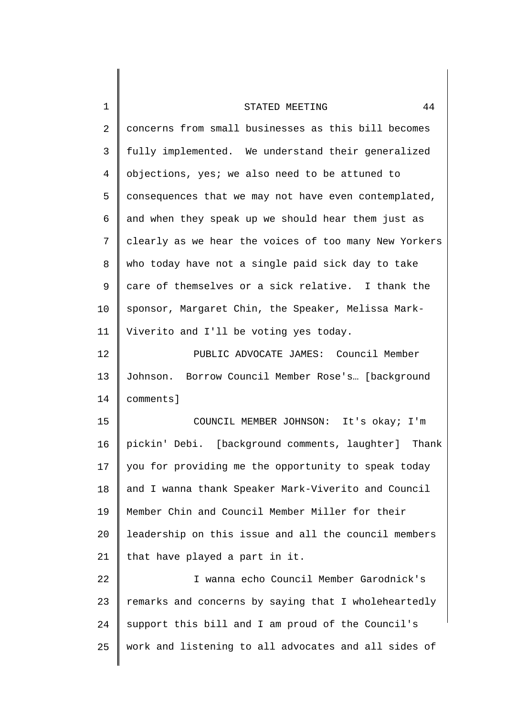| 1  | 44<br>STATED MEETING                                   |
|----|--------------------------------------------------------|
| 2  | concerns from small businesses as this bill becomes    |
| 3  | fully implemented. We understand their generalized     |
| 4  | objections, yes; we also need to be attuned to         |
| 5  | consequences that we may not have even contemplated,   |
| 6  | and when they speak up we should hear them just as     |
| 7  | clearly as we hear the voices of too many New Yorkers  |
| 8  | who today have not a single paid sick day to take      |
| 9  | care of themselves or a sick relative. I thank the     |
| 10 | sponsor, Margaret Chin, the Speaker, Melissa Mark-     |
| 11 | Viverito and I'll be voting yes today.                 |
| 12 | PUBLIC ADVOCATE JAMES: Council Member                  |
| 13 | Johnson. Borrow Council Member Rose's [background      |
| 14 | comments]                                              |
| 15 | COUNCIL MEMBER JOHNSON: It's okay; I'm                 |
| 16 | pickin' Debi. [background comments, laughter]<br>Thank |
| 17 | you for providing me the opportunity to speak today    |
| 18 | and I wanna thank Speaker Mark-Viverito and Council    |
| 19 | Member Chin and Council Member Miller for their        |
| 20 | leadership on this issue and all the council members   |
| 21 | that have played a part in it.                         |
| 22 | I wanna echo Council Member Garodnick's                |
| 23 | remarks and concerns by saying that I wholeheartedly   |
| 24 | support this bill and I am proud of the Council's      |
| 25 | work and listening to all advocates and all sides of   |
|    |                                                        |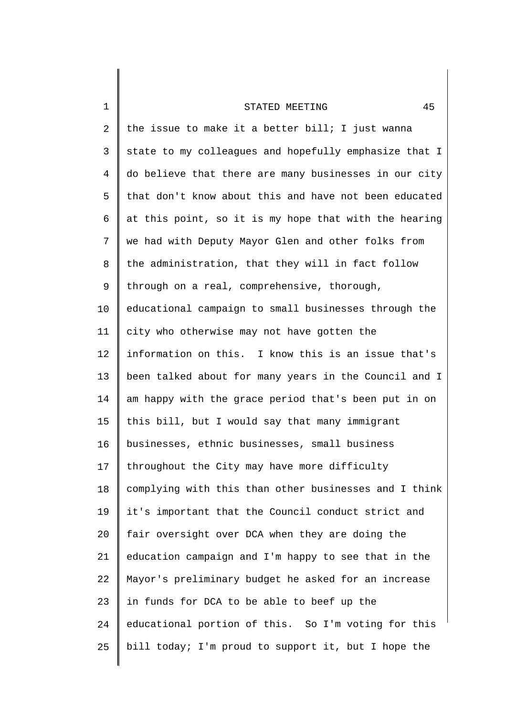| 1  | 45<br>STATED MEETING                                  |
|----|-------------------------------------------------------|
| 2  | the issue to make it a better bill; I just wanna      |
| 3  | state to my colleagues and hopefully emphasize that I |
| 4  | do believe that there are many businesses in our city |
| 5  | that don't know about this and have not been educated |
| 6  | at this point, so it is my hope that with the hearing |
| 7  | we had with Deputy Mayor Glen and other folks from    |
| 8  | the administration, that they will in fact follow     |
| 9  | through on a real, comprehensive, thorough,           |
| 10 | educational campaign to small businesses through the  |
| 11 | city who otherwise may not have gotten the            |
| 12 | information on this. I know this is an issue that's   |
| 13 | been talked about for many years in the Council and I |
| 14 | am happy with the grace period that's been put in on  |
| 15 | this bill, but I would say that many immigrant        |
| 16 | businesses, ethnic businesses, small business         |
| 17 | throughout the City may have more difficulty          |
| 18 | complying with this than other businesses and I think |
| 19 | it's important that the Council conduct strict and    |
| 20 | fair oversight over DCA when they are doing the       |
| 21 | education campaign and I'm happy to see that in the   |
| 22 | Mayor's preliminary budget he asked for an increase   |
| 23 | in funds for DCA to be able to beef up the            |
| 24 | educational portion of this. So I'm voting for this   |
| 25 | bill today; I'm proud to support it, but I hope the   |
|    |                                                       |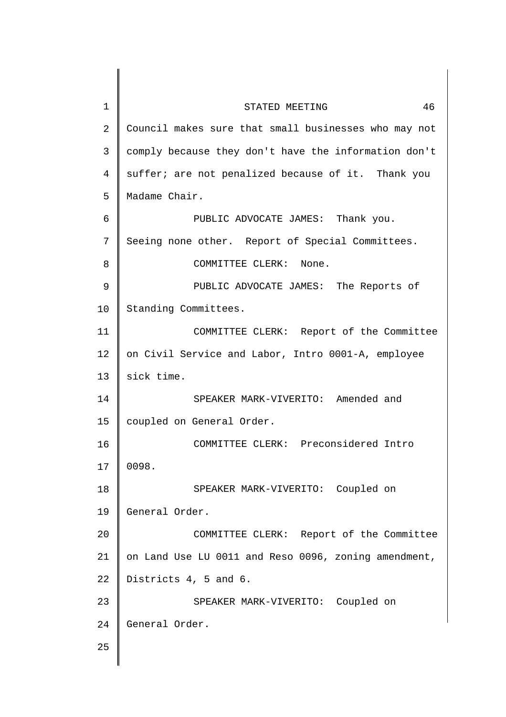| $\mathbf{1}$    | 46<br>STATED MEETING                                 |
|-----------------|------------------------------------------------------|
| $\overline{2}$  | Council makes sure that small businesses who may not |
| $\mathsf{3}$    | comply because they don't have the information don't |
| 4               | suffer; are not penalized because of it. Thank you   |
| 5               | Madame Chair.                                        |
| 6               | PUBLIC ADVOCATE JAMES: Thank you.                    |
| 7               | Seeing none other. Report of Special Committees.     |
| 8               | COMMITTEE CLERK: None.                               |
| 9               | PUBLIC ADVOCATE JAMES: The Reports of                |
| 10              | Standing Committees.                                 |
| 11              | COMMITTEE CLERK: Report of the Committee             |
| 12 <sup>°</sup> | on Civil Service and Labor, Intro 0001-A, employee   |
| 13              | sick time.                                           |
| 14              | SPEAKER MARK-VIVERITO: Amended and                   |
| 15              | coupled on General Order.                            |
| 16              | COMMITTEE CLERK:<br>Preconsidered Intro              |
| 17              | 0098.                                                |
| 18              | SPEAKER MARK-VIVERITO: Coupled on                    |
| 19              | General Order.                                       |
| 20              | COMMITTEE CLERK: Report of the Committee             |
| 21              | on Land Use LU 0011 and Reso 0096, zoning amendment, |
| 22              | Districts 4, 5 and 6.                                |
| 23              | SPEAKER MARK-VIVERITO: Coupled on                    |
| 24              | General Order.                                       |
| 25              |                                                      |
|                 |                                                      |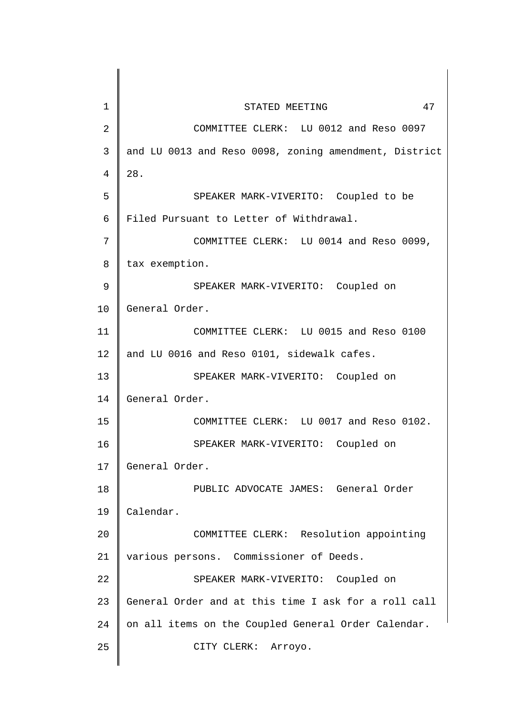| 1              | 47<br>STATED MEETING                                  |
|----------------|-------------------------------------------------------|
| $\overline{2}$ | COMMITTEE CLERK: LU 0012 and Reso 0097                |
| 3              | and LU 0013 and Reso 0098, zoning amendment, District |
| 4              | 28.                                                   |
| 5              | SPEAKER MARK-VIVERITO: Coupled to be                  |
| 6              | Filed Pursuant to Letter of Withdrawal.               |
| 7              | COMMITTEE CLERK: LU 0014 and Reso 0099,               |
| 8              | tax exemption.                                        |
| 9              | SPEAKER MARK-VIVERITO: Coupled on                     |
| 10             | General Order.                                        |
| 11             | COMMITTEE CLERK: LU 0015 and Reso 0100                |
| 12             | and LU 0016 and Reso 0101, sidewalk cafes.            |
| 13             | SPEAKER MARK-VIVERITO: Coupled on                     |
| 14             | General Order.                                        |
| 15             | COMMITTEE CLERK: LU 0017 and Reso 0102.               |
| 16             | SPEAKER MARK-VIVERITO: Coupled on                     |
| 17             | General Order.                                        |
| 18             | PUBLIC ADVOCATE JAMES: General Order                  |
| 19             | Calendar.                                             |
| 20             | COMMITTEE CLERK: Resolution appointing                |
| 21             | various persons. Commissioner of Deeds.               |
| 22             | SPEAKER MARK-VIVERITO: Coupled on                     |
| 23             | General Order and at this time I ask for a roll call  |
| 24             | on all items on the Coupled General Order Calendar.   |
| 25             | CITY CLERK: Arroyo.                                   |
|                |                                                       |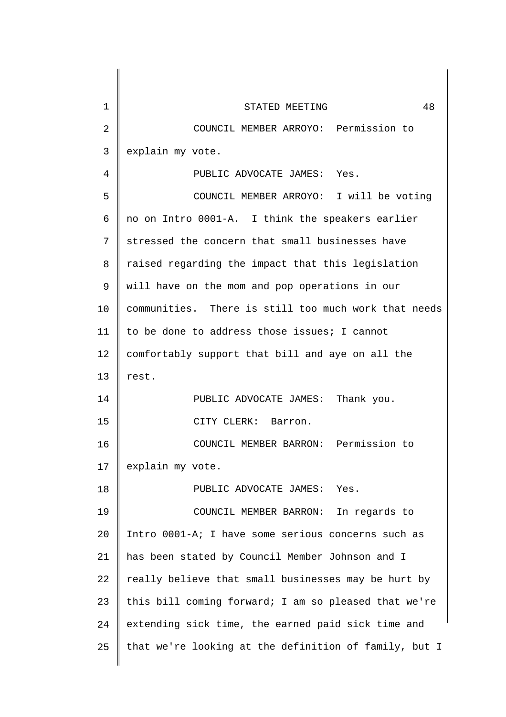| $\mathbf{1}$ | 48<br>STATED MEETING                                  |
|--------------|-------------------------------------------------------|
| 2            | COUNCIL MEMBER ARROYO: Permission to                  |
| 3            | explain my vote.                                      |
| 4            | PUBLIC ADVOCATE JAMES: Yes.                           |
| 5            | COUNCIL MEMBER ARROYO: I will be voting               |
| 6            | no on Intro 0001-A. I think the speakers earlier      |
| 7            | stressed the concern that small businesses have       |
| 8            | raised regarding the impact that this legislation     |
| 9            | will have on the mom and pop operations in our        |
| 10           | communities. There is still too much work that needs  |
| 11           | to be done to address those issues; I cannot          |
| 12           | comfortably support that bill and aye on all the      |
| 13           | rest.                                                 |
| 14           | PUBLIC ADVOCATE JAMES: Thank you.                     |
| 15           | CITY CLERK: Barron.                                   |
| 16           | COUNCIL MEMBER BARRON: Permission to                  |
| 17           | explain my vote.                                      |
| 18           | PUBLIC ADVOCATE JAMES:<br>Yes.                        |
| 19           | COUNCIL MEMBER BARRON: In regards to                  |
| 20           | Intro 0001-A; I have some serious concerns such as    |
| 21           | has been stated by Council Member Johnson and I       |
| 22           | really believe that small businesses may be hurt by   |
| 23           | this bill coming forward; I am so pleased that we're  |
| 24           | extending sick time, the earned paid sick time and    |
| 25           | that we're looking at the definition of family, but I |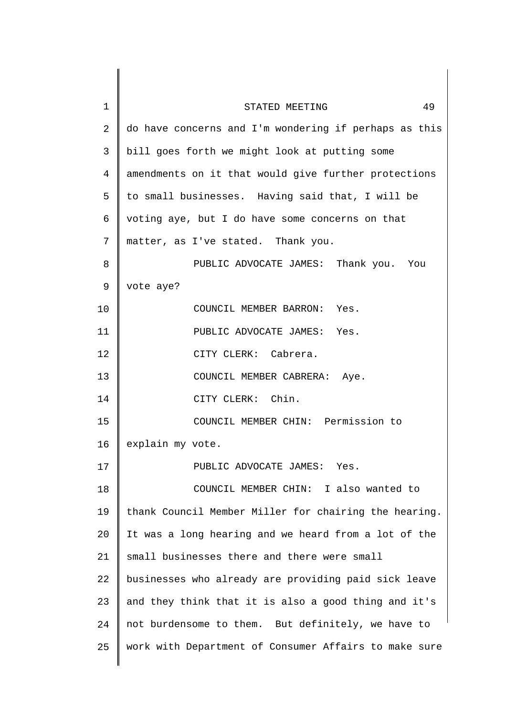| $\mathbf 1$    | 49<br>STATED MEETING                                  |
|----------------|-------------------------------------------------------|
| $\overline{2}$ | do have concerns and I'm wondering if perhaps as this |
| 3              | bill goes forth we might look at putting some         |
| $\overline{4}$ | amendments on it that would give further protections  |
| 5              | to small businesses. Having said that, I will be      |
| 6              | voting aye, but I do have some concerns on that       |
| 7              | matter, as I've stated. Thank you.                    |
| 8              | PUBLIC ADVOCATE JAMES: Thank you. You                 |
| 9              | vote aye?                                             |
| 10             | COUNCIL MEMBER BARRON: Yes.                           |
| 11             | PUBLIC ADVOCATE JAMES: Yes.                           |
| 12             | CITY CLERK: Cabrera.                                  |
| 13             | COUNCIL MEMBER CABRERA: Aye.                          |
| 14             | CITY CLERK: Chin.                                     |
| 15             | COUNCIL MEMBER CHIN: Permission to                    |
| 16             | explain my vote.                                      |
| 17             | PUBLIC ADVOCATE JAMES: Yes.                           |
| 18             | COUNCIL MEMBER CHIN: I also wanted to                 |
| 19             | thank Council Member Miller for chairing the hearing. |
| 20             | It was a long hearing and we heard from a lot of the  |
| 21             | small businesses there and there were small           |
| 22             | businesses who already are providing paid sick leave  |
| 23             | and they think that it is also a good thing and it's  |
| 24             | not burdensome to them. But definitely, we have to    |
| 25             | work with Department of Consumer Affairs to make sure |
|                |                                                       |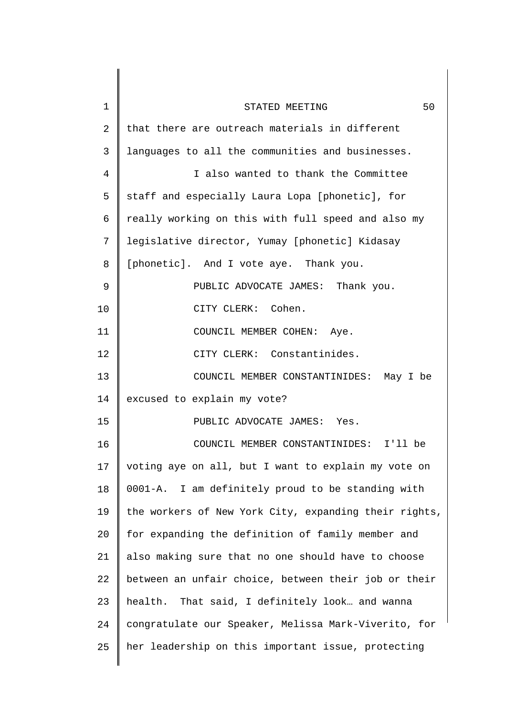| $\mathbf 1$    | 50<br>STATED MEETING                                  |
|----------------|-------------------------------------------------------|
| $\overline{2}$ | that there are outreach materials in different        |
| 3              | languages to all the communities and businesses.      |
| 4              | I also wanted to thank the Committee                  |
| 5              | staff and especially Laura Lopa [phonetic], for       |
| 6              | really working on this with full speed and also my    |
| 7              | legislative director, Yumay [phonetic] Kidasay        |
| 8              | [phonetic]. And I vote aye. Thank you.                |
| 9              | PUBLIC ADVOCATE JAMES: Thank you.                     |
| 10             | CITY CLERK: Cohen.                                    |
| 11             | COUNCIL MEMBER COHEN: Aye.                            |
| 12             | CITY CLERK: Constantinides.                           |
| 13             | COUNCIL MEMBER CONSTANTINIDES: May I be               |
| 14             | excused to explain my vote?                           |
| 15             | PUBLIC ADVOCATE JAMES: Yes.                           |
| 16             | COUNCIL MEMBER CONSTANTINIDES:<br>I'll be             |
| 17             | voting aye on all, but I want to explain my vote on   |
| 18             | 0001-A. I am definitely proud to be standing with     |
| 19             | the workers of New York City, expanding their rights, |
| 20             | for expanding the definition of family member and     |
| 21             | also making sure that no one should have to choose    |
| 22             | between an unfair choice, between their job or their  |
| 23             | health. That said, I definitely look and wanna        |
| 24             | congratulate our Speaker, Melissa Mark-Viverito, for  |
| 25             | her leadership on this important issue, protecting    |
|                |                                                       |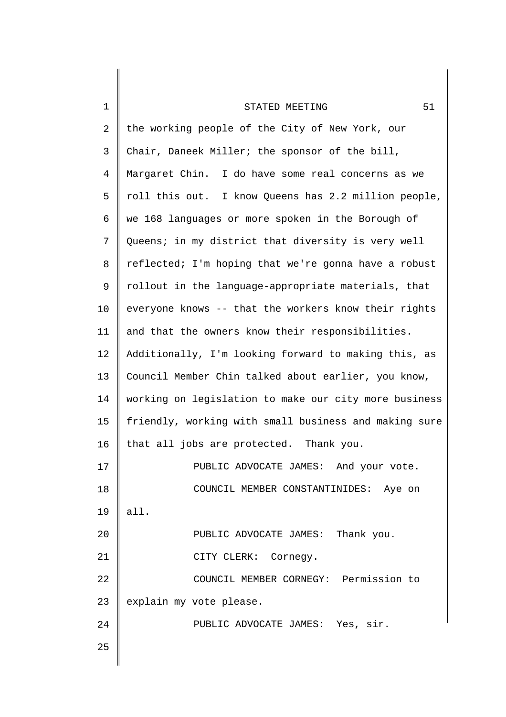| $\mathbf{1}$ | 51<br>STATED MEETING                                  |
|--------------|-------------------------------------------------------|
| 2            | the working people of the City of New York, our       |
| 3            | Chair, Daneek Miller; the sponsor of the bill,        |
| 4            | Margaret Chin. I do have some real concerns as we     |
| 5            | roll this out. I know Queens has 2.2 million people,  |
| 6            | we 168 languages or more spoken in the Borough of     |
| 7            | Queens; in my district that diversity is very well    |
| 8            | reflected; I'm hoping that we're gonna have a robust  |
| 9            | rollout in the language-appropriate materials, that   |
| 10           | everyone knows -- that the workers know their rights  |
| 11           | and that the owners know their responsibilities.      |
| 12           | Additionally, I'm looking forward to making this, as  |
| 13           | Council Member Chin talked about earlier, you know,   |
| 14           | working on legislation to make our city more business |
| 15           | friendly, working with small business and making sure |
| 16           | that all jobs are protected.<br>Thank you.            |
| 17           | PUBLIC ADVOCATE JAMES: And your vote.                 |
| 18           | COUNCIL MEMBER CONSTANTINIDES: Aye on                 |
| 19           | all.                                                  |
| 20           | PUBLIC ADVOCATE JAMES: Thank you.                     |
| 21           | CITY CLERK: Cornegy.                                  |
| 22           | COUNCIL MEMBER CORNEGY: Permission to                 |
| 23           | explain my vote please.                               |
| 24           | PUBLIC ADVOCATE JAMES: Yes, sir.                      |
| 25           |                                                       |
|              |                                                       |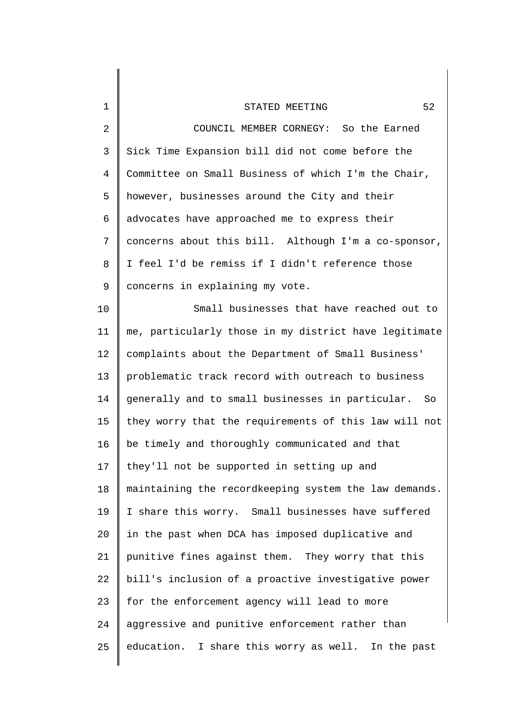| 1              | 52<br>STATED MEETING                                  |
|----------------|-------------------------------------------------------|
| $\overline{2}$ | COUNCIL MEMBER CORNEGY: So the Earned                 |
| 3              | Sick Time Expansion bill did not come before the      |
| 4              | Committee on Small Business of which I'm the Chair,   |
| 5              | however, businesses around the City and their         |
| 6              | advocates have approached me to express their         |
| 7              | concerns about this bill. Although I'm a co-sponsor,  |
| 8              | I feel I'd be remiss if I didn't reference those      |
| 9              | concerns in explaining my vote.                       |
| 10             | Small businesses that have reached out to             |
| 11             | me, particularly those in my district have legitimate |
| 12             | complaints about the Department of Small Business'    |
| 13             | problematic track record with outreach to business    |
| 14             | generally and to small businesses in particular. So   |
| 15             | they worry that the requirements of this law will not |
| 16             | be timely and thoroughly communicated and that        |
| 17             | they'll not be supported in setting up and            |
| 18             | maintaining the recordkeeping system the law demands. |
| 19             | I share this worry. Small businesses have suffered    |
| 20             | in the past when DCA has imposed duplicative and      |
| 21             | punitive fines against them. They worry that this     |
| 22             | bill's inclusion of a proactive investigative power   |
| 23             | for the enforcement agency will lead to more          |
| 24             | aggressive and punitive enforcement rather than       |
| 25             | education. I share this worry as well. In the past    |
|                |                                                       |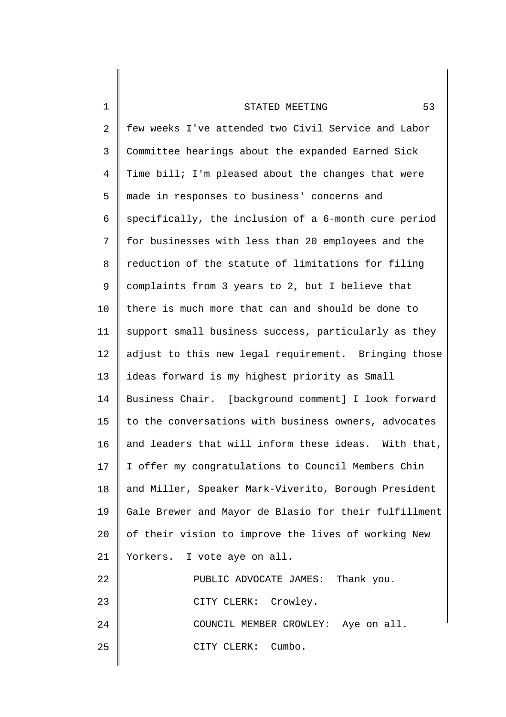| $\mathbf 1$    | 53<br>STATED MEETING                                  |
|----------------|-------------------------------------------------------|
| $\overline{c}$ | few weeks I've attended two Civil Service and Labor   |
| 3              | Committee hearings about the expanded Earned Sick     |
| 4              | Time bill; I'm pleased about the changes that were    |
| 5              | made in responses to business' concerns and           |
| 6              | specifically, the inclusion of a 6-month cure period  |
| 7              | for businesses with less than 20 employees and the    |
| 8              | reduction of the statute of limitations for filing    |
| 9              | complaints from 3 years to 2, but I believe that      |
| 10             | there is much more that can and should be done to     |
| 11             | support small business success, particularly as they  |
| 12             | adjust to this new legal requirement. Bringing those  |
| 13             | ideas forward is my highest priority as Small         |
| 14             | Business Chair. [background comment] I look forward   |
| 15             | to the conversations with business owners, advocates  |
| 16             | and leaders that will inform these ideas. With that,  |
| 17             | I offer my congratulations to Council Members Chin    |
| 18             | and Miller, Speaker Mark-Viverito, Borough President  |
| 19             | Gale Brewer and Mayor de Blasio for their fulfillment |
| 20             | of their vision to improve the lives of working New   |
| 21             | Yorkers. I vote aye on all.                           |
| 22             | PUBLIC ADVOCATE JAMES: Thank you.                     |
| 23             | CITY CLERK: Crowley.                                  |
| 24             | COUNCIL MEMBER CROWLEY: Aye on all.                   |
| 25             | CITY CLERK:<br>Cumbo.                                 |
|                |                                                       |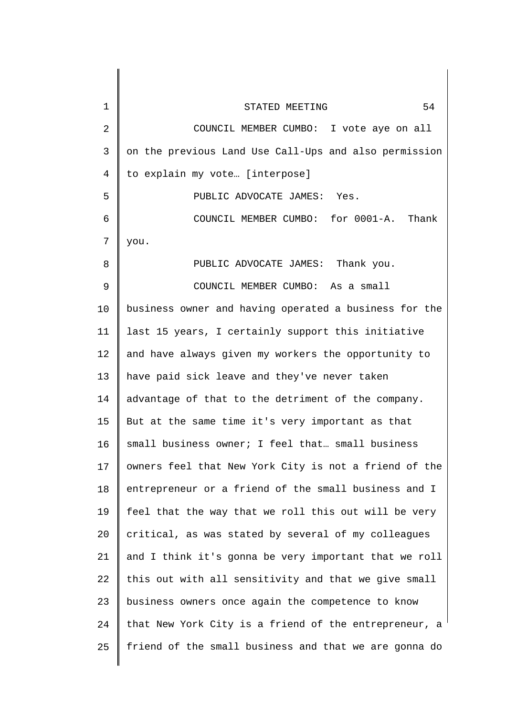| 1              | 54<br>STATED MEETING                                  |
|----------------|-------------------------------------------------------|
| $\overline{2}$ | COUNCIL MEMBER CUMBO: I vote aye on all               |
| 3              | on the previous Land Use Call-Ups and also permission |
| 4              | to explain my vote [interpose]                        |
| 5              | PUBLIC ADVOCATE JAMES: Yes.                           |
| 6              | COUNCIL MEMBER CUMBO: for 0001-A. Thank               |
| 7              | you.                                                  |
| 8              | PUBLIC ADVOCATE JAMES: Thank you.                     |
| 9              | COUNCIL MEMBER CUMBO: As a small                      |
| 10             | business owner and having operated a business for the |
| 11             | last 15 years, I certainly support this initiative    |
| 12             | and have always given my workers the opportunity to   |
| 13             | have paid sick leave and they've never taken          |
| 14             | advantage of that to the detriment of the company.    |
| 15             | But at the same time it's very important as that      |
| 16             | small business owner; I feel that small business      |
| 17             | owners feel that New York City is not a friend of the |
| 18             | entrepreneur or a friend of the small business and I  |
| 19             | feel that the way that we roll this out will be very  |
| 20             | critical, as was stated by several of my colleagues   |
| 21             | and I think it's gonna be very important that we roll |
| 22             | this out with all sensitivity and that we give small  |
| 23             | business owners once again the competence to know     |
| 24             | that New York City is a friend of the entrepreneur, a |
| 25             | friend of the small business and that we are gonna do |
|                |                                                       |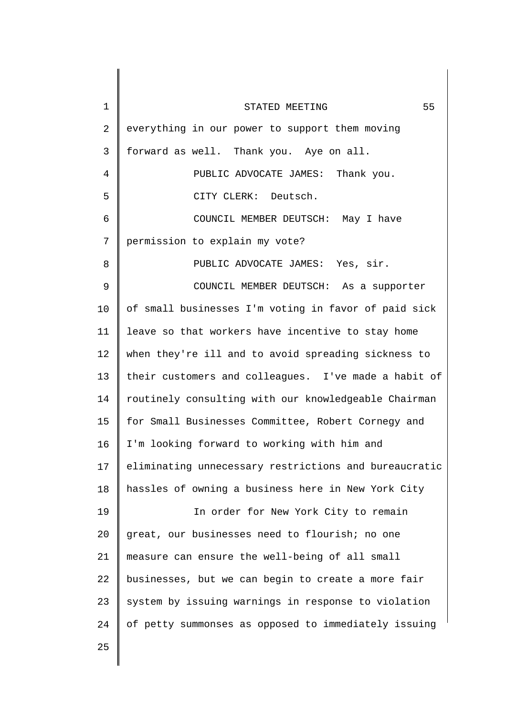| 1              | 55<br>STATED MEETING                                  |
|----------------|-------------------------------------------------------|
| $\overline{2}$ | everything in our power to support them moving        |
| 3              | forward as well. Thank you. Aye on all.               |
| 4              | PUBLIC ADVOCATE JAMES: Thank you.                     |
| 5              | CITY CLERK: Deutsch.                                  |
| 6              | COUNCIL MEMBER DEUTSCH: May I have                    |
| 7              | permission to explain my vote?                        |
| 8              | PUBLIC ADVOCATE JAMES: Yes, sir.                      |
| 9              | COUNCIL MEMBER DEUTSCH: As a supporter                |
| 10             | of small businesses I'm voting in favor of paid sick  |
| 11             | leave so that workers have incentive to stay home     |
| 12             | when they're ill and to avoid spreading sickness to   |
| 13             | their customers and colleagues. I've made a habit of  |
| 14             | routinely consulting with our knowledgeable Chairman  |
| 15             | for Small Businesses Committee, Robert Cornegy and    |
| 16             | I'm looking forward to working with him and           |
| 17             | eliminating unnecessary restrictions and bureaucratic |
| 18             | hassles of owning a business here in New York City    |
| 19             | In order for New York City to remain                  |
| 20             | great, our businesses need to flourish; no one        |
| 21             | measure can ensure the well-being of all small        |
| 22             | businesses, but we can begin to create a more fair    |
| 23             | system by issuing warnings in response to violation   |
| 24             | of petty summonses as opposed to immediately issuing  |
| 25             |                                                       |

║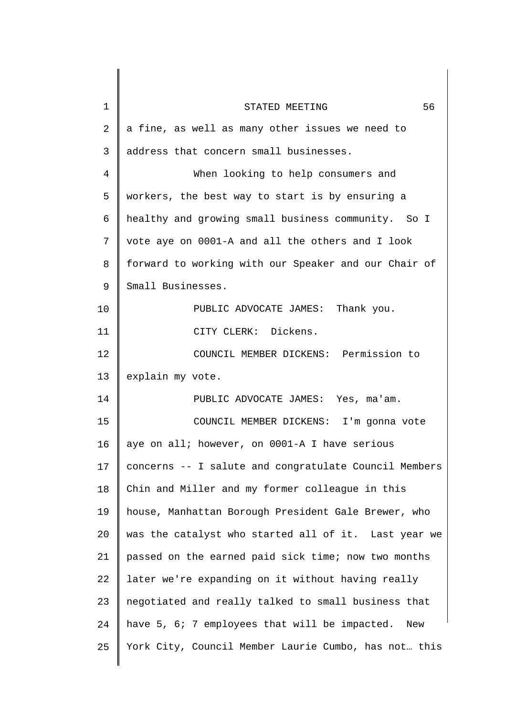| $\mathbf{1}$ | 56<br>STATED MEETING                                  |
|--------------|-------------------------------------------------------|
| 2            | a fine, as well as many other issues we need to       |
| 3            | address that concern small businesses.                |
| 4            | When looking to help consumers and                    |
| 5            | workers, the best way to start is by ensuring a       |
| 6            | healthy and growing small business community. So I    |
| 7            | vote aye on 0001-A and all the others and I look      |
| 8            | forward to working with our Speaker and our Chair of  |
| 9            | Small Businesses.                                     |
| 10           | PUBLIC ADVOCATE JAMES: Thank you.                     |
| 11           | CITY CLERK: Dickens.                                  |
| 12           | COUNCIL MEMBER DICKENS: Permission to                 |
| 13           | explain my vote.                                      |
| 14           | PUBLIC ADVOCATE JAMES: Yes, ma'am.                    |
| 15           | COUNCIL MEMBER DICKENS: I'm gonna vote                |
| 16           | aye on all; however, on 0001-A I have serious         |
| 17           | concerns -- I salute and congratulate Council Members |
| 18           | Chin and Miller and my former colleague in this       |
| 19           | house, Manhattan Borough President Gale Brewer, who   |
| 20           | was the catalyst who started all of it. Last year we  |
| 21           | passed on the earned paid sick time; now two months   |
| 22           | later we're expanding on it without having really     |
| 23           | negotiated and really talked to small business that   |
| 24           | have 5, 6; 7 employees that will be impacted. New     |
| 25           | York City, Council Member Laurie Cumbo, has not this  |
|              |                                                       |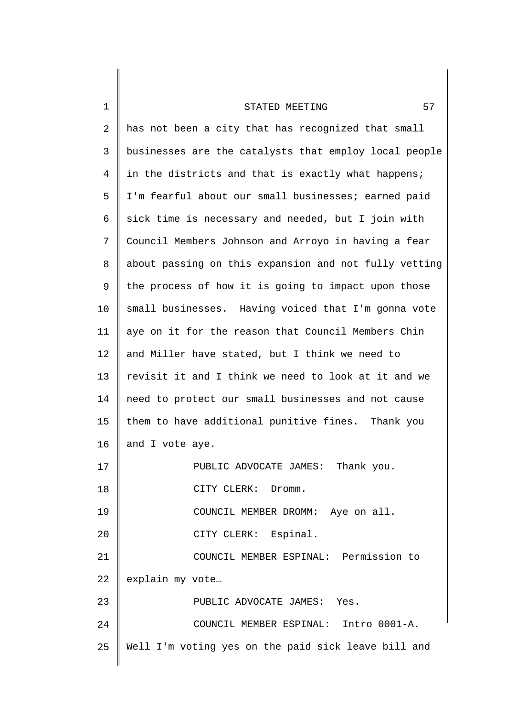| $\mathbf 1$ | 57<br>STATED MEETING                                  |
|-------------|-------------------------------------------------------|
| 2           | has not been a city that has recognized that small    |
| 3           | businesses are the catalysts that employ local people |
| 4           | in the districts and that is exactly what happens;    |
| 5           | I'm fearful about our small businesses; earned paid   |
| 6           | sick time is necessary and needed, but I join with    |
| 7           | Council Members Johnson and Arroyo in having a fear   |
| 8           | about passing on this expansion and not fully vetting |
| 9           | the process of how it is going to impact upon those   |
| 10          | small businesses. Having voiced that I'm gonna vote   |
| 11          | aye on it for the reason that Council Members Chin    |
| 12          | and Miller have stated, but I think we need to        |
| 13          | revisit it and I think we need to look at it and we   |
| 14          | need to protect our small businesses and not cause    |
| 15          | them to have additional punitive fines. Thank you     |
| 16          | and I vote aye.                                       |
| 17          | PUBLIC ADVOCATE JAMES: Thank you.                     |
| 18          | CITY CLERK: Dromm.                                    |
| 19          | COUNCIL MEMBER DROMM: Aye on all.                     |
| 20          | CITY CLERK: Espinal.                                  |
| 21          | COUNCIL MEMBER ESPINAL: Permission to                 |
| 22          | explain my vote                                       |
| 23          | PUBLIC ADVOCATE JAMES: Yes.                           |
| 24          | COUNCIL MEMBER ESPINAL: Intro 0001-A.                 |
| 25          | Well I'm voting yes on the paid sick leave bill and   |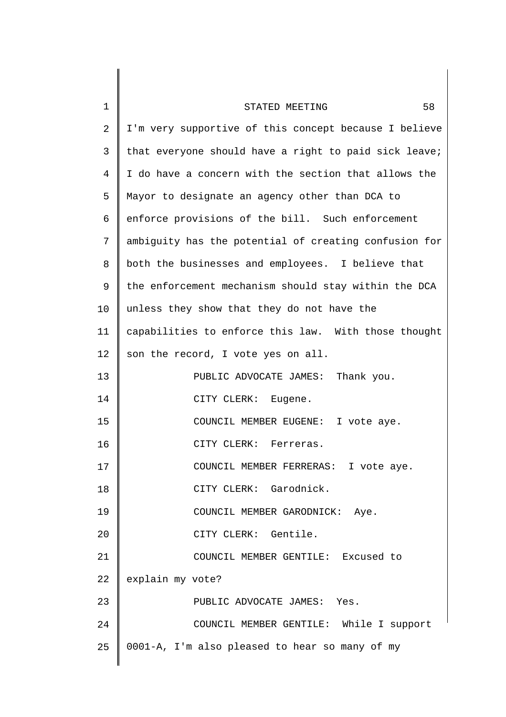| $\mathbf{1}$ | 58<br>STATED MEETING                                  |
|--------------|-------------------------------------------------------|
| 2            | I'm very supportive of this concept because I believe |
| 3            | that everyone should have a right to paid sick leave; |
| 4            | I do have a concern with the section that allows the  |
| 5            | Mayor to designate an agency other than DCA to        |
| 6            | enforce provisions of the bill. Such enforcement      |
| 7            | ambiguity has the potential of creating confusion for |
| 8            | both the businesses and employees. I believe that     |
| 9            | the enforcement mechanism should stay within the DCA  |
| 10           | unless they show that they do not have the            |
| 11           | capabilities to enforce this law. With those thought  |
| 12           | son the record, I vote yes on all.                    |
| 13           | PUBLIC ADVOCATE JAMES: Thank you.                     |
| 14           | CITY CLERK: Eugene.                                   |
| 15           | COUNCIL MEMBER EUGENE: I vote aye.                    |
| 16           | CITY CLERK: Ferreras.                                 |
| 17           | COUNCIL MEMBER FERRERAS: I vote aye.                  |
| 18           | CITY CLERK: Garodnick.                                |
| 19           | COUNCIL MEMBER GARODNICK: Aye.                        |
| 20           | CITY CLERK: Gentile.                                  |
| 21           | COUNCIL MEMBER GENTILE: Excused to                    |
| 22           | explain my vote?                                      |
| 23           | PUBLIC ADVOCATE JAMES: Yes.                           |
| 24           | COUNCIL MEMBER GENTILE: While I support               |
| 25           | 0001-A, I'm also pleased to hear so many of my        |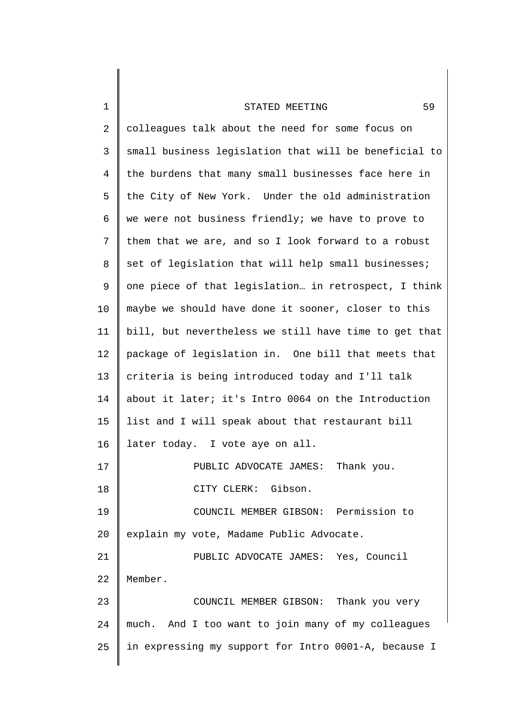| $\mathbf 1$    | 59<br>STATED MEETING                                  |
|----------------|-------------------------------------------------------|
| $\overline{a}$ | colleagues talk about the need for some focus on      |
| 3              | small business legislation that will be beneficial to |
| $\overline{4}$ | the burdens that many small businesses face here in   |
| 5              | the City of New York. Under the old administration    |
| 6              | we were not business friendly; we have to prove to    |
| 7              | them that we are, and so I look forward to a robust   |
| 8              | set of legislation that will help small businesses;   |
| 9              | one piece of that legislation in retrospect, I think  |
| 10             | maybe we should have done it sooner, closer to this   |
| 11             | bill, but nevertheless we still have time to get that |
| 12             | package of legislation in. One bill that meets that   |
| 13             | criteria is being introduced today and I'll talk      |
| 14             | about it later; it's Intro 0064 on the Introduction   |
| 15             | list and I will speak about that restaurant bill      |
| 16             | later today. I vote aye on all.                       |
| 17             | PUBLIC ADVOCATE JAMES: Thank you.                     |
| 18             | CITY CLERK: Gibson.                                   |
| 19             | COUNCIL MEMBER GIBSON: Permission to                  |
| 20             | explain my vote, Madame Public Advocate.              |
| 21             | PUBLIC ADVOCATE JAMES: Yes, Council                   |
| 22             | Member.                                               |
| 23             | COUNCIL MEMBER GIBSON: Thank you very                 |
| 24             | much. And I too want to join many of my colleagues    |
| 25             | in expressing my support for Intro 0001-A, because I  |
|                |                                                       |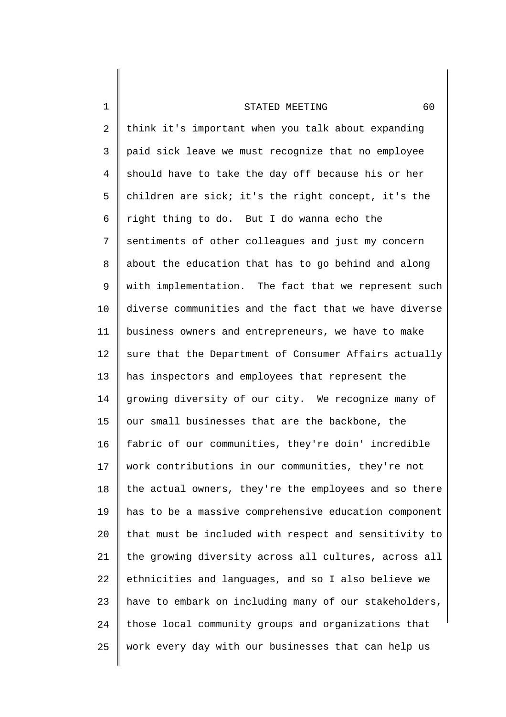| $\mathbf 1$ | 60<br>STATED MEETING                                  |
|-------------|-------------------------------------------------------|
| 2           | think it's important when you talk about expanding    |
| 3           | paid sick leave we must recognize that no employee    |
| 4           | should have to take the day off because his or her    |
| 5           | children are sick; it's the right concept, it's the   |
| 6           | right thing to do. But I do wanna echo the            |
| 7           | sentiments of other colleagues and just my concern    |
| 8           | about the education that has to go behind and along   |
| 9           | with implementation. The fact that we represent such  |
| 10          | diverse communities and the fact that we have diverse |
| 11          | business owners and entrepreneurs, we have to make    |
| 12          | sure that the Department of Consumer Affairs actually |
| 13          | has inspectors and employees that represent the       |
| 14          | growing diversity of our city. We recognize many of   |
| 15          | our small businesses that are the backbone, the       |
| 16          | fabric of our communities, they're doin' incredible   |
| 17          | work contributions in our communities, they're not    |
| 18          | the actual owners, they're the employees and so there |
| 19          | has to be a massive comprehensive education component |
| 20          | that must be included with respect and sensitivity to |
| 21          | the growing diversity across all cultures, across all |
| 22          | ethnicities and languages, and so I also believe we   |
| 23          | have to embark on including many of our stakeholders, |
| 24          | those local community groups and organizations that   |
| 25          | work every day with our businesses that can help us   |
|             |                                                       |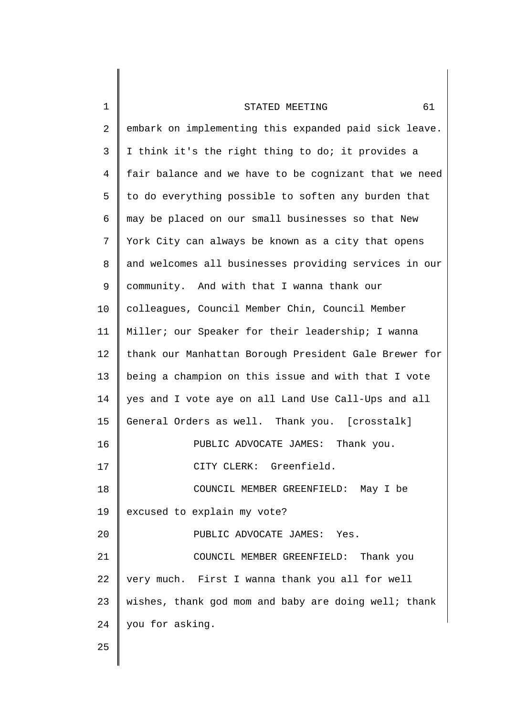| $\mathbf 1$ | 61<br>STATED MEETING                                  |
|-------------|-------------------------------------------------------|
| 2           | embark on implementing this expanded paid sick leave. |
| 3           | I think it's the right thing to do; it provides a     |
| 4           | fair balance and we have to be cognizant that we need |
| 5           | to do everything possible to soften any burden that   |
| 6           | may be placed on our small businesses so that New     |
| 7           | York City can always be known as a city that opens    |
| 8           | and welcomes all businesses providing services in our |
| 9           | community. And with that I wanna thank our            |
| 10          | colleagues, Council Member Chin, Council Member       |
| 11          | Miller; our Speaker for their leadership; I wanna     |
| 12          | thank our Manhattan Borough President Gale Brewer for |
| 13          | being a champion on this issue and with that I vote   |
| 14          | yes and I vote aye on all Land Use Call-Ups and all   |
| 15          | General Orders as well. Thank you. [crosstalk]        |
| 16          | PUBLIC ADVOCATE JAMES: Thank you.                     |
| 17          | CITY CLERK: Greenfield.                               |
| 18          | COUNCIL MEMBER GREENFIELD: May I be                   |
| 19          | excused to explain my vote?                           |
| 20          | PUBLIC ADVOCATE JAMES: Yes.                           |
| 21          | COUNCIL MEMBER GREENFIELD: Thank you                  |
| 22          | very much. First I wanna thank you all for well       |
| 23          | wishes, thank god mom and baby are doing well; thank  |
| 24          | you for asking.                                       |
| 25          |                                                       |
|             |                                                       |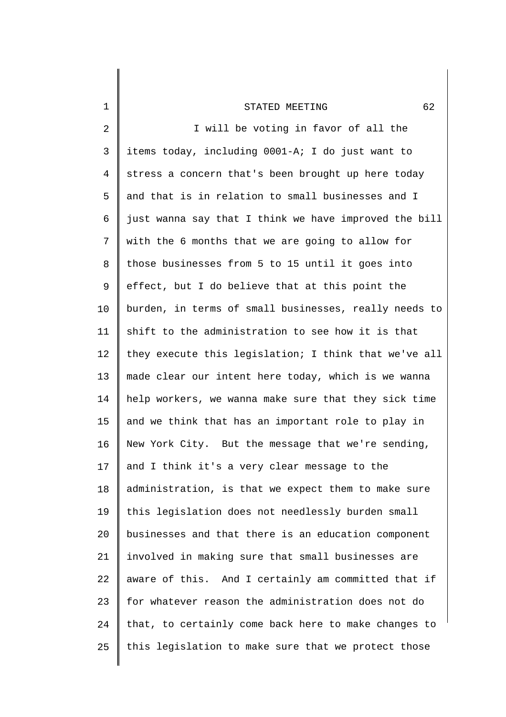| $\mathbf 1$    | 62<br>STATED MEETING                                  |
|----------------|-------------------------------------------------------|
| $\sqrt{2}$     | I will be voting in favor of all the                  |
| $\mathsf{3}$   | items today, including 0001-A; I do just want to      |
| $\overline{4}$ | stress a concern that's been brought up here today    |
| 5              | and that is in relation to small businesses and I     |
| 6              | just wanna say that I think we have improved the bill |
| 7              | with the 6 months that we are going to allow for      |
| 8              | those businesses from 5 to 15 until it goes into      |
| 9              | effect, but I do believe that at this point the       |
| 10             | burden, in terms of small businesses, really needs to |
| 11             | shift to the administration to see how it is that     |
| 12             | they execute this legislation; I think that we've all |
| 13             | made clear our intent here today, which is we wanna   |
| 14             | help workers, we wanna make sure that they sick time  |
| 15             | and we think that has an important role to play in    |
| 16             | New York City. But the message that we're sending,    |
| 17             | and I think it's a very clear message to the          |
| 18             | administration, is that we expect them to make sure   |
| 19             | this legislation does not needlessly burden small     |
| 20             | businesses and that there is an education component   |
| 21             | involved in making sure that small businesses are     |
| 22             | aware of this. And I certainly am committed that if   |
| 23             | for whatever reason the administration does not do    |
| 24             | that, to certainly come back here to make changes to  |
| 25             | this legislation to make sure that we protect those   |
|                |                                                       |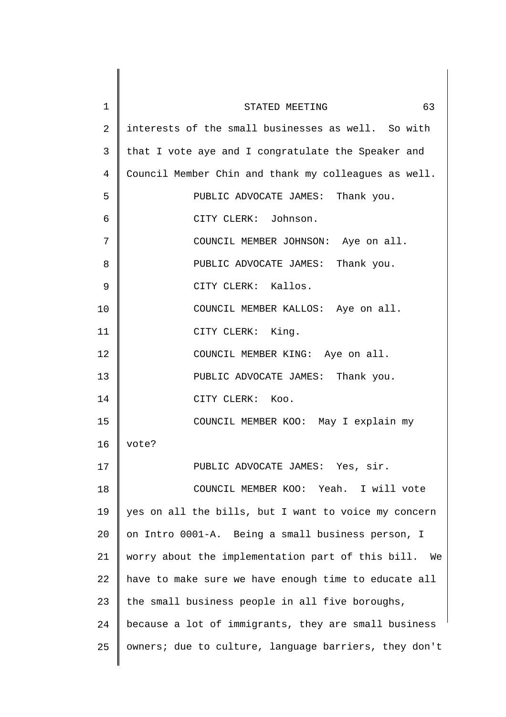| $\mathbf 1$    | 63<br>STATED MEETING                                  |
|----------------|-------------------------------------------------------|
| $\overline{2}$ | interests of the small businesses as well. So with    |
| 3              | that I vote aye and I congratulate the Speaker and    |
| $\overline{4}$ | Council Member Chin and thank my colleagues as well.  |
| 5              | PUBLIC ADVOCATE JAMES: Thank you.                     |
| 6              | CITY CLERK: Johnson.                                  |
| 7              | COUNCIL MEMBER JOHNSON: Aye on all.                   |
| 8              | PUBLIC ADVOCATE JAMES: Thank you.                     |
| 9              | CITY CLERK: Kallos.                                   |
| 10             | COUNCIL MEMBER KALLOS: Aye on all.                    |
| 11             | CITY CLERK: King.                                     |
| 12             | COUNCIL MEMBER KING: Aye on all.                      |
| 13             | PUBLIC ADVOCATE JAMES: Thank you.                     |
| 14             | CITY CLERK: Koo.                                      |
| 15             | COUNCIL MEMBER KOO: May I explain my                  |
| 16             | vote?                                                 |
| 17             | PUBLIC ADVOCATE JAMES: Yes, sir.                      |
| 18             | COUNCIL MEMBER KOO: Yeah. I will vote                 |
| 19             | yes on all the bills, but I want to voice my concern  |
| 20             | on Intro 0001-A. Being a small business person, I     |
| 21             | worry about the implementation part of this bill. We  |
| 22             | have to make sure we have enough time to educate all  |
| 23             | the small business people in all five boroughs,       |
| 24             | because a lot of immigrants, they are small business  |
| 25             | owners; due to culture, language barriers, they don't |
|                |                                                       |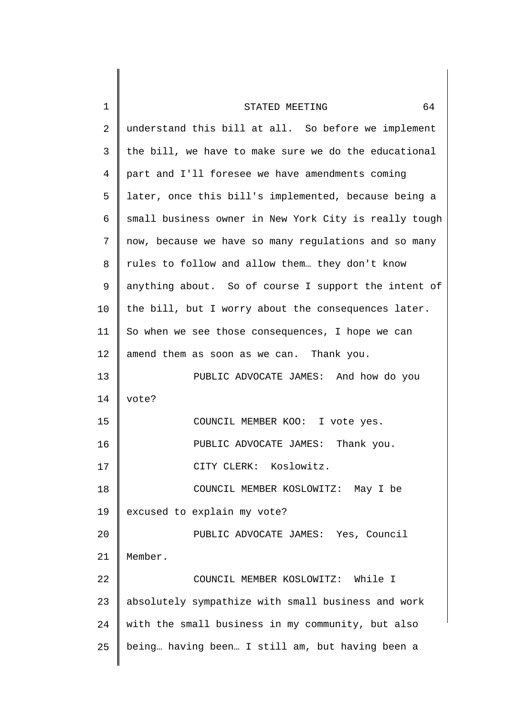| 1              | 64<br>STATED MEETING                                  |
|----------------|-------------------------------------------------------|
| $\overline{2}$ | understand this bill at all. So before we implement   |
| 3              | the bill, we have to make sure we do the educational  |
| $\overline{4}$ | part and I'll foresee we have amendments coming       |
| 5              | later, once this bill's implemented, because being a  |
| 6              | small business owner in New York City is really tough |
| 7              | now, because we have so many regulations and so many  |
| 8              | rules to follow and allow them they don't know        |
| 9              | anything about. So of course I support the intent of  |
| 10             | the bill, but I worry about the consequences later.   |
| 11             | So when we see those consequences, I hope we can      |
| 12             | amend them as soon as we can. Thank you.              |
| 13             | PUBLIC ADVOCATE JAMES: And how do you                 |
| 14             | vote?                                                 |
| 15             | COUNCIL MEMBER KOO: I vote yes.                       |
| 16             | PUBLIC ADVOCATE JAMES: Thank you.                     |
| 17             | CITY CLERK: Koslowitz.                                |
| 18             | COUNCIL MEMBER KOSLOWITZ: May I be                    |
| 19             | excused to explain my vote?                           |
| 20             | PUBLIC ADVOCATE JAMES: Yes, Council                   |
| 21             | Member.                                               |
| 22             | COUNCIL MEMBER KOSLOWITZ: While I                     |
| 23             | absolutely sympathize with small business and work    |
| 24             | with the small business in my community, but also     |
| 25             | being having been I still am, but having been a       |
|                |                                                       |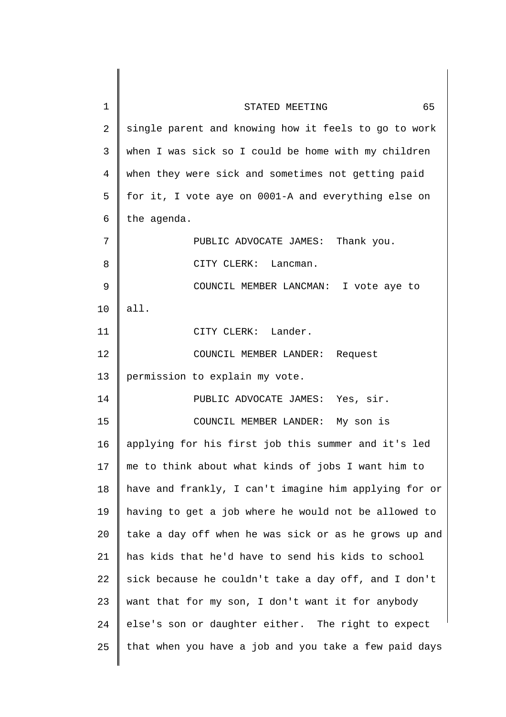| $\mathbf 1$ | 65<br>STATED MEETING                                  |
|-------------|-------------------------------------------------------|
| 2           | single parent and knowing how it feels to go to work  |
| 3           | when I was sick so I could be home with my children   |
| 4           | when they were sick and sometimes not getting paid    |
| 5           | for it, I vote aye on 0001-A and everything else on   |
| 6           | the agenda.                                           |
| 7           | PUBLIC ADVOCATE JAMES: Thank you.                     |
| 8           | CITY CLERK: Lancman.                                  |
| 9           | COUNCIL MEMBER LANCMAN: I vote aye to                 |
| 10          | all.                                                  |
| 11          | CITY CLERK: Lander.                                   |
| 12          | COUNCIL MEMBER LANDER: Request                        |
| 13          | permission to explain my vote.                        |
| 14          | PUBLIC ADVOCATE JAMES: Yes, sir.                      |
| 15          | COUNCIL MEMBER LANDER: My son is                      |
| 16          | applying for his first job this summer and it's led   |
| 17          | me to think about what kinds of jobs I want him to    |
| 18          | have and frankly, I can't imagine him applying for or |
| 19          | having to get a job where he would not be allowed to  |
| 20          | take a day off when he was sick or as he grows up and |
| 21          | has kids that he'd have to send his kids to school    |
| 22          | sick because he couldn't take a day off, and I don't  |
| 23          | want that for my son, I don't want it for anybody     |
| 24          | else's son or daughter either. The right to expect    |
| 25          | that when you have a job and you take a few paid days |
|             |                                                       |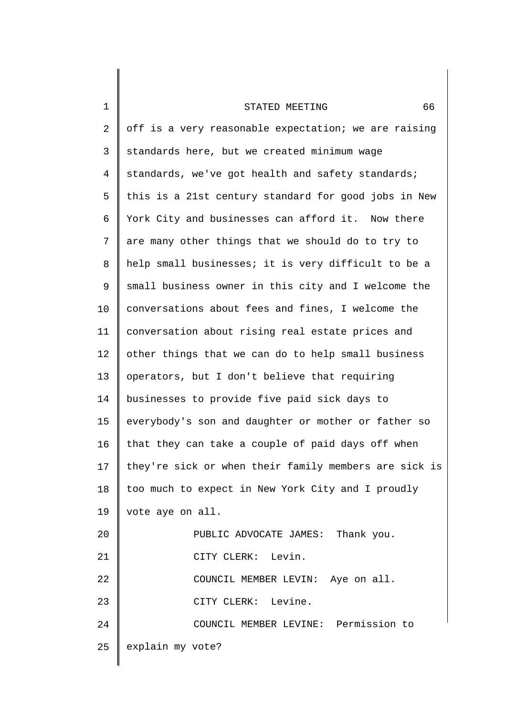| $\mathbf 1$ | 66<br>STATED MEETING                                  |
|-------------|-------------------------------------------------------|
| 2           | off is a very reasonable expectation; we are raising  |
| 3           | standards here, but we created minimum wage           |
| 4           | standards, we've got health and safety standards;     |
| 5           | this is a 21st century standard for good jobs in New  |
| 6           | York City and businesses can afford it. Now there     |
| 7           | are many other things that we should do to try to     |
| 8           | help small businesses; it is very difficult to be a   |
| 9           | small business owner in this city and I welcome the   |
| 10          | conversations about fees and fines, I welcome the     |
| 11          | conversation about rising real estate prices and      |
| 12          | other things that we can do to help small business    |
| 13          | operators, but I don't believe that requiring         |
| 14          | businesses to provide five paid sick days to          |
| 15          | everybody's son and daughter or mother or father so   |
| 16          | that they can take a couple of paid days off when     |
| 17          | they're sick or when their family members are sick is |
| 18          | too much to expect in New York City and I proudly     |
| 19          | vote aye on all.                                      |
| 20          | PUBLIC ADVOCATE JAMES: Thank you.                     |
| 21          | CITY CLERK: Levin.                                    |
| 22          | COUNCIL MEMBER LEVIN: Aye on all.                     |
| 23          | CITY CLERK: Levine.                                   |
| 24          | COUNCIL MEMBER LEVINE: Permission to                  |
| 25          | explain my vote?                                      |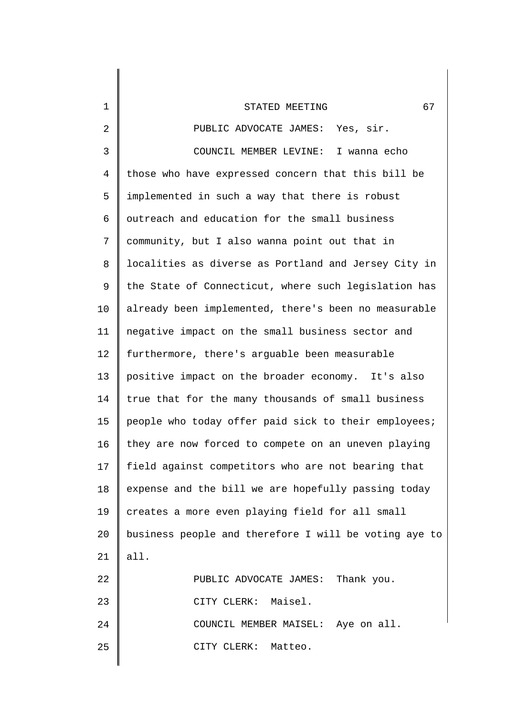| $\mathbf 1$  | 67<br>STATED MEETING                                  |
|--------------|-------------------------------------------------------|
| 2            | PUBLIC ADVOCATE JAMES: Yes, sir.                      |
| $\mathsf{3}$ | COUNCIL MEMBER LEVINE: I wanna echo                   |
| 4            | those who have expressed concern that this bill be    |
| 5            | implemented in such a way that there is robust        |
| 6            | outreach and education for the small business         |
| 7            | community, but I also wanna point out that in         |
| 8            | localities as diverse as Portland and Jersey City in  |
| 9            | the State of Connecticut, where such legislation has  |
| 10           | already been implemented, there's been no measurable  |
| 11           | negative impact on the small business sector and      |
| 12           | furthermore, there's arguable been measurable         |
| 13           | positive impact on the broader economy. It's also     |
| 14           | true that for the many thousands of small business    |
| 15           | people who today offer paid sick to their employees;  |
| 16           | they are now forced to compete on an uneven playing   |
| 17           | field against competitors who are not bearing that    |
| 18           | expense and the bill we are hopefully passing today   |
| 19           | creates a more even playing field for all small       |
| 20           | business people and therefore I will be voting aye to |
| 21           | all.                                                  |
| 22           | PUBLIC ADVOCATE JAMES: Thank you.                     |
| 23           | CITY CLERK: Maisel.                                   |
| 24           | COUNCIL MEMBER MAISEL: Aye on all.                    |
| 25           | CITY CLERK: Matteo.                                   |
|              |                                                       |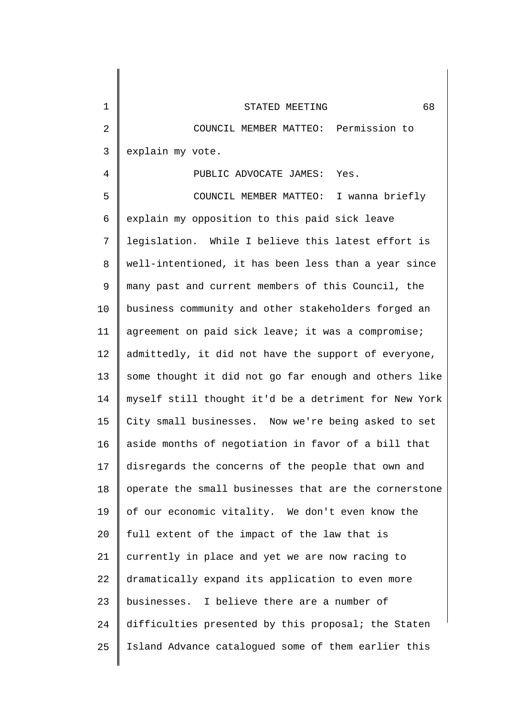| 1  | 68<br>STATED MEETING                                  |
|----|-------------------------------------------------------|
| 2  | COUNCIL MEMBER MATTEO: Permission to                  |
| 3  | explain my vote.                                      |
| 4  | PUBLIC ADVOCATE JAMES: Yes.                           |
| 5  | COUNCIL MEMBER MATTEO: I wanna briefly                |
| 6  | explain my opposition to this paid sick leave         |
| 7  | legislation. While I believe this latest effort is    |
| 8  | well-intentioned, it has been less than a year since  |
| 9  | many past and current members of this Council, the    |
| 10 | business community and other stakeholders forged an   |
| 11 | agreement on paid sick leave; it was a compromise;    |
| 12 | admittedly, it did not have the support of everyone,  |
| 13 | some thought it did not go far enough and others like |
| 14 | myself still thought it'd be a detriment for New York |
| 15 | City small businesses. Now we're being asked to set   |
| 16 | aside months of negotiation in favor of a bill that   |
| 17 | disregards the concerns of the people that own and    |
| 18 | operate the small businesses that are the cornerstone |
| 19 | of our economic vitality. We don't even know the      |
| 20 | full extent of the impact of the law that is          |
| 21 | currently in place and yet we are now racing to       |
| 22 | dramatically expand its application to even more      |
| 23 | businesses. I believe there are a number of           |
| 24 | difficulties presented by this proposal; the Staten   |
| 25 | Island Advance catalogued some of them earlier this   |
|    |                                                       |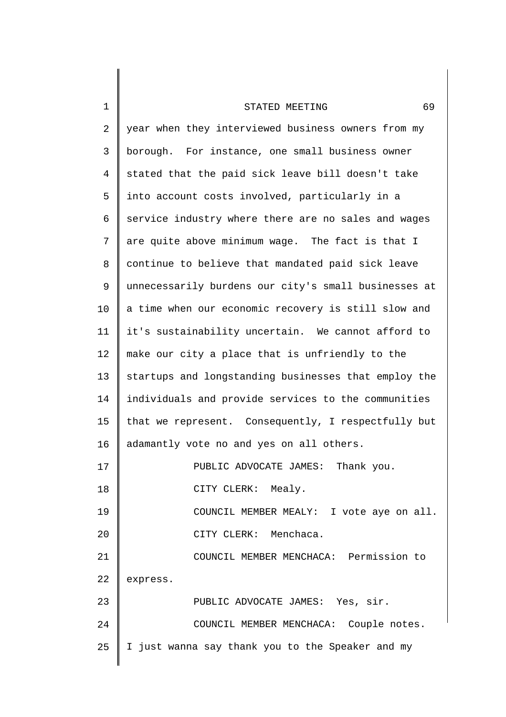| $\mathbf{1}$ | 69<br>STATED MEETING                                 |
|--------------|------------------------------------------------------|
| 2            | year when they interviewed business owners from my   |
| 3            | borough. For instance, one small business owner      |
| 4            | stated that the paid sick leave bill doesn't take    |
| 5            | into account costs involved, particularly in a       |
| 6            | service industry where there are no sales and wages  |
| 7            | are quite above minimum wage. The fact is that I     |
| 8            | continue to believe that mandated paid sick leave    |
| 9            | unnecessarily burdens our city's small businesses at |
| 10           | a time when our economic recovery is still slow and  |
| 11           | it's sustainability uncertain. We cannot afford to   |
| 12           | make our city a place that is unfriendly to the      |
| 13           | startups and longstanding businesses that employ the |
| 14           | individuals and provide services to the communities  |
| 15           | that we represent. Consequently, I respectfully but  |
| 16           | adamantly vote no and yes on all others.             |
| 17           | PUBLIC ADVOCATE JAMES: Thank you.                    |
| 18           | CITY CLERK: Mealy.                                   |
| 19           | COUNCIL MEMBER MEALY: I vote aye on all.             |
| 20           | CITY CLERK: Menchaca.                                |
| 21           | COUNCIL MEMBER MENCHACA: Permission to               |
| 22           | express.                                             |
| 23           | PUBLIC ADVOCATE JAMES: Yes, sir.                     |
| 24           | COUNCIL MEMBER MENCHACA: Couple notes.               |
| 25           | I just wanna say thank you to the Speaker and my     |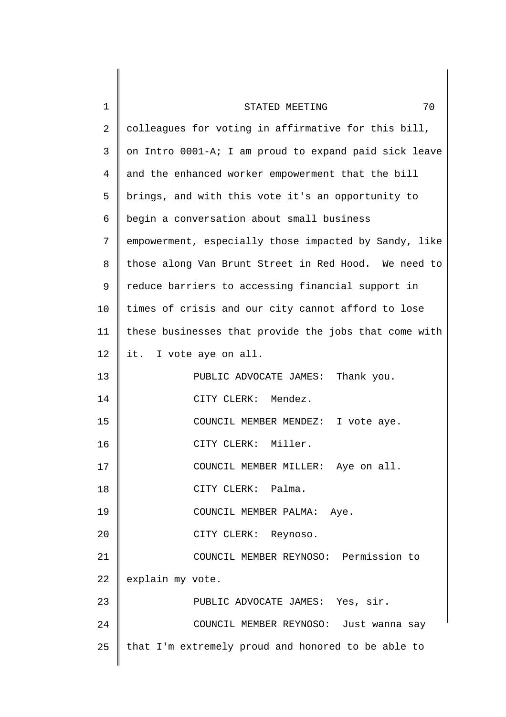| 1              | 70<br>STATED MEETING                                  |
|----------------|-------------------------------------------------------|
| $\overline{2}$ | colleagues for voting in affirmative for this bill,   |
| 3              | on Intro 0001-A; I am proud to expand paid sick leave |
| 4              | and the enhanced worker empowerment that the bill     |
| 5              | brings, and with this vote it's an opportunity to     |
| 6              | begin a conversation about small business             |
| 7              | empowerment, especially those impacted by Sandy, like |
| 8              | those along Van Brunt Street in Red Hood. We need to  |
| 9              | reduce barriers to accessing financial support in     |
| 10             | times of crisis and our city cannot afford to lose    |
| 11             | these businesses that provide the jobs that come with |
| 12             | it. I vote aye on all.                                |
| 13             | PUBLIC ADVOCATE JAMES: Thank you.                     |
| 14             | CITY CLERK: Mendez.                                   |
| 15             | COUNCIL MEMBER MENDEZ: I vote aye.                    |
| 16             | CITY CLERK: Miller.                                   |
| 17             | COUNCIL MEMBER MILLER: Aye on all.                    |
| 18             | CITY CLERK: Palma.                                    |
| 19             | COUNCIL MEMBER PALMA: Aye.                            |
| 20             | CITY CLERK: Reynoso.                                  |
| 21             | COUNCIL MEMBER REYNOSO: Permission to                 |
| 22             | explain my vote.                                      |
| 23             | PUBLIC ADVOCATE JAMES: Yes, sir.                      |
| 24             | COUNCIL MEMBER REYNOSO: Just wanna say                |
| 25             | that I'm extremely proud and honored to be able to    |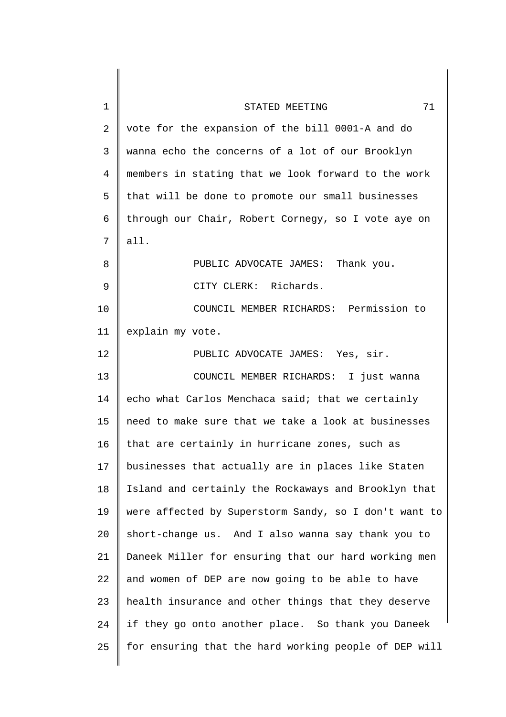| $\mathbf 1$    | 71<br>STATED MEETING                                  |
|----------------|-------------------------------------------------------|
| $\overline{2}$ | vote for the expansion of the bill 0001-A and do      |
| 3              | wanna echo the concerns of a lot of our Brooklyn      |
| 4              | members in stating that we look forward to the work   |
| 5              | that will be done to promote our small businesses     |
| 6              | through our Chair, Robert Cornegy, so I vote aye on   |
| 7              | all.                                                  |
| 8              | PUBLIC ADVOCATE JAMES: Thank you.                     |
| 9              | CITY CLERK: Richards.                                 |
| 10             | COUNCIL MEMBER RICHARDS: Permission to                |
| 11             | explain my vote.                                      |
| 12             | PUBLIC ADVOCATE JAMES: Yes, sir.                      |
| 13             | COUNCIL MEMBER RICHARDS: I just wanna                 |
| 14             | echo what Carlos Menchaca said; that we certainly     |
| 15             | need to make sure that we take a look at businesses   |
| 16             | that are certainly in hurricane zones, such as        |
| 17             | businesses that actually are in places like Staten    |
| 18             | Island and certainly the Rockaways and Brooklyn that  |
| 19             | were affected by Superstorm Sandy, so I don't want to |
| 20             | short-change us. And I also wanna say thank you to    |
| 21             | Daneek Miller for ensuring that our hard working men  |
| 22             | and women of DEP are now going to be able to have     |
| 23             | health insurance and other things that they deserve   |
| 24             | if they go onto another place. So thank you Daneek    |
| 25             | for ensuring that the hard working people of DEP will |
|                |                                                       |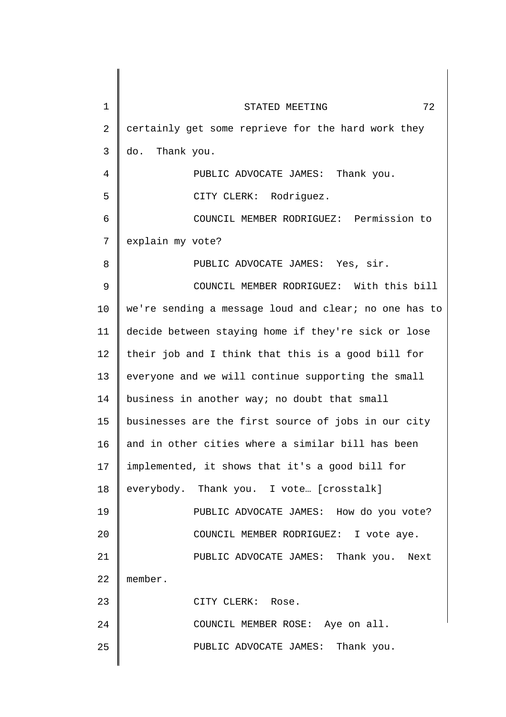| $\mathbf{1}$   | 72<br>STATED MEETING                                  |
|----------------|-------------------------------------------------------|
| $\overline{2}$ | certainly get some reprieve for the hard work they    |
| 3              | Thank you.<br>do.                                     |
| 4              | PUBLIC ADVOCATE JAMES: Thank you.                     |
| 5              | CITY CLERK: Rodriguez.                                |
| 6              | COUNCIL MEMBER RODRIGUEZ: Permission to               |
| 7              | explain my vote?                                      |
| 8              | PUBLIC ADVOCATE JAMES: Yes, sir.                      |
| 9              | COUNCIL MEMBER RODRIGUEZ: With this bill              |
| 10             | we're sending a message loud and clear; no one has to |
| 11             | decide between staying home if they're sick or lose   |
| 12             | their job and I think that this is a good bill for    |
| 13             | everyone and we will continue supporting the small    |
| 14             | business in another way; no doubt that small          |
| 15             | businesses are the first source of jobs in our city   |
| 16             | and in other cities where a similar bill has been     |
| 17             | implemented, it shows that it's a good bill for       |
| 18             | everybody. Thank you. I vote [crosstalk]              |
| 19             | PUBLIC ADVOCATE JAMES: How do you vote?               |
| 20             | COUNCIL MEMBER RODRIGUEZ: I vote aye.                 |
| 21             | PUBLIC ADVOCATE JAMES: Thank you. Next                |
| 22             | member.                                               |
| 23             | CITY CLERK: Rose.                                     |
| 24             | COUNCIL MEMBER ROSE: Aye on all.                      |
| 25             | PUBLIC ADVOCATE JAMES: Thank you.                     |
|                |                                                       |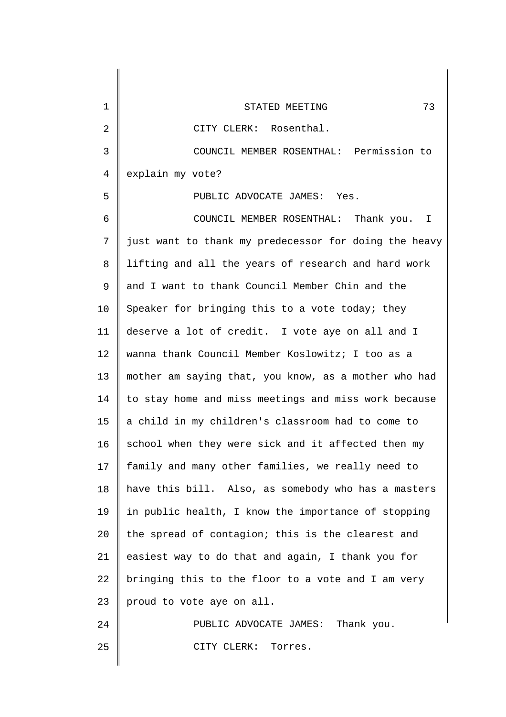| $\mathbf 1$ | 73<br>STATED MEETING                                  |
|-------------|-------------------------------------------------------|
| 2           | CITY CLERK: Rosenthal.                                |
| 3           | COUNCIL MEMBER ROSENTHAL: Permission to               |
| 4           | explain my vote?                                      |
| 5           | PUBLIC ADVOCATE JAMES: Yes.                           |
| 6           | COUNCIL MEMBER ROSENTHAL: Thank you. I                |
| 7           | just want to thank my predecessor for doing the heavy |
| 8           | lifting and all the years of research and hard work   |
| 9           | and I want to thank Council Member Chin and the       |
| 10          | Speaker for bringing this to a vote today; they       |
| 11          | deserve a lot of credit. I vote aye on all and I      |
| 12          | wanna thank Council Member Koslowitz; I too as a      |
| 13          | mother am saying that, you know, as a mother who had  |
| 14          | to stay home and miss meetings and miss work because  |
| 15          | a child in my children's classroom had to come to     |
| 16          | school when they were sick and it affected then my    |
| 17          | family and many other families, we really need to     |
| 18          | have this bill. Also, as somebody who has a masters   |
| 19          | in public health, I know the importance of stopping   |
| 20          | the spread of contagion; this is the clearest and     |
| 21          | easiest way to do that and again, I thank you for     |
| 22          | bringing this to the floor to a vote and I am very    |
| 23          | proud to vote aye on all.                             |
| 24          | PUBLIC ADVOCATE JAMES: Thank you.                     |
| 25          | CITY CLERK: Torres.                                   |
|             |                                                       |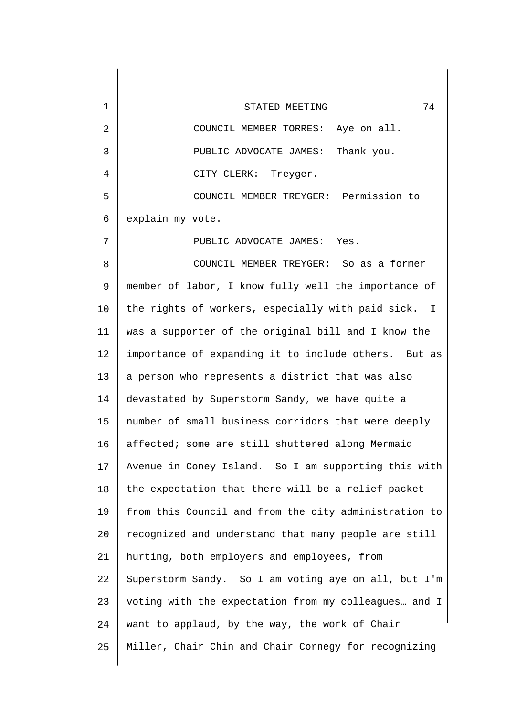| $\mathbf 1$ | 74<br>STATED MEETING                                  |
|-------------|-------------------------------------------------------|
| 2           | COUNCIL MEMBER TORRES: Aye on all.                    |
| 3           | PUBLIC ADVOCATE JAMES: Thank you.                     |
| 4           | CITY CLERK: Treyger.                                  |
| 5           | COUNCIL MEMBER TREYGER: Permission to                 |
| 6           | explain my vote.                                      |
| 7           | PUBLIC ADVOCATE JAMES: Yes.                           |
| 8           | COUNCIL MEMBER TREYGER: So as a former                |
| 9           | member of labor, I know fully well the importance of  |
| 10          | the rights of workers, especially with paid sick. I   |
| 11          | was a supporter of the original bill and I know the   |
| 12          | importance of expanding it to include others. But as  |
| 13          | a person who represents a district that was also      |
| 14          | devastated by Superstorm Sandy, we have quite a       |
| 15          | number of small business corridors that were deeply   |
| 16          | affected; some are still shuttered along Mermaid      |
| 17          | Avenue in Coney Island. So I am supporting this with  |
| 18          | the expectation that there will be a relief packet    |
| 19          | from this Council and from the city administration to |
| 20          | recognized and understand that many people are still  |
| 21          | hurting, both employers and employees, from           |
| 22          | Superstorm Sandy. So I am voting aye on all, but I'm  |
| 23          | voting with the expectation from my colleagues and I  |
| 24          | want to applaud, by the way, the work of Chair        |
| 25          | Miller, Chair Chin and Chair Cornegy for recognizing  |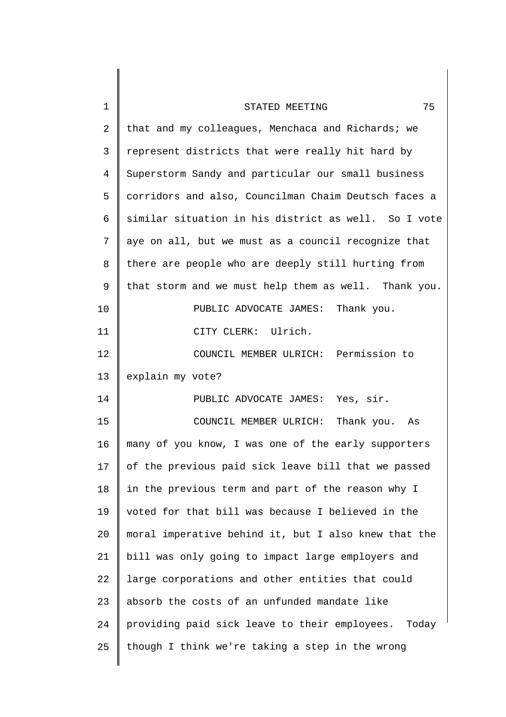| 1              | 75<br>STATED MEETING                                 |
|----------------|------------------------------------------------------|
| $\overline{2}$ | that and my colleagues, Menchaca and Richards; we    |
| 3              | represent districts that were really hit hard by     |
| 4              | Superstorm Sandy and particular our small business   |
| 5              | corridors and also, Councilman Chaim Deutsch faces a |
| 6              | similar situation in his district as well. So I vote |
| 7              | aye on all, but we must as a council recognize that  |
| 8              | there are people who are deeply still hurting from   |
| 9              | that storm and we must help them as well. Thank you. |
| 10             | PUBLIC ADVOCATE JAMES: Thank you.                    |
| 11             | CITY CLERK: Ulrich.                                  |
| 12             | COUNCIL MEMBER ULRICH: Permission to                 |
| 13             | explain my vote?                                     |
| 14             | PUBLIC ADVOCATE JAMES: Yes, sir.                     |
| 15             | COUNCIL MEMBER ULRICH: Thank you. As                 |
| 16             | many of you know, I was one of the early supporters  |
| 17             | of the previous paid sick leave bill that we passed  |
| 18             | in the previous term and part of the reason why I    |
| 19             | voted for that bill was because I believed in the    |
| 20             | moral imperative behind it, but I also knew that the |
| 21             | bill was only going to impact large employers and    |
| 22             | large corporations and other entities that could     |
| 23             | absorb the costs of an unfunded mandate like         |
| 24             | providing paid sick leave to their employees. Today  |
| 25             | though I think we're taking a step in the wrong      |
|                |                                                      |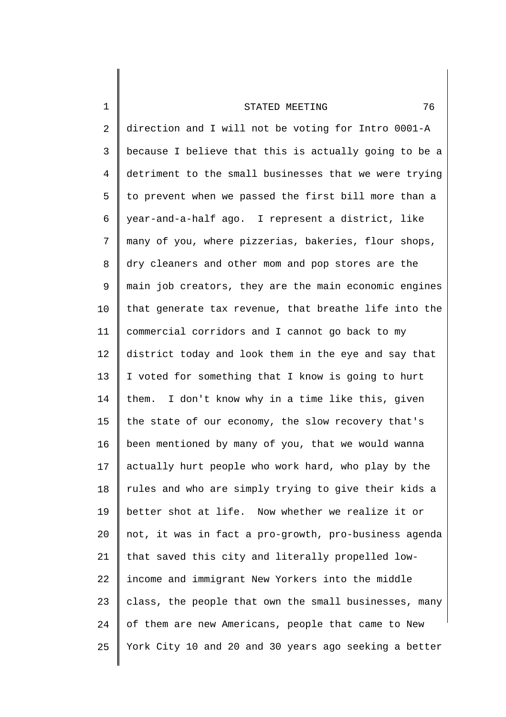| $\mathbf{1}$ | 76<br>STATED MEETING                                  |
|--------------|-------------------------------------------------------|
| 2            | direction and I will not be voting for Intro 0001-A   |
| 3            | because I believe that this is actually going to be a |
| 4            | detriment to the small businesses that we were trying |
| 5            | to prevent when we passed the first bill more than a  |
| 6            | year-and-a-half ago. I represent a district, like     |
| 7            | many of you, where pizzerias, bakeries, flour shops,  |
| 8            | dry cleaners and other mom and pop stores are the     |
| 9            | main job creators, they are the main economic engines |
| 10           | that generate tax revenue, that breathe life into the |
| 11           | commercial corridors and I cannot go back to my       |
| 12           | district today and look them in the eye and say that  |
| 13           | I voted for something that I know is going to hurt    |
| 14           | them. I don't know why in a time like this, given     |
| 15           | the state of our economy, the slow recovery that's    |
| 16           | been mentioned by many of you, that we would wanna    |
| 17           | actually hurt people who work hard, who play by the   |
| 18           | rules and who are simply trying to give their kids a  |
| 19           | better shot at life. Now whether we realize it or     |
| 20           | not, it was in fact a pro-growth, pro-business agenda |
| 21           | that saved this city and literally propelled low-     |
| 22           | income and immigrant New Yorkers into the middle      |
| 23           | class, the people that own the small businesses, many |
| 24           | of them are new Americans, people that came to New    |
| 25           | York City 10 and 20 and 30 years ago seeking a better |
|              |                                                       |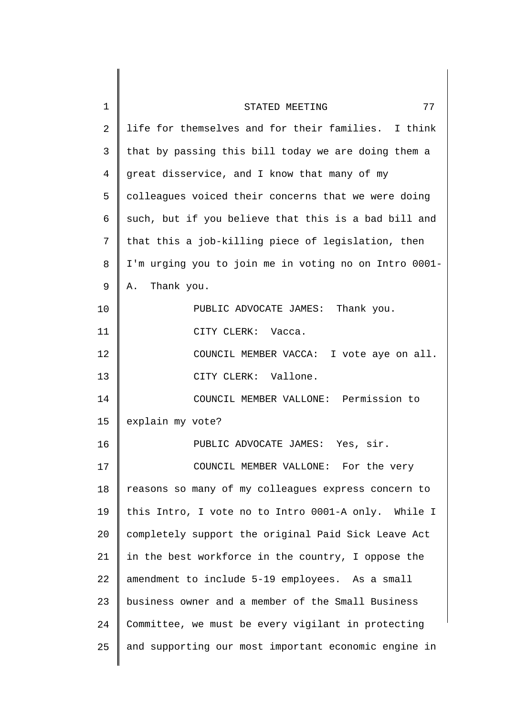| 1              | 77<br>STATED MEETING                                  |
|----------------|-------------------------------------------------------|
| $\overline{2}$ | life for themselves and for their families. I think   |
| 3              | that by passing this bill today we are doing them a   |
| 4              | great disservice, and I know that many of my          |
| 5              | colleagues voiced their concerns that we were doing   |
| 6              | such, but if you believe that this is a bad bill and  |
| 7              | that this a job-killing piece of legislation, then    |
| 8              | I'm urging you to join me in voting no on Intro 0001- |
| 9              | Thank you.<br>Α.                                      |
| 10             | PUBLIC ADVOCATE JAMES: Thank you.                     |
| 11             | CITY CLERK: Vacca.                                    |
| 12             | COUNCIL MEMBER VACCA: I vote aye on all.              |
| 13             | CITY CLERK: Vallone.                                  |
| 14             | COUNCIL MEMBER VALLONE: Permission to                 |
| 15             | explain my vote?                                      |
| 16             | PUBLIC ADVOCATE JAMES:<br>Yes, sir.                   |
| 17             | COUNCIL MEMBER VALLONE: For the very                  |
| 18             | reasons so many of my colleagues express concern to   |
| 19             | this Intro, I vote no to Intro 0001-A only. While I   |
| 20             | completely support the original Paid Sick Leave Act   |
| 21             | in the best workforce in the country, I oppose the    |
| 22             | amendment to include 5-19 employees. As a small       |
| 23             | business owner and a member of the Small Business     |
| 24             | Committee, we must be every vigilant in protecting    |
| 25             | and supporting our most important economic engine in  |
|                |                                                       |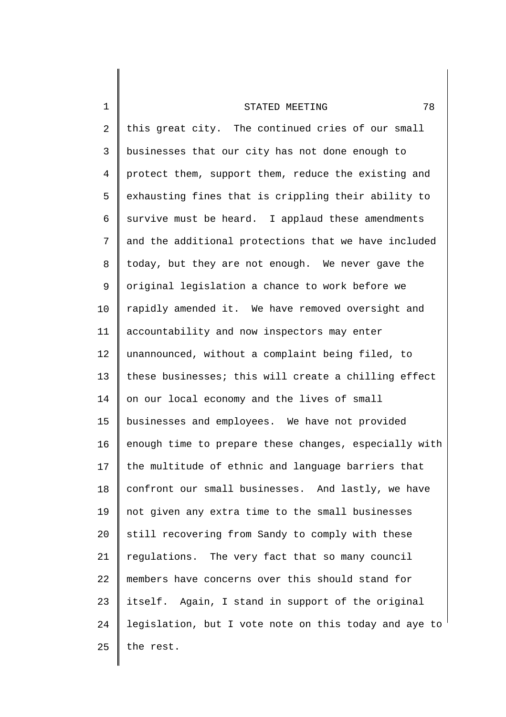## STATED MEETING 78

1

2 3 4 5 6 7 8 9 10 11 12 13 14 15 16 17 18 19 20 21 22 23 24 25 this great city. The continued cries of our small businesses that our city has not done enough to protect them, support them, reduce the existing and exhausting fines that is crippling their ability to survive must be heard. I applaud these amendments and the additional protections that we have included today, but they are not enough. We never gave the original legislation a chance to work before we rapidly amended it. We have removed oversight and accountability and now inspectors may enter unannounced, without a complaint being filed, to these businesses; this will create a chilling effect on our local economy and the lives of small businesses and employees. We have not provided enough time to prepare these changes, especially with the multitude of ethnic and language barriers that confront our small businesses. And lastly, we have not given any extra time to the small businesses still recovering from Sandy to comply with these regulations. The very fact that so many council members have concerns over this should stand for itself. Again, I stand in support of the original legislation, but I vote note on this today and aye to the rest.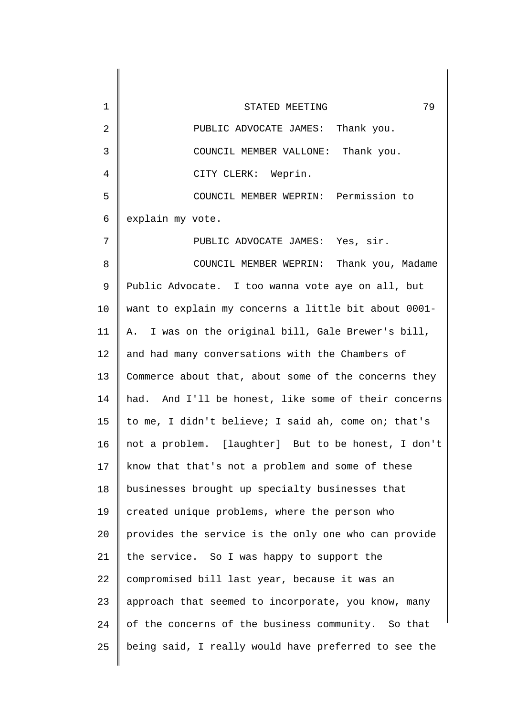| $\mathbf 1$ | 79<br>STATED MEETING                                 |
|-------------|------------------------------------------------------|
| 2           | PUBLIC ADVOCATE JAMES: Thank you.                    |
| 3           | COUNCIL MEMBER VALLONE: Thank you.                   |
| 4           | CITY CLERK: Weprin.                                  |
| 5           | COUNCIL MEMBER WEPRIN: Permission to                 |
| 6           | explain my vote.                                     |
| 7           | PUBLIC ADVOCATE JAMES: Yes, sir.                     |
| 8           | COUNCIL MEMBER WEPRIN: Thank you, Madame             |
| 9           | Public Advocate. I too wanna vote aye on all, but    |
| 10          | want to explain my concerns a little bit about 0001- |
| 11          | A. I was on the original bill, Gale Brewer's bill,   |
| 12          | and had many conversations with the Chambers of      |
| 13          | Commerce about that, about some of the concerns they |
| 14          | had. And I'll be honest, like some of their concerns |
| 15          | to me, I didn't believe; I said ah, come on; that's  |
| 16          | not a problem. [laughter] But to be honest, I don't  |
| 17          | know that that's not a problem and some of these     |
| 18          | businesses brought up specialty businesses that      |
| 19          | created unique problems, where the person who        |
| 20          | provides the service is the only one who can provide |
| 21          | the service. So I was happy to support the           |
| 22          | compromised bill last year, because it was an        |
| 23          | approach that seemed to incorporate, you know, many  |
| 24          | of the concerns of the business community. So that   |
| 25          | being said, I really would have preferred to see the |
|             |                                                      |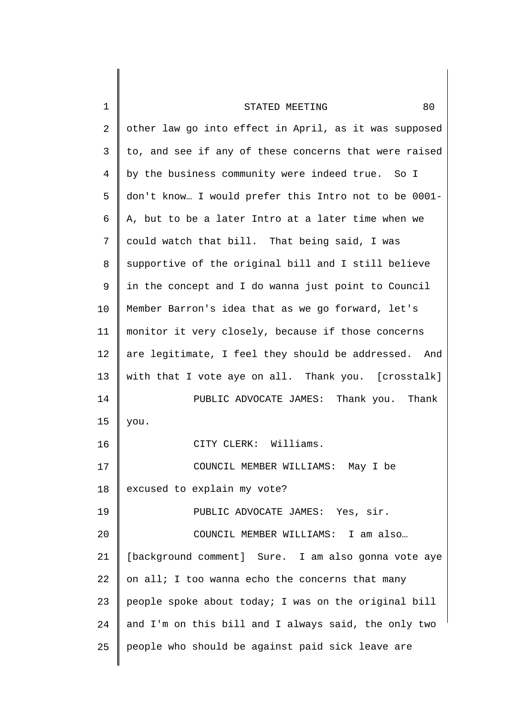| $\mathbf 1$    | 80<br>STATED MEETING                                  |
|----------------|-------------------------------------------------------|
| 2              | other law go into effect in April, as it was supposed |
| 3              | to, and see if any of these concerns that were raised |
| $\overline{4}$ | by the business community were indeed true. So I      |
| 5              | don't know I would prefer this Intro not to be 0001-  |
| 6              | A, but to be a later Intro at a later time when we    |
| 7              | could watch that bill. That being said, I was         |
| 8              | supportive of the original bill and I still believe   |
| 9              | in the concept and I do wanna just point to Council   |
| 10             | Member Barron's idea that as we go forward, let's     |
| 11             | monitor it very closely, because if those concerns    |
| 12             | are legitimate, I feel they should be addressed. And  |
| 13             | with that I vote aye on all. Thank you. [crosstalk]   |
| 14             | PUBLIC ADVOCATE JAMES: Thank you. Thank               |
| 15             | you.                                                  |
| 16             | CITY CLERK: Williams.                                 |
| 17             | COUNCIL MEMBER WILLIAMS: May I be                     |
| 18             | excused to explain my vote?                           |
| 19             | PUBLIC ADVOCATE JAMES: Yes, sir.                      |
| 20             | COUNCIL MEMBER WILLIAMS: I am also                    |
| 21             | [background comment] Sure. I am also gonna vote aye   |
| 22             | on all; I too wanna echo the concerns that many       |
| 23             | people spoke about today; I was on the original bill  |
| 24             | and I'm on this bill and I always said, the only two  |
| 25             | people who should be against paid sick leave are      |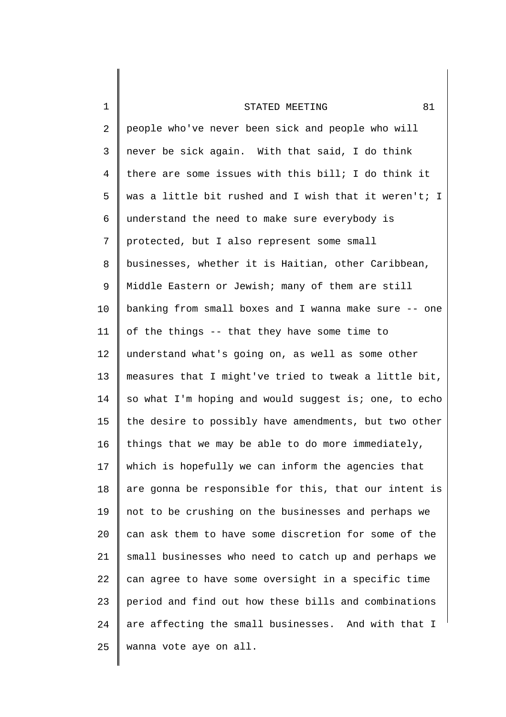| $\mathbf{1}$ | 81<br>STATED MEETING                                  |
|--------------|-------------------------------------------------------|
| 2            | people who've never been sick and people who will     |
| 3            | never be sick again. With that said, I do think       |
| 4            | there are some issues with this bill; I do think it   |
| 5            | was a little bit rushed and I wish that it weren't; I |
| 6            | understand the need to make sure everybody is         |
| 7            | protected, but I also represent some small            |
| 8            | businesses, whether it is Haitian, other Caribbean,   |
| 9            | Middle Eastern or Jewish; many of them are still      |
| 10           | banking from small boxes and I wanna make sure -- one |
| 11           | of the things -- that they have some time to          |
| 12           | understand what's going on, as well as some other     |
| 13           | measures that I might've tried to tweak a little bit, |
| 14           | so what I'm hoping and would suggest is; one, to echo |
| 15           | the desire to possibly have amendments, but two other |
| 16           | things that we may be able to do more immediately,    |
| 17           | which is hopefully we can inform the agencies that    |
| 18           | are gonna be responsible for this, that our intent is |
| 19           | not to be crushing on the businesses and perhaps we   |
| 20           | can ask them to have some discretion for some of the  |
| 21           | small businesses who need to catch up and perhaps we  |
| 22           | can agree to have some oversight in a specific time   |
| 23           | period and find out how these bills and combinations  |
| 24           | are affecting the small businesses. And with that I   |
| 25           | wanna vote aye on all.                                |
|              |                                                       |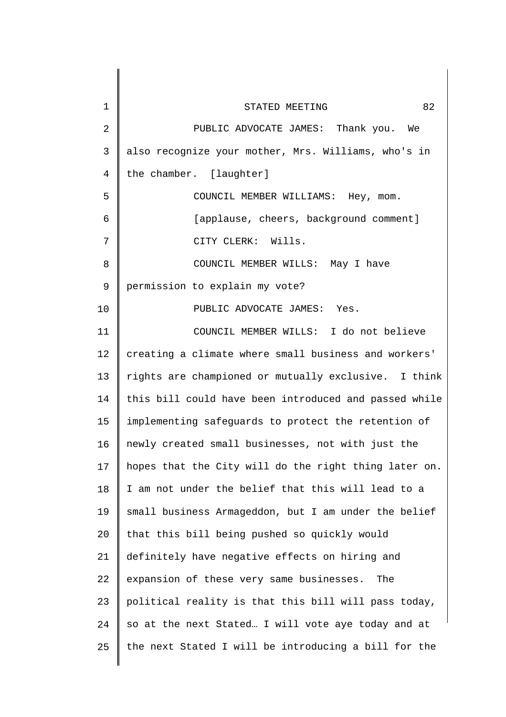| 1  | 82<br>STATED MEETING                                  |
|----|-------------------------------------------------------|
| 2  | PUBLIC ADVOCATE JAMES: Thank you. We                  |
| 3  | also recognize your mother, Mrs. Williams, who's in   |
| 4  | the chamber. [laughter]                               |
| 5  | COUNCIL MEMBER WILLIAMS: Hey, mom.                    |
| 6  | [applause, cheers, background comment]                |
| 7  | CITY CLERK: Wills.                                    |
| 8  | COUNCIL MEMBER WILLS: May I have                      |
| 9  | permission to explain my vote?                        |
| 10 | PUBLIC ADVOCATE JAMES: Yes.                           |
| 11 | COUNCIL MEMBER WILLS: I do not believe                |
| 12 | creating a climate where small business and workers'  |
| 13 | rights are championed or mutually exclusive. I think  |
| 14 | this bill could have been introduced and passed while |
| 15 | implementing safeguards to protect the retention of   |
| 16 | newly created small businesses, not with just the     |
| 17 | hopes that the City will do the right thing later on. |
| 18 | I am not under the belief that this will lead to a    |
| 19 | small business Armageddon, but I am under the belief  |
| 20 | that this bill being pushed so quickly would          |
| 21 | definitely have negative effects on hiring and        |
| 22 | expansion of these very same businesses.<br>The       |
| 23 | political reality is that this bill will pass today,  |
| 24 | so at the next Stated I will vote aye today and at    |
| 25 | the next Stated I will be introducing a bill for the  |
|    |                                                       |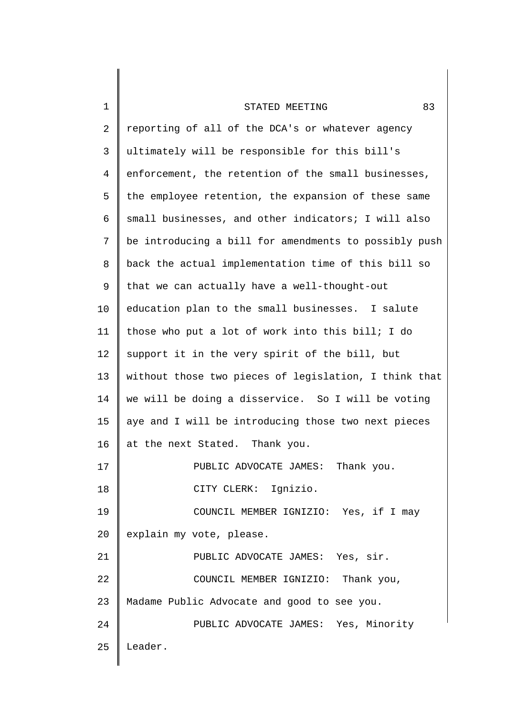| 1  | 83<br>STATED MEETING                                  |
|----|-------------------------------------------------------|
| 2  | reporting of all of the DCA's or whatever agency      |
| 3  | ultimately will be responsible for this bill's        |
| 4  | enforcement, the retention of the small businesses,   |
| 5  | the employee retention, the expansion of these same   |
| 6  | small businesses, and other indicators; I will also   |
| 7  | be introducing a bill for amendments to possibly push |
| 8  | back the actual implementation time of this bill so   |
| 9  | that we can actually have a well-thought-out          |
| 10 | education plan to the small businesses. I salute      |
| 11 | those who put a lot of work into this bill; I do      |
| 12 | support it in the very spirit of the bill, but        |
| 13 | without those two pieces of legislation, I think that |
| 14 | we will be doing a disservice. So I will be voting    |
| 15 | aye and I will be introducing those two next pieces   |
| 16 | at the next Stated. Thank you.                        |
| 17 | PUBLIC ADVOCATE JAMES: Thank you.                     |
| 18 | CITY CLERK: Ignizio.                                  |
| 19 | COUNCIL MEMBER IGNIZIO: Yes, if I may                 |
| 20 | explain my vote, please.                              |
| 21 | PUBLIC ADVOCATE JAMES: Yes, sir.                      |
| 22 | COUNCIL MEMBER IGNIZIO: Thank you,                    |
| 23 | Madame Public Advocate and good to see you.           |
| 24 | PUBLIC ADVOCATE JAMES: Yes, Minority                  |
| 25 | Leader.                                               |
|    |                                                       |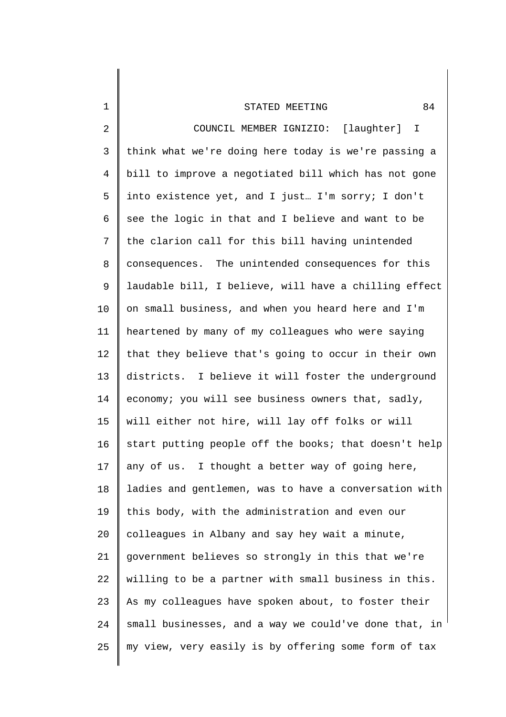| $\mathbf 1$  | 84<br>STATED MEETING                                  |
|--------------|-------------------------------------------------------|
| $\sqrt{2}$   | COUNCIL MEMBER IGNIZIO: [laughter] I                  |
| $\mathsf{3}$ | think what we're doing here today is we're passing a  |
| 4            | bill to improve a negotiated bill which has not gone  |
| 5            | into existence yet, and I just I'm sorry; I don't     |
| 6            | see the logic in that and I believe and want to be    |
| 7            | the clarion call for this bill having unintended      |
| 8            | consequences. The unintended consequences for this    |
| 9            | laudable bill, I believe, will have a chilling effect |
| 10           | on small business, and when you heard here and I'm    |
| 11           | heartened by many of my colleagues who were saying    |
| 12           | that they believe that's going to occur in their own  |
| 13           | districts. I believe it will foster the underground   |
| 14           | economy; you will see business owners that, sadly,    |
| 15           | will either not hire, will lay off folks or will      |
| 16           | start putting people off the books; that doesn't help |
| 17           | any of us. I thought a better way of going here,      |
| 18           | ladies and gentlemen, was to have a conversation with |
| 19           | this body, with the administration and even our       |
| 20           | colleagues in Albany and say hey wait a minute,       |
| 21           | government believes so strongly in this that we're    |
| 22           | willing to be a partner with small business in this.  |
| 23           | As my colleagues have spoken about, to foster their   |
| 24           | small businesses, and a way we could've done that, in |
| 25           | my view, very easily is by offering some form of tax  |
|              |                                                       |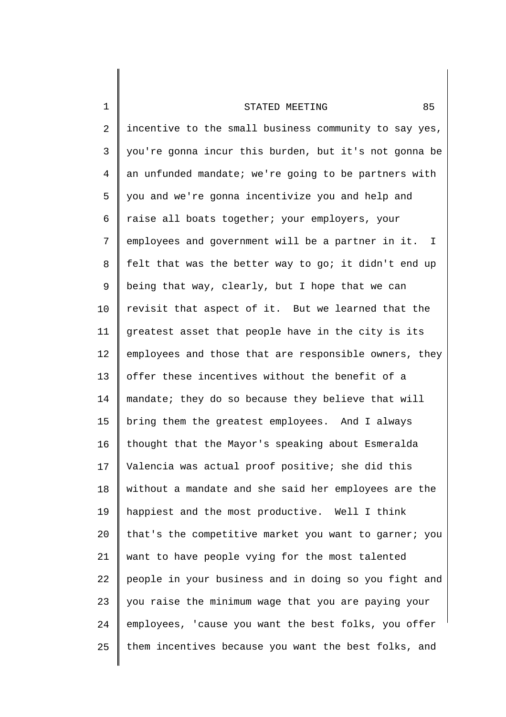| $\mathbf{1}$ | 85<br>STATED MEETING                                  |
|--------------|-------------------------------------------------------|
| 2            | incentive to the small business community to say yes, |
| 3            | you're gonna incur this burden, but it's not gonna be |
| 4            | an unfunded mandate; we're going to be partners with  |
| 5            | you and we're gonna incentivize you and help and      |
| 6            | raise all boats together; your employers, your        |
| 7            | employees and government will be a partner in it. I   |
| 8            | felt that was the better way to go; it didn't end up  |
| 9            | being that way, clearly, but I hope that we can       |
| 10           | revisit that aspect of it. But we learned that the    |
| 11           | greatest asset that people have in the city is its    |
| 12           | employees and those that are responsible owners, they |
| 13           | offer these incentives without the benefit of a       |
| 14           | mandate; they do so because they believe that will    |
| 15           | bring them the greatest employees. And I always       |
| 16           | thought that the Mayor's speaking about Esmeralda     |
| 17           | Valencia was actual proof positive; she did this      |
| 18           | without a mandate and she said her employees are the  |
| 19           | happiest and the most productive. Well I think        |
| 20           | that's the competitive market you want to garner; you |
| 21           | want to have people vying for the most talented       |
| 22           | people in your business and in doing so you fight and |
| 23           | you raise the minimum wage that you are paying your   |
| 24           | employees, 'cause you want the best folks, you offer  |
| 25           | them incentives because you want the best folks, and  |
|              |                                                       |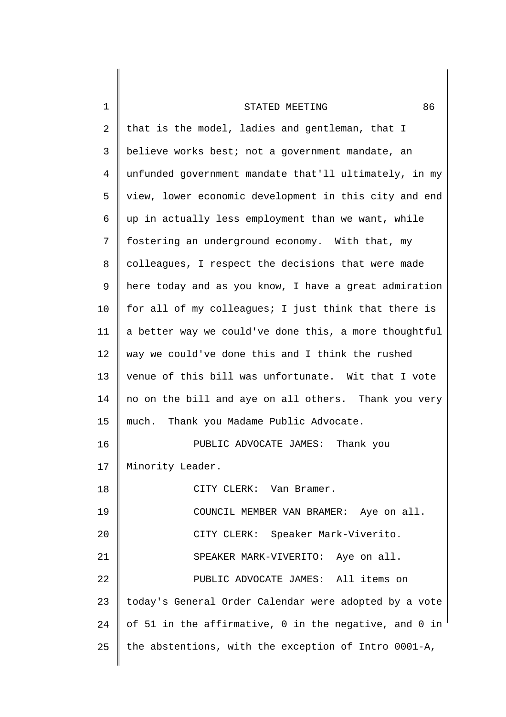| 1              | 86<br>STATED MEETING                                  |
|----------------|-------------------------------------------------------|
| $\overline{2}$ | that is the model, ladies and gentleman, that I       |
| 3              | believe works best; not a government mandate, an      |
| 4              | unfunded government mandate that'll ultimately, in my |
| 5              | view, lower economic development in this city and end |
| 6              | up in actually less employment than we want, while    |
| 7              | fostering an underground economy. With that, my       |
| 8              | colleagues, I respect the decisions that were made    |
| 9              | here today and as you know, I have a great admiration |
| 10             | for all of my colleagues; I just think that there is  |
| 11             | a better way we could've done this, a more thoughtful |
| 12             | way we could've done this and I think the rushed      |
| 13             | venue of this bill was unfortunate. Wit that I vote   |
| 14             | no on the bill and aye on all others. Thank you very  |
| 15             | Thank you Madame Public Advocate.<br>much.            |
| 16             | PUBLIC ADVOCATE JAMES: Thank you                      |
| 17             | Minority Leader.                                      |
| 18             | CITY CLERK: Van Bramer.                               |
| 19             | COUNCIL MEMBER VAN BRAMER: Aye on all.                |
| 20             | CITY CLERK: Speaker Mark-Viverito.                    |
| 21             | SPEAKER MARK-VIVERITO: Aye on all.                    |
| 22             | PUBLIC ADVOCATE JAMES: All items on                   |
| 23             | today's General Order Calendar were adopted by a vote |
| 24             | of 51 in the affirmative, 0 in the negative, and 0 in |
| 25             | the abstentions, with the exception of Intro 0001-A,  |
|                |                                                       |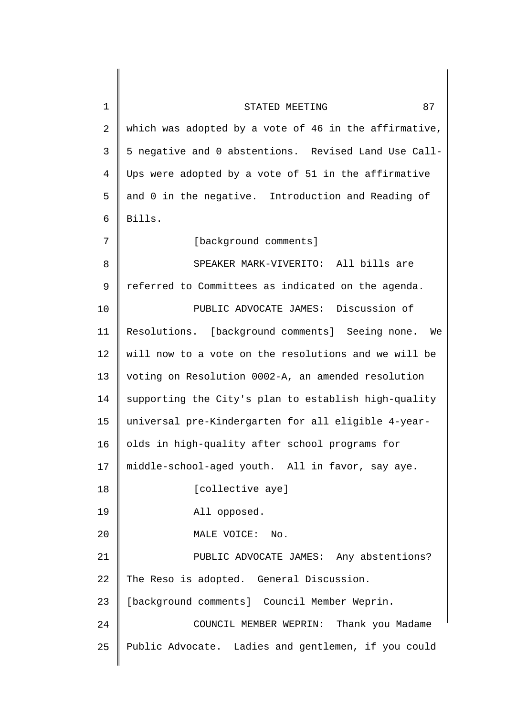| $\mathbf 1$    | 87<br>STATED MEETING                                  |
|----------------|-------------------------------------------------------|
| $\overline{a}$ | which was adopted by a vote of 46 in the affirmative, |
| $\mathsf{3}$   | 5 negative and 0 abstentions. Revised Land Use Call-  |
| 4              | Ups were adopted by a vote of 51 in the affirmative   |
| 5              | and 0 in the negative. Introduction and Reading of    |
| 6              | Bills.                                                |
| 7              | [background comments]                                 |
| 8              | SPEAKER MARK-VIVERITO: All bills are                  |
| 9              | referred to Committees as indicated on the agenda.    |
| 10             | PUBLIC ADVOCATE JAMES: Discussion of                  |
| 11             | Resolutions. [background comments] Seeing none.<br>We |
| 12             | will now to a vote on the resolutions and we will be  |
| 13             | voting on Resolution 0002-A, an amended resolution    |
| 14             | supporting the City's plan to establish high-quality  |
| 15             | universal pre-Kindergarten for all eligible 4-year-   |
| 16             | olds in high-quality after school programs for        |
| 17             | middle-school-aged youth. All in favor, say aye.      |
| 18             | [collective aye]                                      |
| 19             | All opposed.                                          |
| 20             | MALE VOICE: No.                                       |
| 21             | PUBLIC ADVOCATE JAMES: Any abstentions?               |
| 22             | The Reso is adopted. General Discussion.              |
| 23             | [background comments] Council Member Weprin.          |
| 24             | COUNCIL MEMBER WEPRIN: Thank you Madame               |
| 25             | Public Advocate. Ladies and gentlemen, if you could   |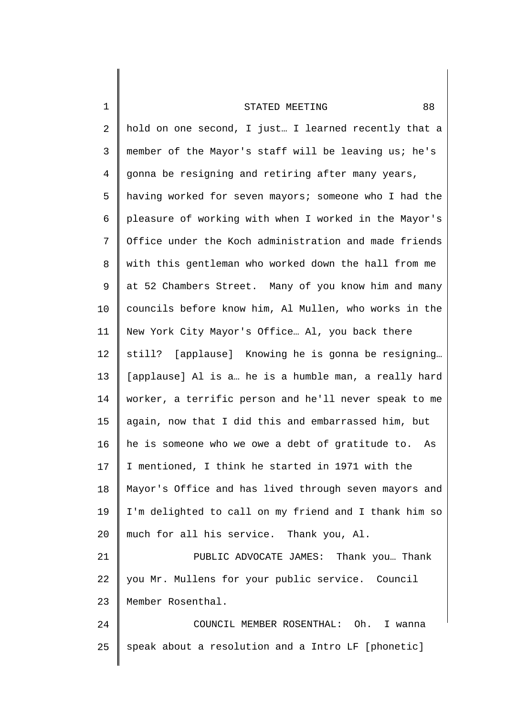| 1  | 88<br>STATED MEETING                                   |
|----|--------------------------------------------------------|
| 2  | hold on one second, I just I learned recently that a   |
| 3  | member of the Mayor's staff will be leaving us; he's   |
| 4  | gonna be resigning and retiring after many years,      |
| 5  | having worked for seven mayors; someone who I had the  |
| 6  | pleasure of working with when I worked in the Mayor's  |
| 7  | Office under the Koch administration and made friends  |
| 8  | with this gentleman who worked down the hall from me   |
| 9  | at 52 Chambers Street. Many of you know him and many   |
| 10 | councils before know him, Al Mullen, who works in the  |
| 11 | New York City Mayor's Office Al, you back there        |
| 12 | still? [applause] Knowing he is gonna be resigning     |
| 13 | [applause] Al is a he is a humble man, a really hard   |
| 14 | worker, a terrific person and he'll never speak to me  |
| 15 | again, now that I did this and embarrassed him, but    |
| 16 | he is someone who we owe a debt of gratitude to.<br>As |
| 17 | I mentioned, I think he started in 1971 with the       |
| 18 | Mayor's Office and has lived through seven mayors and  |
| 19 | I'm delighted to call on my friend and I thank him so  |
| 20 | much for all his service. Thank you, Al.               |
| 21 | PUBLIC ADVOCATE JAMES: Thank you Thank                 |
| 22 | you Mr. Mullens for your public service. Council       |
| 23 | Member Rosenthal.                                      |
| 24 | COUNCIL MEMBER ROSENTHAL: Oh. I wanna                  |
| 25 | speak about a resolution and a Intro LF [phonetic]     |
|    |                                                        |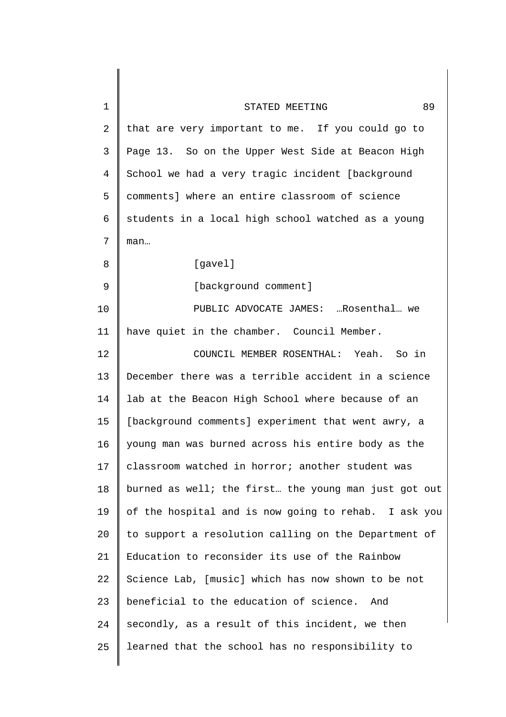| $\mathbf 1$    | 89<br>STATED MEETING                                 |
|----------------|------------------------------------------------------|
| $\overline{2}$ | that are very important to me. If you could go to    |
| 3              | Page 13. So on the Upper West Side at Beacon High    |
| $\overline{4}$ | School we had a very tragic incident [background     |
| 5              | comments] where an entire classroom of science       |
| 6              | students in a local high school watched as a young   |
| 7              | man                                                  |
| 8              | [gavel]                                              |
| 9              | [background comment]                                 |
| 10             | PUBLIC ADVOCATE JAMES: Rosenthal we                  |
| 11             | have quiet in the chamber. Council Member.           |
| 12             | COUNCIL MEMBER ROSENTHAL: Yeah.<br>So in             |
| 13             | December there was a terrible accident in a science  |
| 14             | lab at the Beacon High School where because of an    |
| 15             | [background comments] experiment that went awry, a   |
| 16             | young man was burned across his entire body as the   |
| 17             | classroom watched in horror; another student was     |
| 18             | burned as well; the first the young man just got out |
| 19             | of the hospital and is now going to rehab. I ask you |
| 20             | to support a resolution calling on the Department of |
| 21             | Education to reconsider its use of the Rainbow       |
| 22             | Science Lab, [music] which has now shown to be not   |
| 23             | beneficial to the education of science. And          |
| 24             | secondly, as a result of this incident, we then      |
| 25             | learned that the school has no responsibility to     |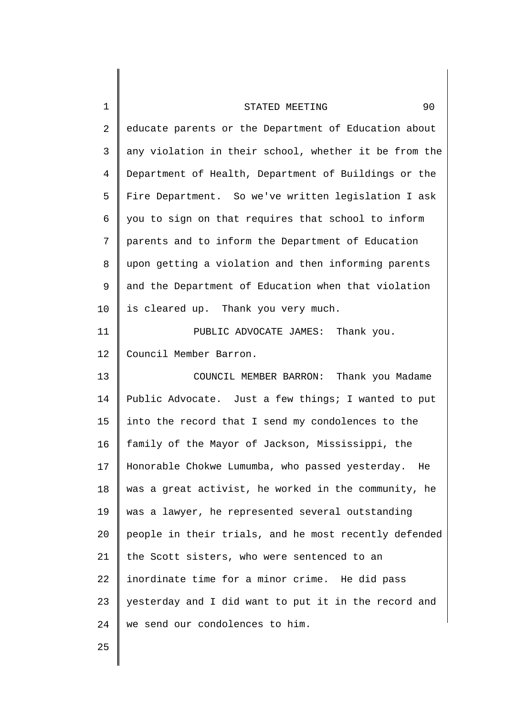| 1  | 90<br>STATED MEETING                                  |
|----|-------------------------------------------------------|
| 2  | educate parents or the Department of Education about  |
| 3  | any violation in their school, whether it be from the |
| 4  | Department of Health, Department of Buildings or the  |
| 5  | Fire Department. So we've written legislation I ask   |
| 6  | you to sign on that requires that school to inform    |
| 7  | parents and to inform the Department of Education     |
| 8  | upon getting a violation and then informing parents   |
| 9  | and the Department of Education when that violation   |
| 10 | is cleared up. Thank you very much.                   |
| 11 | PUBLIC ADVOCATE JAMES: Thank you.                     |
| 12 | Council Member Barron.                                |
| 13 | COUNCIL MEMBER BARRON: Thank you Madame               |
| 14 | Public Advocate. Just a few things; I wanted to put   |
| 15 | into the record that I send my condolences to the     |
| 16 | family of the Mayor of Jackson, Mississippi, the      |
| 17 | Honorable Chokwe Lumumba, who passed yesterday. He    |
| 18 | was a great activist, he worked in the community, he  |
| 19 | was a lawyer, he represented several outstanding      |
| 20 | people in their trials, and he most recently defended |
| 21 | the Scott sisters, who were sentenced to an           |
| 22 | inordinate time for a minor crime. He did pass        |
| 23 | yesterday and I did want to put it in the record and  |
| 24 | we send our condolences to him.                       |
| 25 |                                                       |
|    |                                                       |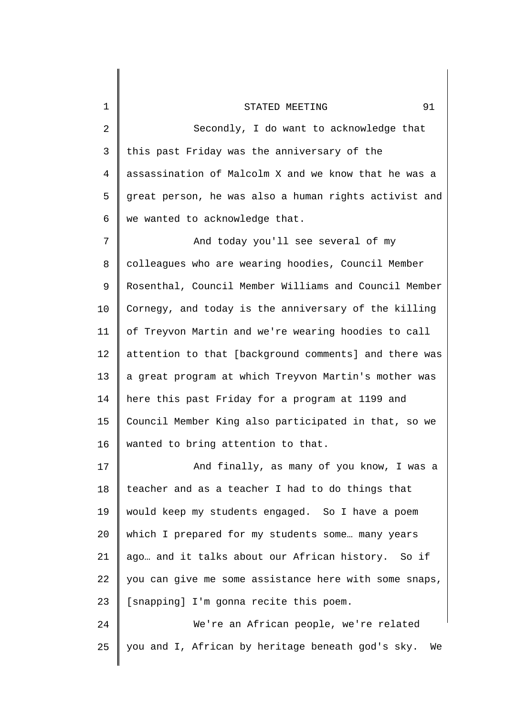| $\mathbf 1$    | 91<br>STATED MEETING                                    |
|----------------|---------------------------------------------------------|
| $\overline{2}$ | Secondly, I do want to acknowledge that                 |
| $\mathsf{3}$   | this past Friday was the anniversary of the             |
| 4              | assassination of Malcolm X and we know that he was a    |
| 5              | great person, he was also a human rights activist and   |
| 6              | we wanted to acknowledge that.                          |
| 7              | And today you'll see several of my                      |
| 8              | colleagues who are wearing hoodies, Council Member      |
| 9              | Rosenthal, Council Member Williams and Council Member   |
| 10             | Cornegy, and today is the anniversary of the killing    |
| 11             | of Treyvon Martin and we're wearing hoodies to call     |
| 12             | attention to that [background comments] and there was   |
| 13             | a great program at which Treyvon Martin's mother was    |
| 14             | here this past Friday for a program at 1199 and         |
| 15             | Council Member King also participated in that, so we    |
| 16             | wanted to bring attention to that.                      |
| 17             | And finally, as many of you know, I was a               |
| 18             | teacher and as a teacher I had to do things that        |
| 19             | would keep my students engaged. So I have a poem        |
| 20             | which I prepared for my students some many years        |
| 21             | ago and it talks about our African history. So if       |
| 22             | you can give me some assistance here with some snaps,   |
| 23             | [snapping] I'm gonna recite this poem.                  |
| 24             | We're an African people, we're related                  |
| 25             | you and I, African by heritage beneath god's sky.<br>We |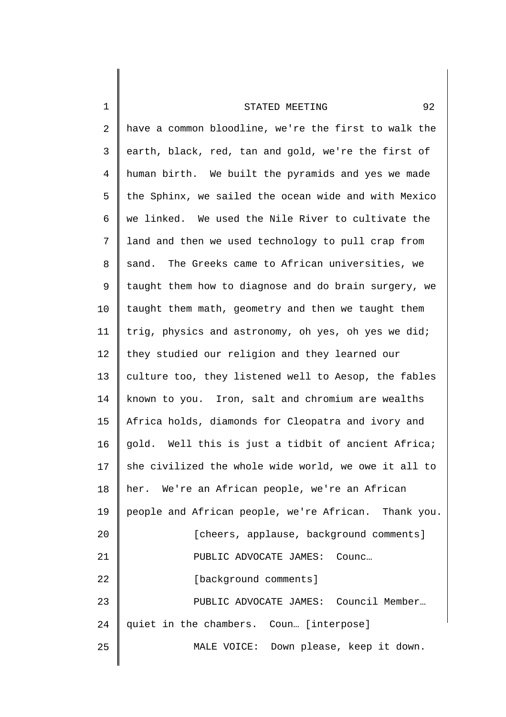| $\mathbf{1}$ | 92<br>STATED MEETING                                   |
|--------------|--------------------------------------------------------|
| 2            | have a common bloodline, we're the first to walk the   |
| 3            | earth, black, red, tan and gold, we're the first of    |
| 4            | human birth. We built the pyramids and yes we made     |
| 5            | the Sphinx, we sailed the ocean wide and with Mexico   |
| 6            | we linked. We used the Nile River to cultivate the     |
| 7            | land and then we used technology to pull crap from     |
| 8            | sand. The Greeks came to African universities, we      |
| 9            | taught them how to diagnose and do brain surgery, we   |
| 10           | taught them math, geometry and then we taught them     |
| 11           | trig, physics and astronomy, oh yes, oh yes we did;    |
| 12           | they studied our religion and they learned our         |
| 13           | culture too, they listened well to Aesop, the fables   |
| 14           | known to you. Iron, salt and chromium are wealths      |
| 15           | Africa holds, diamonds for Cleopatra and ivory and     |
| 16           | Well this is just a tidbit of ancient Africa;<br>gold. |
| 17           | she civilized the whole wide world, we owe it all to   |
| 18           | her. We're an African people, we're an African         |
| 19           | people and African people, we're African. Thank you.   |
| 20           | [cheers, applause, background comments]                |
| 21           | PUBLIC ADVOCATE JAMES:<br>Counc                        |
| 22           | [background comments]                                  |
| 23           | PUBLIC ADVOCATE JAMES: Council Member                  |
| 24           | quiet in the chambers. Coun [interpose]                |
| 25           | MALE VOICE: Down please, keep it down.                 |
|              |                                                        |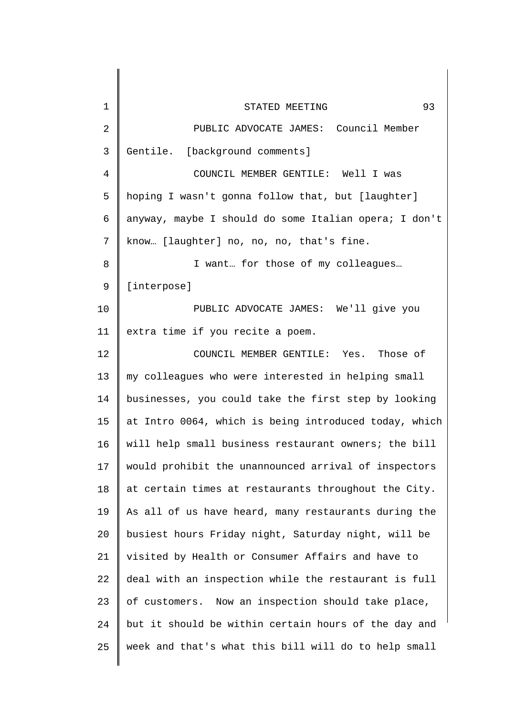| 1              | 93<br>STATED MEETING                                  |
|----------------|-------------------------------------------------------|
| $\overline{2}$ | PUBLIC ADVOCATE JAMES: Council Member                 |
| 3              | Gentile. [background comments]                        |
| $\overline{4}$ | COUNCIL MEMBER GENTILE: Well I was                    |
| 5              | hoping I wasn't gonna follow that, but [laughter]     |
| 6              | anyway, maybe I should do some Italian opera; I don't |
| 7              | know [laughter] no, no, no, that's fine.              |
| 8              | I want for those of my colleagues                     |
| 9              | [interpose]                                           |
| 10             | PUBLIC ADVOCATE JAMES: We'll give you                 |
| 11             | extra time if you recite a poem.                      |
| 12             | COUNCIL MEMBER GENTILE: Yes. Those of                 |
| 13             | my colleagues who were interested in helping small    |
| 14             | businesses, you could take the first step by looking  |
| 15             | at Intro 0064, which is being introduced today, which |
| 16             | will help small business restaurant owners; the bill  |
| 17             | would prohibit the unannounced arrival of inspectors  |
| 18             | at certain times at restaurants throughout the City.  |
| 19             | As all of us have heard, many restaurants during the  |
| 20             | busiest hours Friday night, Saturday night, will be   |
| 21             | visited by Health or Consumer Affairs and have to     |
| 22             | deal with an inspection while the restaurant is full  |
| 23             | of customers. Now an inspection should take place,    |
| 24             | but it should be within certain hours of the day and  |
| 25             | week and that's what this bill will do to help small  |
|                |                                                       |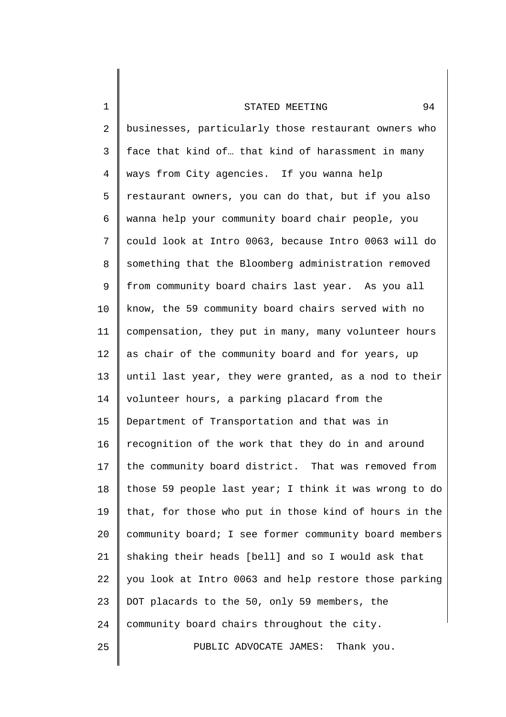| $\mathbf{1}$ | 94<br>STATED MEETING                                  |
|--------------|-------------------------------------------------------|
| 2            | businesses, particularly those restaurant owners who  |
| 3            | face that kind of that kind of harassment in many     |
| 4            | ways from City agencies. If you wanna help            |
| 5            | restaurant owners, you can do that, but if you also   |
| 6            | wanna help your community board chair people, you     |
| 7            | could look at Intro 0063, because Intro 0063 will do  |
| 8            | something that the Bloomberg administration removed   |
| 9            | from community board chairs last year. As you all     |
| 10           | know, the 59 community board chairs served with no    |
| 11           | compensation, they put in many, many volunteer hours  |
| 12           | as chair of the community board and for years, up     |
| 13           | until last year, they were granted, as a nod to their |
| 14           | volunteer hours, a parking placard from the           |
| 15           | Department of Transportation and that was in          |
| 16           | recognition of the work that they do in and around    |
| 17           | the community board district. That was removed from   |
| 18           | those 59 people last year; I think it was wrong to do |
| 19           | that, for those who put in those kind of hours in the |
| 20           | community board; I see former community board members |
| 21           | shaking their heads [bell] and so I would ask that    |
| 22           | you look at Intro 0063 and help restore those parking |
| 23           | DOT placards to the 50, only 59 members, the          |
| 24           | community board chairs throughout the city.           |
| 25           | PUBLIC ADVOCATE JAMES: Thank you.                     |
|              |                                                       |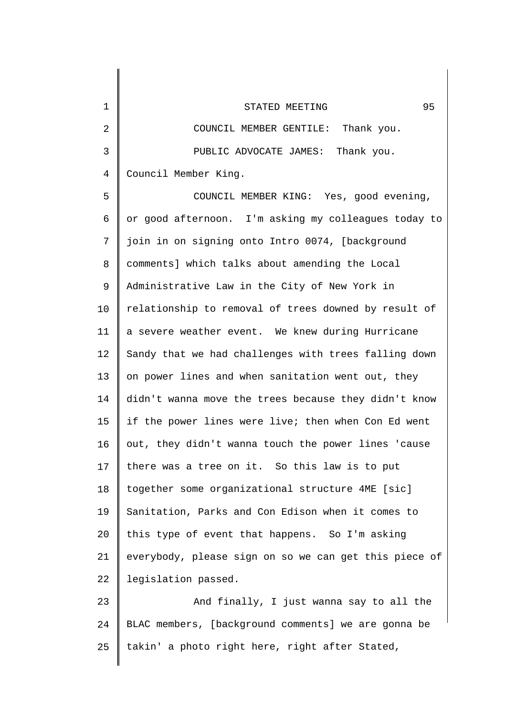| $\mathbf 1$ | 95<br>STATED MEETING                                  |
|-------------|-------------------------------------------------------|
| 2           | COUNCIL MEMBER GENTILE: Thank you.                    |
| 3           | PUBLIC ADVOCATE JAMES: Thank you.                     |
| 4           | Council Member King.                                  |
| 5           | COUNCIL MEMBER KING: Yes, good evening,               |
| 6           | or good afternoon. I'm asking my colleagues today to  |
| 7           | join in on signing onto Intro 0074, [background       |
| 8           | comments] which talks about amending the Local        |
| 9           | Administrative Law in the City of New York in         |
| 10          | relationship to removal of trees downed by result of  |
| 11          | a severe weather event. We knew during Hurricane      |
| 12          | Sandy that we had challenges with trees falling down  |
| 13          | on power lines and when sanitation went out, they     |
| 14          | didn't wanna move the trees because they didn't know  |
| 15          | if the power lines were live; then when Con Ed went   |
| 16          | out, they didn't wanna touch the power lines 'cause   |
| 17          | there was a tree on it. So this law is to put         |
| 18          | together some organizational structure 4ME [sic]      |
| 19          | Sanitation, Parks and Con Edison when it comes to     |
| 20          | this type of event that happens. So I'm asking        |
| 21          | everybody, please sign on so we can get this piece of |
| 22          | legislation passed.                                   |
| 23          | And finally, I just wanna say to all the              |
| 24          | BLAC members, [background comments] we are gonna be   |
| 25          | takin' a photo right here, right after Stated,        |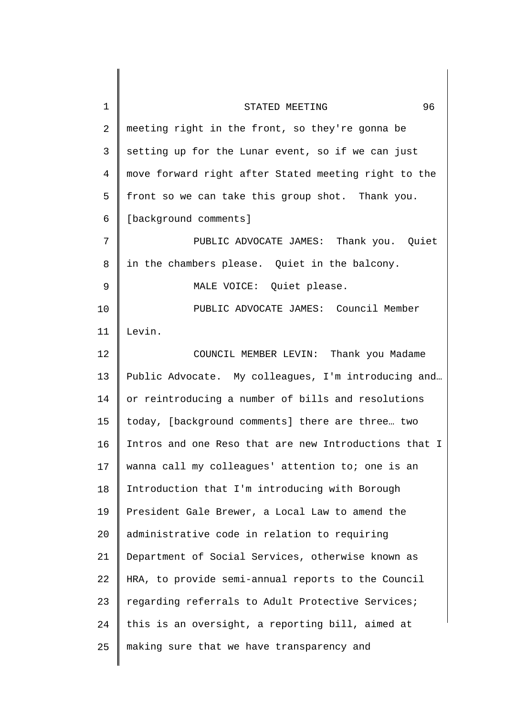| $\mathbf 1$ | 96<br>STATED MEETING                                  |
|-------------|-------------------------------------------------------|
| 2           | meeting right in the front, so they're gonna be       |
| 3           | setting up for the Lunar event, so if we can just     |
| 4           | move forward right after Stated meeting right to the  |
| 5           | front so we can take this group shot. Thank you.      |
| 6           | [background comments]                                 |
| 7           | PUBLIC ADVOCATE JAMES: Thank you. Quiet               |
| 8           | in the chambers please. Quiet in the balcony.         |
| 9           | MALE VOICE: Quiet please.                             |
| 10          | PUBLIC ADVOCATE JAMES: Council Member                 |
| 11          | Levin.                                                |
| 12          | COUNCIL MEMBER LEVIN: Thank you Madame                |
| 13          | Public Advocate. My colleagues, I'm introducing and   |
| 14          | or reintroducing a number of bills and resolutions    |
| 15          | today, [background comments] there are three two      |
| 16          | Intros and one Reso that are new Introductions that I |
| 17          | wanna call my colleagues' attention to; one is an     |
| 18          | Introduction that I'm introducing with Borough        |
| 19          | President Gale Brewer, a Local Law to amend the       |
| 20          | administrative code in relation to requiring          |
| 21          | Department of Social Services, otherwise known as     |
| 22          | HRA, to provide semi-annual reports to the Council    |
| 23          | regarding referrals to Adult Protective Services;     |
| 24          | this is an oversight, a reporting bill, aimed at      |
| 25          | making sure that we have transparency and             |
|             |                                                       |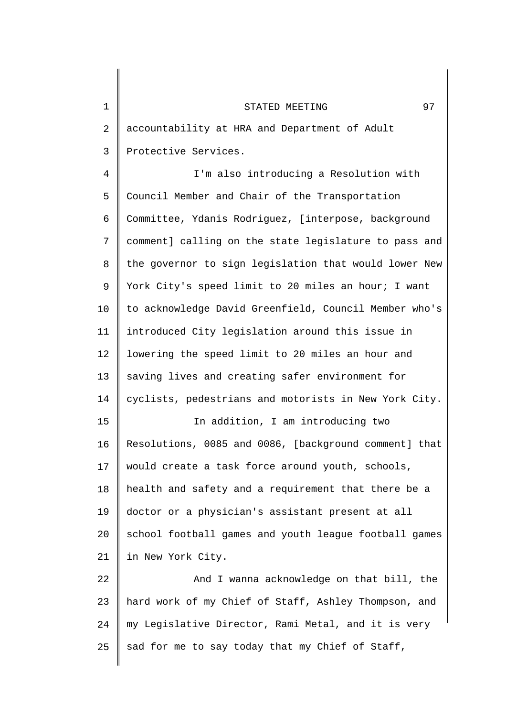accountability at HRA and Department of Adult Protective Services.

1

2

3

4 5 6 7 8 9 10 11 12 13 14 15 16 17 18 19 I'm also introducing a Resolution with Council Member and Chair of the Transportation Committee, Ydanis Rodriguez, [interpose, background comment] calling on the state legislature to pass and the governor to sign legislation that would lower New York City's speed limit to 20 miles an hour; I want to acknowledge David Greenfield, Council Member who's introduced City legislation around this issue in lowering the speed limit to 20 miles an hour and saving lives and creating safer environment for cyclists, pedestrians and motorists in New York City. In addition, I am introducing two Resolutions, 0085 and 0086, [background comment] that would create a task force around youth, schools, health and safety and a requirement that there be a doctor or a physician's assistant present at all

20 21 school football games and youth league football games in New York City.

22 23 24 25 And I wanna acknowledge on that bill, the hard work of my Chief of Staff, Ashley Thompson, and my Legislative Director, Rami Metal, and it is very sad for me to say today that my Chief of Staff,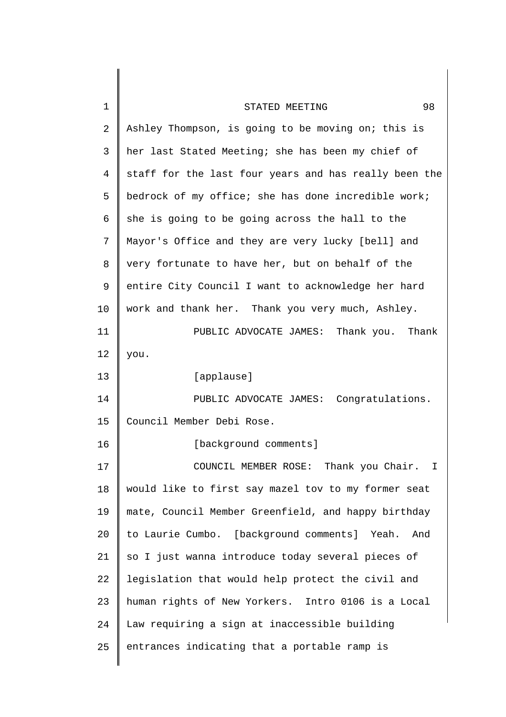| $\mathbf 1$    | 98<br>STATED MEETING                                  |
|----------------|-------------------------------------------------------|
| $\overline{2}$ | Ashley Thompson, is going to be moving on; this is    |
| 3              | her last Stated Meeting; she has been my chief of     |
| $\overline{4}$ | staff for the last four years and has really been the |
| 5              | bedrock of my office; she has done incredible work;   |
| 6              | she is going to be going across the hall to the       |
| 7              | Mayor's Office and they are very lucky [bell] and     |
| 8              | very fortunate to have her, but on behalf of the      |
| 9              | entire City Council I want to acknowledge her hard    |
| 10             | work and thank her. Thank you very much, Ashley.      |
| 11             | PUBLIC ADVOCATE JAMES: Thank you. Thank               |
| 12             | you.                                                  |
| 13             | [applause]                                            |
| 14             | PUBLIC ADVOCATE JAMES: Congratulations.               |
| 15             | Council Member Debi Rose.                             |
| 16             | [background comments]                                 |
| 17             | COUNCIL MEMBER ROSE: Thank you Chair. I               |
| 18             | would like to first say mazel tov to my former seat   |
| 19             | mate, Council Member Greenfield, and happy birthday   |
| 20             | to Laurie Cumbo. [background comments] Yeah. And      |
| 21             | so I just wanna introduce today several pieces of     |
| 22             | legislation that would help protect the civil and     |
| 23             | human rights of New Yorkers. Intro 0106 is a Local    |
| 24             | Law requiring a sign at inaccessible building         |
| 25             | entrances indicating that a portable ramp is          |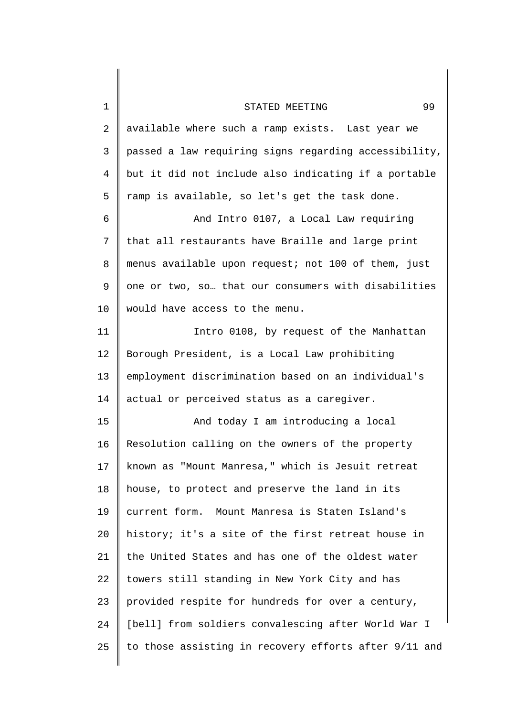| 1  | 99<br>STATED MEETING                                  |
|----|-------------------------------------------------------|
| 2  | available where such a ramp exists. Last year we      |
| 3  | passed a law requiring signs regarding accessibility, |
| 4  | but it did not include also indicating if a portable  |
| 5  | ramp is available, so let's get the task done.        |
| 6  | And Intro 0107, a Local Law requiring                 |
| 7  | that all restaurants have Braille and large print     |
| 8  | menus available upon request; not 100 of them, just   |
| 9  | one or two, so that our consumers with disabilities   |
| 10 | would have access to the menu.                        |
| 11 | Intro 0108, by request of the Manhattan               |
| 12 | Borough President, is a Local Law prohibiting         |
| 13 | employment discrimination based on an individual's    |
| 14 | actual or perceived status as a caregiver.            |
| 15 | And today I am introducing a local                    |
| 16 | Resolution calling on the owners of the property      |
| 17 | known as "Mount Manresa," which is Jesuit retreat     |
| 18 | house, to protect and preserve the land in its        |
| 19 | current form. Mount Manresa is Staten Island's        |
| 20 | history; it's a site of the first retreat house in    |
| 21 | the United States and has one of the oldest water     |
| 22 | towers still standing in New York City and has        |
| 23 | provided respite for hundreds for over a century,     |
| 24 | [bell] from soldiers convalescing after World War I   |
| 25 | to those assisting in recovery efforts after 9/11 and |
|    |                                                       |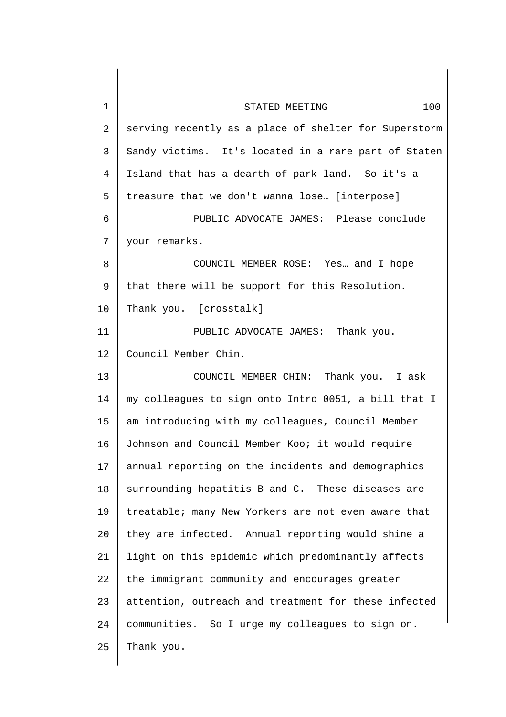| 1              | 100<br>STATED MEETING                                 |
|----------------|-------------------------------------------------------|
| $\overline{2}$ | serving recently as a place of shelter for Superstorm |
| 3              | Sandy victims. It's located in a rare part of Staten  |
| $\overline{4}$ | Island that has a dearth of park land. So it's a      |
| 5              | treasure that we don't wanna lose [interpose]         |
| 6              | PUBLIC ADVOCATE JAMES: Please conclude                |
| 7              | your remarks.                                         |
| 8              | COUNCIL MEMBER ROSE: Yes and I hope                   |
| 9              | that there will be support for this Resolution.       |
| 10             | Thank you. [crosstalk]                                |
| 11             | PUBLIC ADVOCATE JAMES: Thank you.                     |
| 12             | Council Member Chin.                                  |
| 13             | COUNCIL MEMBER CHIN: Thank you. I ask                 |
| 14             | my colleagues to sign onto Intro 0051, a bill that I  |
| 15             | am introducing with my colleagues, Council Member     |
| 16             | Johnson and Council Member Koo; it would require      |
| 17             | annual reporting on the incidents and demographics    |
| 18             | surrounding hepatitis B and C. These diseases are     |
| 19             | treatable; many New Yorkers are not even aware that   |
| 20             | they are infected. Annual reporting would shine a     |
| 21             | light on this epidemic which predominantly affects    |
| 22             | the immigrant community and encourages greater        |
| 23             | attention, outreach and treatment for these infected  |
| 24             | communities. So I urge my colleagues to sign on.      |
| 25             | Thank you.                                            |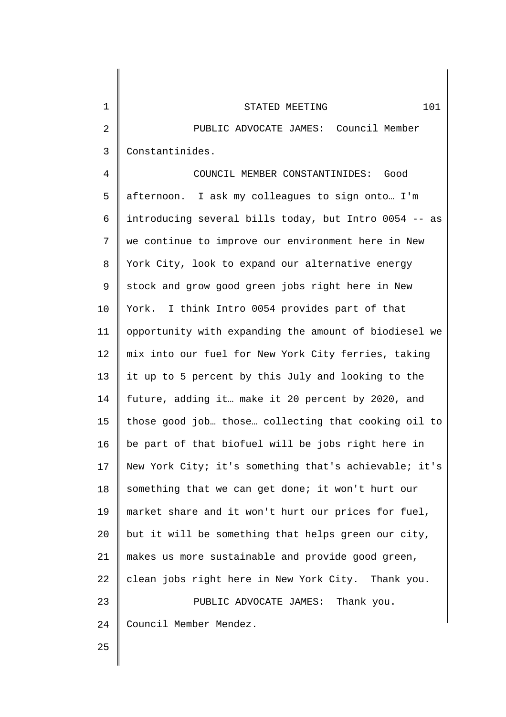| $\mathbf 1$ | 101<br>STATED MEETING                                 |
|-------------|-------------------------------------------------------|
| 2           | PUBLIC ADVOCATE JAMES: Council Member                 |
| 3           | Constantinides.                                       |
| 4           | COUNCIL MEMBER CONSTANTINIDES: Good                   |
| 5           | afternoon. I ask my colleagues to sign onto I'm       |
| 6           | introducing several bills today, but Intro 0054 -- as |
| 7           | we continue to improve our environment here in New    |
| 8           | York City, look to expand our alternative energy      |
| 9           | stock and grow good green jobs right here in New      |
| 10          | York. I think Intro 0054 provides part of that        |
| 11          | opportunity with expanding the amount of biodiesel we |
| 12          | mix into our fuel for New York City ferries, taking   |
| 13          | it up to 5 percent by this July and looking to the    |
| 14          | future, adding it make it 20 percent by 2020, and     |
| 15          | those good job those collecting that cooking oil to   |
| 16          | be part of that biofuel will be jobs right here in    |
| 17          | New York City; it's something that's achievable; it's |
| 18          | something that we can get done; it won't hurt our     |
| 19          | market share and it won't hurt our prices for fuel,   |
| 20          | but it will be something that helps green our city,   |
| 21          | makes us more sustainable and provide good green,     |
| 22          | clean jobs right here in New York City. Thank you.    |
| 23          | PUBLIC ADVOCATE JAMES: Thank you.                     |
| 24          | Council Member Mendez.                                |
| 25          |                                                       |
|             |                                                       |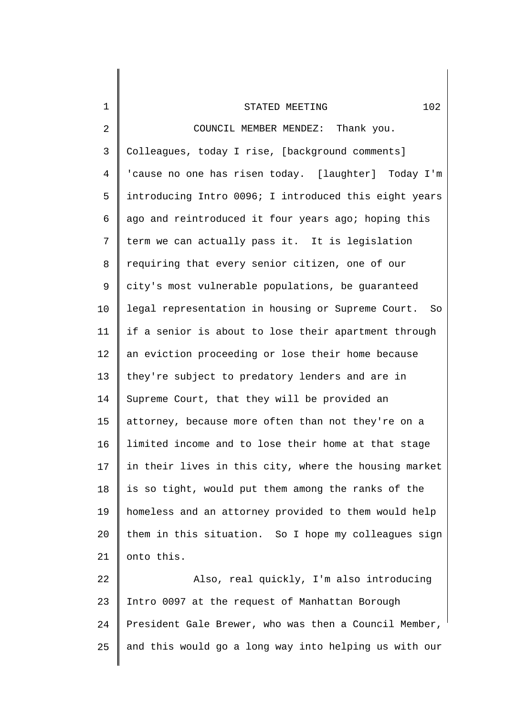| $\mathbf{1}$ | 102<br>STATED MEETING                                 |
|--------------|-------------------------------------------------------|
| 2            | COUNCIL MEMBER MENDEZ: Thank you.                     |
| $\mathsf{3}$ | Colleagues, today I rise, [background comments]       |
| 4            | 'cause no one has risen today. [laughter] Today I'm   |
| 5            | introducing Intro 0096; I introduced this eight years |
| 6            | ago and reintroduced it four years ago; hoping this   |
| 7            | term we can actually pass it. It is legislation       |
| 8            | requiring that every senior citizen, one of our       |
| 9            | city's most vulnerable populations, be guaranteed     |
| 10           | legal representation in housing or Supreme Court. So  |
| 11           | if a senior is about to lose their apartment through  |
| 12           | an eviction proceeding or lose their home because     |
| 13           | they're subject to predatory lenders and are in       |
| 14           | Supreme Court, that they will be provided an          |
| 15           | attorney, because more often than not they're on a    |
| 16           | limited income and to lose their home at that stage   |
| 17           | in their lives in this city, where the housing market |
| 18           | is so tight, would put them among the ranks of the    |
| 19           | homeless and an attorney provided to them would help  |
| 20           | them in this situation. So I hope my colleagues sign  |
| 21           | onto this.                                            |
| 22           | Also, real quickly, I'm also introducing              |
| 23           | Intro 0097 at the request of Manhattan Borough        |
| 24           | President Gale Brewer, who was then a Council Member, |
|              |                                                       |

25 and this would go a long way into helping us with our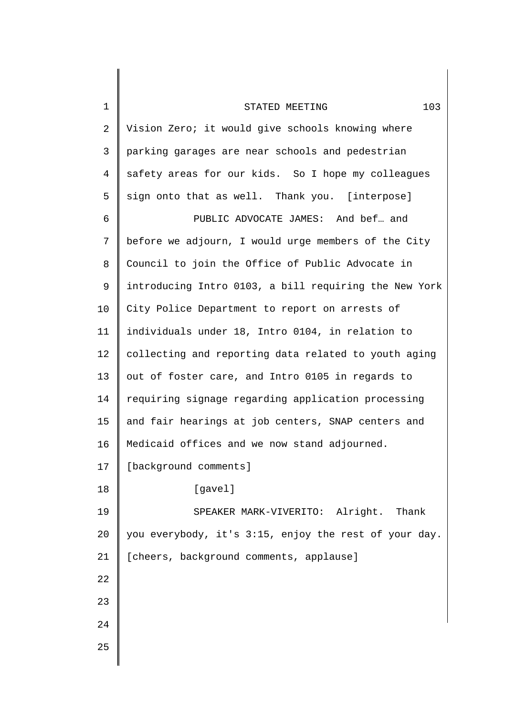| $\mathbf 1$    | 103<br>STATED MEETING                                 |
|----------------|-------------------------------------------------------|
| $\overline{a}$ | Vision Zero; it would give schools knowing where      |
| 3              | parking garages are near schools and pedestrian       |
| $\overline{4}$ | safety areas for our kids. So I hope my colleagues    |
| 5              | sign onto that as well. Thank you. [interpose]        |
| 6              | PUBLIC ADVOCATE JAMES: And bef and                    |
| 7              | before we adjourn, I would urge members of the City   |
| 8              | Council to join the Office of Public Advocate in      |
| 9              | introducing Intro 0103, a bill requiring the New York |
| 10             | City Police Department to report on arrests of        |
| 11             | individuals under 18, Intro 0104, in relation to      |
| 12             | collecting and reporting data related to youth aging  |
| 13             | out of foster care, and Intro 0105 in regards to      |
| 14             | requiring signage regarding application processing    |
| 15             | and fair hearings at job centers, SNAP centers and    |
| 16             | Medicaid offices and we now stand adjourned.          |
| 17             | [background comments]                                 |
| 18             | [gavel]                                               |
| 19             | SPEAKER MARK-VIVERITO: Alright.<br>Thank              |
| 20             | you everybody, it's 3:15, enjoy the rest of your day. |
| 21             | [cheers, background comments, applause]               |
| 22             |                                                       |
| 23             |                                                       |
| 24             |                                                       |
| 25             |                                                       |
|                |                                                       |